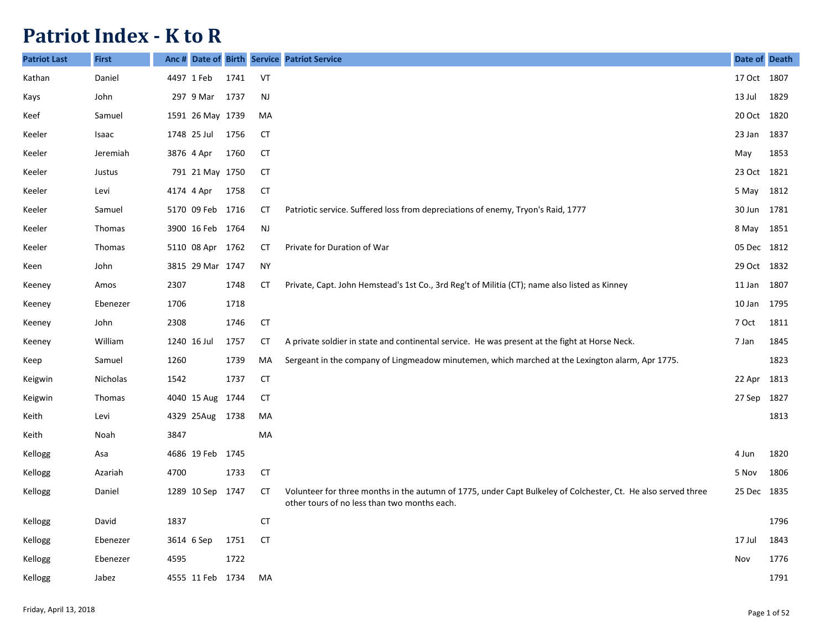## **Patriot Index - K to R**

| <b>Patriot Last</b> | <b>First</b> | Anc# |                  |      |               | Date of Birth Service Patriot Service                                                                                                                         | Date of Death |      |
|---------------------|--------------|------|------------------|------|---------------|---------------------------------------------------------------------------------------------------------------------------------------------------------------|---------------|------|
| Kathan              | Daniel       |      | 4497 1 Feb       | 1741 | VT            |                                                                                                                                                               | 17 Oct 1807   |      |
| Kays                | John         |      | 297 9 Mar        | 1737 | $\mathsf{NJ}$ |                                                                                                                                                               | 13 Jul        | 1829 |
| Keef                | Samuel       |      | 1591 26 May 1739 |      | MA            |                                                                                                                                                               | 20 Oct        | 1820 |
| Keeler              | Isaac        |      | 1748 25 Jul      | 1756 | <b>CT</b>     |                                                                                                                                                               | 23 Jan        | 1837 |
| Keeler              | Jeremiah     |      | 3876 4 Apr       | 1760 | <b>CT</b>     |                                                                                                                                                               | May           | 1853 |
| Keeler              | Justus       |      | 791 21 May 1750  |      | СT            |                                                                                                                                                               | 23 Oct        | 1821 |
| Keeler              | Levi         |      | 4174 4 Apr       | 1758 | <b>CT</b>     |                                                                                                                                                               | 5 May         | 1812 |
| Keeler              | Samuel       |      | 5170 09 Feb 1716 |      | <b>CT</b>     | Patriotic service. Suffered loss from depreciations of enemy, Tryon's Raid, 1777                                                                              | 30 Jun        | 1781 |
| Keeler              | Thomas       |      | 3900 16 Feb 1764 |      | <b>NJ</b>     |                                                                                                                                                               | 8 May         | 1851 |
| Keeler              | Thomas       |      | 5110 08 Apr 1762 |      | CT            | Private for Duration of War                                                                                                                                   | 05 Dec 1812   |      |
| Keen                | John         |      | 3815 29 Mar 1747 |      | <b>NY</b>     |                                                                                                                                                               | 29 Oct 1832   |      |
| Keeney              | Amos         | 2307 |                  | 1748 | CT            | Private, Capt. John Hemstead's 1st Co., 3rd Reg't of Militia (CT); name also listed as Kinney                                                                 | 11 Jan        | 1807 |
| Keeney              | Ebenezer     | 1706 |                  | 1718 |               |                                                                                                                                                               | 10 Jan        | 1795 |
| Keeney              | John         | 2308 |                  | 1746 | <b>CT</b>     |                                                                                                                                                               | 7 Oct         | 1811 |
| Keeney              | William      |      | 1240 16 Jul      | 1757 | CT            | A private soldier in state and continental service. He was present at the fight at Horse Neck.                                                                | 7 Jan         | 1845 |
| Keep                | Samuel       | 1260 |                  | 1739 | MA            | Sergeant in the company of Lingmeadow minutemen, which marched at the Lexington alarm, Apr 1775.                                                              |               | 1823 |
| Keigwin             | Nicholas     | 1542 |                  | 1737 | <b>CT</b>     |                                                                                                                                                               | 22 Apr        | 1813 |
| Keigwin             | Thomas       |      | 4040 15 Aug 1744 |      | СT            |                                                                                                                                                               | 27 Sep        | 1827 |
| Keith               | Levi         |      | 4329 25Aug 1738  |      | MA            |                                                                                                                                                               |               | 1813 |
| Keith               | Noah         | 3847 |                  |      | MA            |                                                                                                                                                               |               |      |
| Kellogg             | Asa          |      | 4686 19 Feb 1745 |      |               |                                                                                                                                                               | 4 Jun         | 1820 |
| Kellogg             | Azariah      | 4700 |                  | 1733 | <b>CT</b>     |                                                                                                                                                               | 5 Nov         | 1806 |
| Kellogg             | Daniel       |      | 1289 10 Sep      | 1747 | CT            | Volunteer for three months in the autumn of 1775, under Capt Bulkeley of Colchester, Ct. He also served three<br>other tours of no less than two months each. | 25 Dec 1835   |      |
| Kellogg             | David        | 1837 |                  |      | <b>CT</b>     |                                                                                                                                                               |               | 1796 |
| Kellogg             | Ebenezer     |      | 3614 6 Sep       | 1751 | <b>CT</b>     |                                                                                                                                                               | 17 Jul        | 1843 |
| Kellogg             | Ebenezer     | 4595 |                  | 1722 |               |                                                                                                                                                               | Nov           | 1776 |
| Kellogg             | Jabez        |      | 4555 11 Feb 1734 |      | MA            |                                                                                                                                                               |               | 1791 |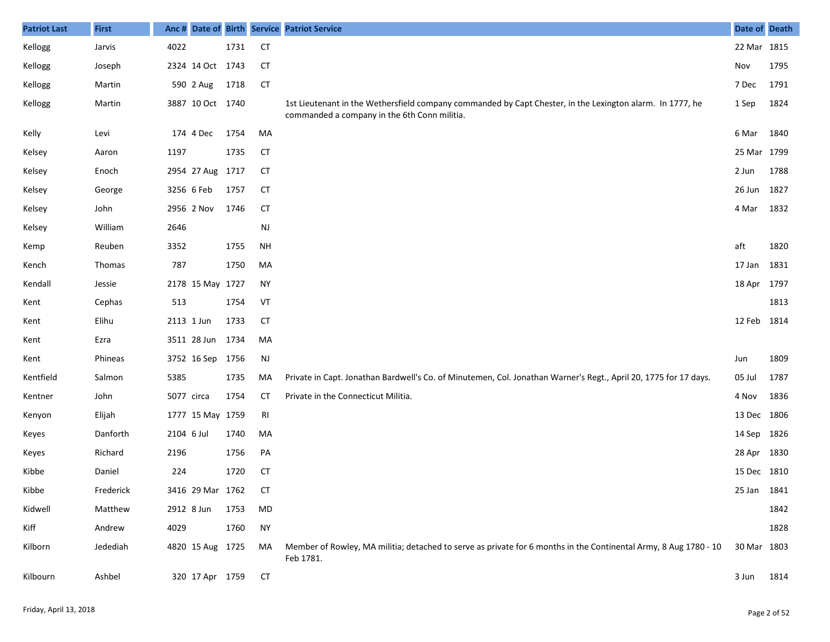| <b>Patriot Last</b> | <b>First</b> |            |                  |      |                | Anc # Date of Birth Service Patriot Service                                                                                                               | Date of Death |      |
|---------------------|--------------|------------|------------------|------|----------------|-----------------------------------------------------------------------------------------------------------------------------------------------------------|---------------|------|
| Kellogg             | Jarvis       | 4022       |                  | 1731 | <b>CT</b>      |                                                                                                                                                           | 22 Mar 1815   |      |
| Kellogg             | Joseph       |            | 2324 14 Oct 1743 |      | <b>CT</b>      |                                                                                                                                                           | Nov           | 1795 |
| Kellogg             | Martin       |            | 590 2 Aug        | 1718 | <b>CT</b>      |                                                                                                                                                           | 7 Dec         | 1791 |
| Kellogg             | Martin       |            | 3887 10 Oct 1740 |      |                | 1st Lieutenant in the Wethersfield company commanded by Capt Chester, in the Lexington alarm. In 1777, he<br>commanded a company in the 6th Conn militia. | 1 Sep         | 1824 |
| Kelly               | Levi         |            | 174 4 Dec        | 1754 | MA             |                                                                                                                                                           | 6 Mar         | 1840 |
| Kelsey              | Aaron        | 1197       |                  | 1735 | <b>CT</b>      |                                                                                                                                                           | 25 Mar 1799   |      |
| Kelsey              | Enoch        |            | 2954 27 Aug 1717 |      | <b>CT</b>      |                                                                                                                                                           | 2 Jun         | 1788 |
| Kelsey              | George       |            | 3256 6 Feb       | 1757 | <b>CT</b>      |                                                                                                                                                           | 26 Jun        | 1827 |
| Kelsey              | John         |            | 2956 2 Nov       | 1746 | <b>CT</b>      |                                                                                                                                                           | 4 Mar         | 1832 |
| Kelsey              | William      | 2646       |                  |      | <b>NJ</b>      |                                                                                                                                                           |               |      |
| Kemp                | Reuben       | 3352       |                  | 1755 | <b>NH</b>      |                                                                                                                                                           | aft           | 1820 |
| Kench               | Thomas       | 787        |                  | 1750 | MA             |                                                                                                                                                           | 17 Jan        | 1831 |
| Kendall             | Jessie       |            | 2178 15 May 1727 |      | <b>NY</b>      |                                                                                                                                                           | 18 Apr 1797   |      |
| Kent                | Cephas       | 513        |                  | 1754 | VT             |                                                                                                                                                           |               | 1813 |
| Kent                | Elihu        |            | 2113 1 Jun       | 1733 | <b>CT</b>      |                                                                                                                                                           | 12 Feb 1814   |      |
| Kent                | Ezra         |            | 3511 28 Jun 1734 |      | MA             |                                                                                                                                                           |               |      |
| Kent                | Phineas      |            | 3752 16 Sep 1756 |      | NJ             |                                                                                                                                                           | Jun           | 1809 |
| Kentfield           | Salmon       | 5385       |                  | 1735 | MA             | Private in Capt. Jonathan Bardwell's Co. of Minutemen, Col. Jonathan Warner's Regt., April 20, 1775 for 17 days.                                          | 05 Jul        | 1787 |
| Kentner             | John         | 5077 circa |                  | 1754 | <b>CT</b>      | Private in the Connecticut Militia.                                                                                                                       | 4 Nov         | 1836 |
| Kenyon              | Elijah       |            | 1777 15 May 1759 |      | R <sub>l</sub> |                                                                                                                                                           | 13 Dec 1806   |      |
| Keyes               | Danforth     | 2104 6 Jul |                  | 1740 | MA             |                                                                                                                                                           | 14 Sep 1826   |      |
| Keyes               | Richard      | 2196       |                  | 1756 | PA             |                                                                                                                                                           | 28 Apr 1830   |      |
| Kibbe               | Daniel       | 224        |                  | 1720 | <b>CT</b>      |                                                                                                                                                           | 15 Dec 1810   |      |
| Kibbe               | Frederick    |            | 3416 29 Mar 1762 |      | СT             |                                                                                                                                                           | 25 Jan 1841   |      |
| Kidwell             | Matthew      |            | 2912 8 Jun       | 1753 | MD             |                                                                                                                                                           |               | 1842 |
| Kiff                | Andrew       | 4029       |                  | 1760 | <b>NY</b>      |                                                                                                                                                           |               | 1828 |
| Kilborn             | Jedediah     |            | 4820 15 Aug 1725 |      | MA             | Member of Rowley, MA militia; detached to serve as private for 6 months in the Continental Army, 8 Aug 1780 - 10<br>Feb 1781.                             | 30 Mar 1803   |      |
| Kilbourn            | Ashbel       |            | 320 17 Apr 1759  |      | <b>CT</b>      |                                                                                                                                                           | 3 Jun         | 1814 |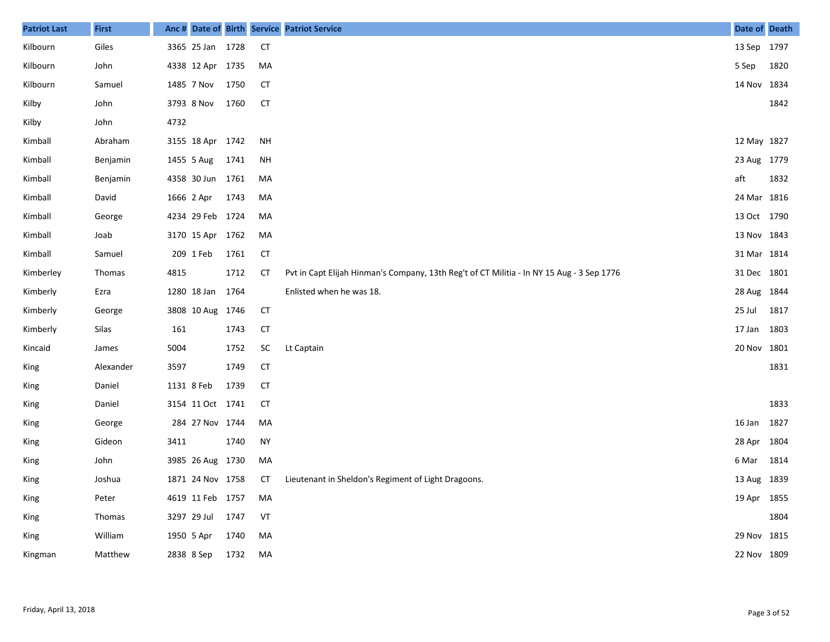| <b>Patriot Last</b> | <b>First</b> | Anc#       | Date of Birth    |      |           | <b>Service Patriot Service</b>                                                            | Date of Death |      |
|---------------------|--------------|------------|------------------|------|-----------|-------------------------------------------------------------------------------------------|---------------|------|
| Kilbourn            | Giles        |            | 3365 25 Jan 1728 |      | <b>CT</b> |                                                                                           | 13 Sep 1797   |      |
| Kilbourn            | John         |            | 4338 12 Apr 1735 |      | MA        |                                                                                           | 5 Sep         | 1820 |
| Kilbourn            | Samuel       |            | 1485 7 Nov       | 1750 | <b>CT</b> |                                                                                           | 14 Nov 1834   |      |
| Kilby               | John         |            | 3793 8 Nov       | 1760 | <b>CT</b> |                                                                                           |               | 1842 |
| Kilby               | John         | 4732       |                  |      |           |                                                                                           |               |      |
| Kimball             | Abraham      |            | 3155 18 Apr 1742 |      | <b>NH</b> |                                                                                           | 12 May 1827   |      |
| Kimball             | Benjamin     |            | 1455 5 Aug       | 1741 | <b>NH</b> |                                                                                           | 23 Aug 1779   |      |
| Kimball             | Benjamin     |            | 4358 30 Jun      | 1761 | MA        |                                                                                           | aft           | 1832 |
| Kimball             | David        | 1666 2 Apr |                  | 1743 | MA        |                                                                                           | 24 Mar 1816   |      |
| Kimball             | George       |            | 4234 29 Feb 1724 |      | MA        |                                                                                           | 13 Oct 1790   |      |
| Kimball             | Joab         |            | 3170 15 Apr 1762 |      | MA        |                                                                                           | 13 Nov 1843   |      |
| Kimball             | Samuel       |            | 209 1 Feb        | 1761 | <b>CT</b> |                                                                                           | 31 Mar 1814   |      |
| Kimberley           | Thomas       | 4815       |                  | 1712 | <b>CT</b> | Pvt in Capt Elijah Hinman's Company, 13th Reg't of CT Militia - In NY 15 Aug - 3 Sep 1776 | 31 Dec 1801   |      |
| Kimberly            | Ezra         |            | 1280 18 Jan 1764 |      |           | Enlisted when he was 18.                                                                  | 28 Aug 1844   |      |
| Kimberly            | George       |            | 3808 10 Aug 1746 |      | CT        |                                                                                           | 25 Jul        | 1817 |
| Kimberly            | Silas        | 161        |                  | 1743 | <b>CT</b> |                                                                                           | 17 Jan        | 1803 |
| Kincaid             | James        | 5004       |                  | 1752 | SC        | Lt Captain                                                                                | 20 Nov 1801   |      |
| King                | Alexander    | 3597       |                  | 1749 | <b>CT</b> |                                                                                           |               | 1831 |
| King                | Daniel       | 1131 8 Feb |                  | 1739 | <b>CT</b> |                                                                                           |               |      |
| King                | Daniel       |            | 3154 11 Oct 1741 |      | <b>CT</b> |                                                                                           |               | 1833 |
| King                | George       |            | 284 27 Nov 1744  |      | MA        |                                                                                           | 16 Jan        | 1827 |
| King                | Gideon       | 3411       |                  | 1740 | <b>NY</b> |                                                                                           | 28 Apr 1804   |      |
| King                | John         |            | 3985 26 Aug 1730 |      | MA        |                                                                                           | 6 Mar         | 1814 |
| King                | Joshua       |            | 1871 24 Nov 1758 |      | <b>CT</b> | Lieutenant in Sheldon's Regiment of Light Dragoons.                                       | 13 Aug 1839   |      |
| King                | Peter        |            | 4619 11 Feb 1757 |      | MA        |                                                                                           | 19 Apr 1855   |      |
| King                | Thomas       |            | 3297 29 Jul      | 1747 | VT        |                                                                                           |               | 1804 |
| King                | William      |            | 1950 5 Apr       | 1740 | MA        |                                                                                           | 29 Nov 1815   |      |
| Kingman             | Matthew      |            | 2838 8 Sep       | 1732 | MA        |                                                                                           | 22 Nov 1809   |      |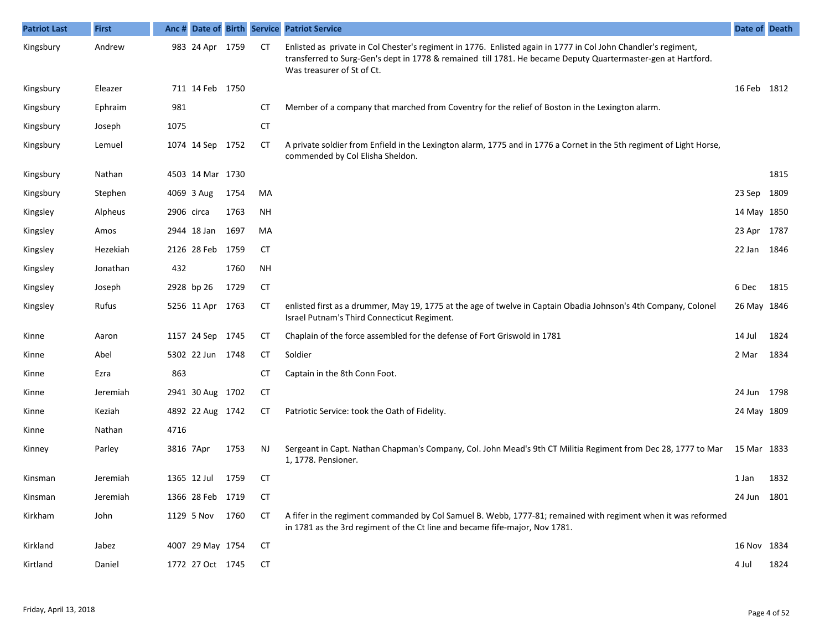| <b>Patriot Last</b> | <b>First</b> |      |                  |      |           | Anc # Date of Birth Service Patriot Service                                                                                                                                                                                                                  | Date of Death |      |
|---------------------|--------------|------|------------------|------|-----------|--------------------------------------------------------------------------------------------------------------------------------------------------------------------------------------------------------------------------------------------------------------|---------------|------|
| Kingsbury           | Andrew       |      | 983 24 Apr 1759  |      | CТ        | Enlisted as private in Col Chester's regiment in 1776. Enlisted again in 1777 in Col John Chandler's regiment,<br>transferred to Surg-Gen's dept in 1778 & remained till 1781. He became Deputy Quartermaster-gen at Hartford.<br>Was treasurer of St of Ct. |               |      |
| Kingsbury           | Eleazer      |      | 711 14 Feb 1750  |      |           |                                                                                                                                                                                                                                                              | 16 Feb 1812   |      |
| Kingsbury           | Ephraim      | 981  |                  |      | <b>CT</b> | Member of a company that marched from Coventry for the relief of Boston in the Lexington alarm.                                                                                                                                                              |               |      |
| Kingsbury           | Joseph       | 1075 |                  |      | <b>CT</b> |                                                                                                                                                                                                                                                              |               |      |
| Kingsbury           | Lemuel       |      | 1074 14 Sep 1752 |      | CT        | A private soldier from Enfield in the Lexington alarm, 1775 and in 1776 a Cornet in the 5th regiment of Light Horse,<br>commended by Col Elisha Sheldon.                                                                                                     |               |      |
| Kingsbury           | Nathan       |      | 4503 14 Mar 1730 |      |           |                                                                                                                                                                                                                                                              |               | 1815 |
| Kingsbury           | Stephen      |      | 4069 3 Aug       | 1754 | MA        |                                                                                                                                                                                                                                                              | 23 Sep        | 1809 |
| Kingsley            | Alpheus      |      | 2906 circa       | 1763 | <b>NH</b> |                                                                                                                                                                                                                                                              | 14 May 1850   |      |
| Kingsley            | Amos         |      | 2944 18 Jan      | 1697 | MA        |                                                                                                                                                                                                                                                              | 23 Apr 1787   |      |
| Kingsley            | Hezekiah     |      | 2126 28 Feb 1759 |      | CT        |                                                                                                                                                                                                                                                              | 22 Jan 1846   |      |
| Kingsley            | Jonathan     | 432  |                  | 1760 | <b>NH</b> |                                                                                                                                                                                                                                                              |               |      |
| Kingsley            | Joseph       |      | 2928 bp 26       | 1729 | <b>CT</b> |                                                                                                                                                                                                                                                              | 6 Dec         | 1815 |
| Kingsley            | Rufus        |      | 5256 11 Apr 1763 |      | СT        | enlisted first as a drummer, May 19, 1775 at the age of twelve in Captain Obadia Johnson's 4th Company, Colonel<br>Israel Putnam's Third Connecticut Regiment.                                                                                               | 26 May 1846   |      |
| Kinne               | Aaron        |      | 1157 24 Sep 1745 |      | CT        | Chaplain of the force assembled for the defense of Fort Griswold in 1781                                                                                                                                                                                     | 14 Jul        | 1824 |
| Kinne               | Abel         |      | 5302 22 Jun 1748 |      | <b>CT</b> | Soldier                                                                                                                                                                                                                                                      | 2 Mar         | 1834 |
| Kinne               | Ezra         | 863  |                  |      | СT        | Captain in the 8th Conn Foot.                                                                                                                                                                                                                                |               |      |
| Kinne               | Jeremiah     |      | 2941 30 Aug 1702 |      | CT        |                                                                                                                                                                                                                                                              | 24 Jun 1798   |      |
| Kinne               | Keziah       |      | 4892 22 Aug 1742 |      | СT        | Patriotic Service: took the Oath of Fidelity.                                                                                                                                                                                                                | 24 May 1809   |      |
| Kinne               | Nathan       | 4716 |                  |      |           |                                                                                                                                                                                                                                                              |               |      |
| Kinney              | Parley       |      | 3816 7Apr        | 1753 | <b>NJ</b> | Sergeant in Capt. Nathan Chapman's Company, Col. John Mead's 9th CT Militia Regiment from Dec 28, 1777 to Mar<br>1, 1778. Pensioner.                                                                                                                         | 15 Mar 1833   |      |
| Kinsman             | Jeremiah     |      | 1365 12 Jul      | 1759 | <b>CT</b> |                                                                                                                                                                                                                                                              | 1 Jan         | 1832 |
| Kinsman             | Jeremiah     |      | 1366 28 Feb 1719 |      | <b>CT</b> |                                                                                                                                                                                                                                                              | 24 Jun        | 1801 |
| Kirkham             | John         |      | 1129 5 Nov       | 1760 | CT        | A fifer in the regiment commanded by Col Samuel B. Webb, 1777-81; remained with regiment when it was reformed<br>in 1781 as the 3rd regiment of the Ct line and became fife-major, Nov 1781.                                                                 |               |      |
| Kirkland            | Jabez        |      | 4007 29 May 1754 |      | СT        |                                                                                                                                                                                                                                                              | 16 Nov 1834   |      |
| Kirtland            | Daniel       |      | 1772 27 Oct 1745 |      | CT        |                                                                                                                                                                                                                                                              | 4 Jul         | 1824 |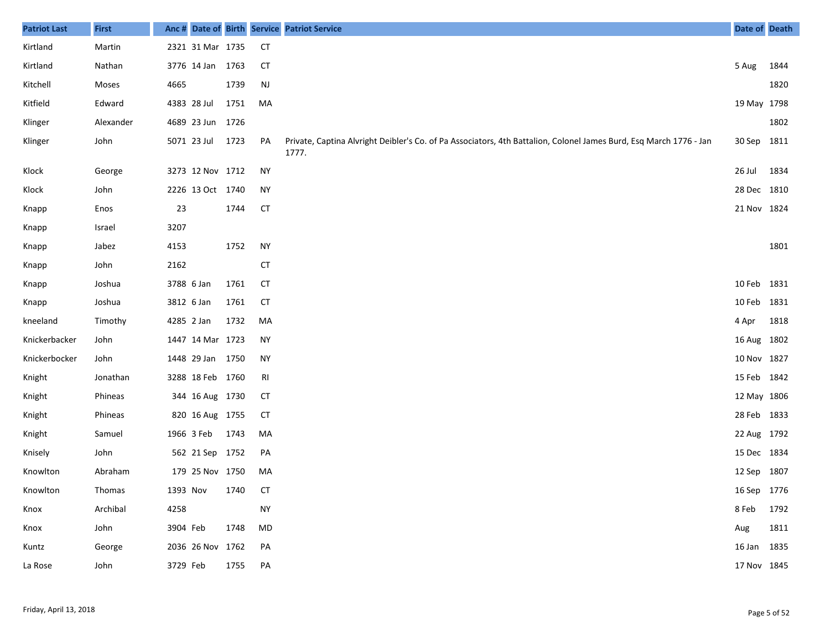| <b>Patriot Last</b> | <b>First</b> | Anc#       |                  |      |               | Date of Birth Service Patriot Service                                                                                       | Date of Death |      |
|---------------------|--------------|------------|------------------|------|---------------|-----------------------------------------------------------------------------------------------------------------------------|---------------|------|
| Kirtland            | Martin       |            | 2321 31 Mar 1735 |      | <b>CT</b>     |                                                                                                                             |               |      |
| Kirtland            | Nathan       |            | 3776 14 Jan      | 1763 | <b>CT</b>     |                                                                                                                             | 5 Aug         | 1844 |
| Kitchell            | Moses        | 4665       |                  | 1739 | $\mathsf{NJ}$ |                                                                                                                             |               | 1820 |
| Kitfield            | Edward       |            | 4383 28 Jul      | 1751 | MA            |                                                                                                                             | 19 May 1798   |      |
| Klinger             | Alexander    |            | 4689 23 Jun      | 1726 |               |                                                                                                                             |               | 1802 |
| Klinger             | John         |            | 5071 23 Jul      | 1723 | PA            | Private, Captina Alvright Deibler's Co. of Pa Associators, 4th Battalion, Colonel James Burd, Esq March 1776 - Jan<br>1777. | 30 Sep 1811   |      |
| Klock               | George       |            | 3273 12 Nov 1712 |      | <b>NY</b>     |                                                                                                                             | 26 Jul        | 1834 |
| Klock               | John         |            | 2226 13 Oct 1740 |      | <b>NY</b>     |                                                                                                                             | 28 Dec 1810   |      |
| Knapp               | Enos         | 23         |                  | 1744 | <b>CT</b>     |                                                                                                                             | 21 Nov 1824   |      |
| Knapp               | Israel       | 3207       |                  |      |               |                                                                                                                             |               |      |
| Knapp               | Jabez        | 4153       |                  | 1752 | <b>NY</b>     |                                                                                                                             |               | 1801 |
| Knapp               | John         | 2162       |                  |      | <b>CT</b>     |                                                                                                                             |               |      |
| Knapp               | Joshua       | 3788 6 Jan |                  | 1761 | <b>CT</b>     |                                                                                                                             | 10 Feb 1831   |      |
| Knapp               | Joshua       | 3812 6 Jan |                  | 1761 | <b>CT</b>     |                                                                                                                             | 10 Feb 1831   |      |
| kneeland            | Timothy      | 4285 2 Jan |                  | 1732 | MA            |                                                                                                                             | 4 Apr         | 1818 |
| Knickerbacker       | John         |            | 1447 14 Mar 1723 |      | <b>NY</b>     |                                                                                                                             | 16 Aug 1802   |      |
| Knickerbocker       | John         |            | 1448 29 Jan 1750 |      | <b>NY</b>     |                                                                                                                             | 10 Nov 1827   |      |
| Knight              | Jonathan     |            | 3288 18 Feb 1760 |      | RI            |                                                                                                                             | 15 Feb 1842   |      |
| Knight              | Phineas      |            | 344 16 Aug 1730  |      | <b>CT</b>     |                                                                                                                             | 12 May 1806   |      |
| Knight              | Phineas      |            | 820 16 Aug 1755  |      | <b>CT</b>     |                                                                                                                             | 28 Feb 1833   |      |
| Knight              | Samuel       |            | 1966 3 Feb       | 1743 | MA            |                                                                                                                             | 22 Aug 1792   |      |
| Knisely             | John         |            | 562 21 Sep 1752  |      | PA            |                                                                                                                             | 15 Dec 1834   |      |
| Knowlton            | Abraham      |            | 179 25 Nov 1750  |      | MA            |                                                                                                                             | 12 Sep 1807   |      |
| Knowlton            | Thomas       |            | 1393 Nov 1740    |      | CT            |                                                                                                                             | 16 Sep 1776   |      |
| Knox                | Archibal     | 4258       |                  |      | <b>NY</b>     |                                                                                                                             | 8 Feb 1792    |      |
| Knox                | John         | 3904 Feb   |                  | 1748 | MD            |                                                                                                                             | Aug           | 1811 |
| Kuntz               | George       |            | 2036 26 Nov 1762 |      | PA            |                                                                                                                             | 16 Jan 1835   |      |
| La Rose             | John         | 3729 Feb   |                  | 1755 | PA            |                                                                                                                             | 17 Nov 1845   |      |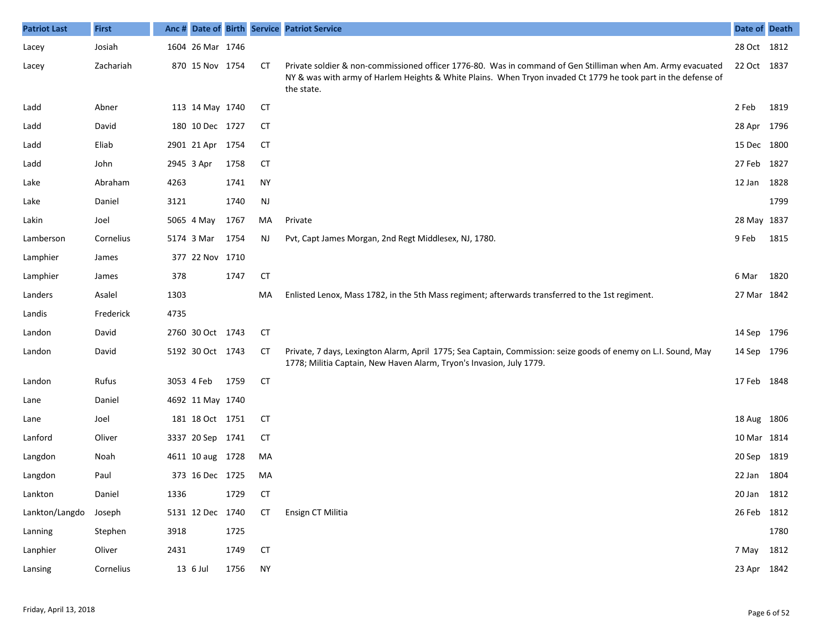| <b>Patriot Last</b> | <b>First</b> |      |                  |      |           | Anc # Date of Birth Service Patriot Service                                                                                                                                                                                                 | Date of Death |      |
|---------------------|--------------|------|------------------|------|-----------|---------------------------------------------------------------------------------------------------------------------------------------------------------------------------------------------------------------------------------------------|---------------|------|
| Lacey               | Josiah       |      | 1604 26 Mar 1746 |      |           |                                                                                                                                                                                                                                             | 28 Oct 1812   |      |
| Lacey               | Zachariah    |      | 870 15 Nov 1754  |      | CТ        | Private soldier & non-commissioned officer 1776-80. Was in command of Gen Stilliman when Am. Army evacuated<br>NY & was with army of Harlem Heights & White Plains. When Tryon invaded Ct 1779 he took part in the defense of<br>the state. | 22 Oct 1837   |      |
| Ladd                | Abner        |      | 113 14 May 1740  |      | СT        |                                                                                                                                                                                                                                             | 2 Feb         | 1819 |
| Ladd                | David        |      | 180 10 Dec 1727  |      | СT        |                                                                                                                                                                                                                                             | 28 Apr 1796   |      |
| Ladd                | Eliab        |      | 2901 21 Apr 1754 |      | СT        |                                                                                                                                                                                                                                             | 15 Dec 1800   |      |
| Ladd                | John         |      | 2945 3 Apr       | 1758 | <b>CT</b> |                                                                                                                                                                                                                                             | 27 Feb 1827   |      |
| Lake                | Abraham      | 4263 |                  | 1741 | <b>NY</b> |                                                                                                                                                                                                                                             | 12 Jan 1828   |      |
| Lake                | Daniel       | 3121 |                  | 1740 | NJ        |                                                                                                                                                                                                                                             |               | 1799 |
| Lakin               | Joel         |      | 5065 4 May       | 1767 | MA        | Private                                                                                                                                                                                                                                     | 28 May 1837   |      |
| Lamberson           | Cornelius    |      | 5174 3 Mar       | 1754 | NJ        | Pvt, Capt James Morgan, 2nd Regt Middlesex, NJ, 1780.                                                                                                                                                                                       | 9 Feb         | 1815 |
| Lamphier            | James        |      | 377 22 Nov 1710  |      |           |                                                                                                                                                                                                                                             |               |      |
| Lamphier            | James        | 378  |                  | 1747 | <b>CT</b> |                                                                                                                                                                                                                                             | 6 Mar         | 1820 |
| Landers             | Asalel       | 1303 |                  |      | MA        | Enlisted Lenox, Mass 1782, in the 5th Mass regiment; afterwards transferred to the 1st regiment.                                                                                                                                            | 27 Mar 1842   |      |
| Landis              | Frederick    | 4735 |                  |      |           |                                                                                                                                                                                                                                             |               |      |
| Landon              | David        |      | 2760 30 Oct 1743 |      | <b>CT</b> |                                                                                                                                                                                                                                             | 14 Sep 1796   |      |
| Landon              | David        |      | 5192 30 Oct 1743 |      | <b>CT</b> | Private, 7 days, Lexington Alarm, April 1775; Sea Captain, Commission: seize goods of enemy on L.I. Sound, May<br>1778; Militia Captain, New Haven Alarm, Tryon's Invasion, July 1779.                                                      | 14 Sep 1796   |      |
| Landon              | Rufus        |      | 3053 4 Feb       | 1759 | <b>CT</b> |                                                                                                                                                                                                                                             | 17 Feb 1848   |      |
| Lane                | Daniel       |      | 4692 11 May 1740 |      |           |                                                                                                                                                                                                                                             |               |      |
| Lane                | Joel         |      | 181 18 Oct 1751  |      | СT        |                                                                                                                                                                                                                                             | 18 Aug 1806   |      |
| Lanford             | Oliver       |      | 3337 20 Sep 1741 |      | СT        |                                                                                                                                                                                                                                             | 10 Mar 1814   |      |
| Langdon             | Noah         |      | 4611 10 aug 1728 |      | MA        |                                                                                                                                                                                                                                             | 20 Sep 1819   |      |
| Langdon             | Paul         |      | 373 16 Dec 1725  |      | MA        |                                                                                                                                                                                                                                             | 22 Jan 1804   |      |
| Lankton             | Daniel       | 1336 |                  | 1729 | CТ        |                                                                                                                                                                                                                                             | 20 Jan 1812   |      |
| Lankton/Langdo      | Joseph       |      | 5131 12 Dec 1740 |      | <b>CT</b> | Ensign CT Militia                                                                                                                                                                                                                           | 26 Feb 1812   |      |
| Lanning             | Stephen      | 3918 |                  | 1725 |           |                                                                                                                                                                                                                                             |               | 1780 |
| Lanphier            | Oliver       | 2431 |                  | 1749 | <b>CT</b> |                                                                                                                                                                                                                                             | 7 May 1812    |      |
| Lansing             | Cornelius    |      | 13 6 Jul         | 1756 | <b>NY</b> |                                                                                                                                                                                                                                             | 23 Apr 1842   |      |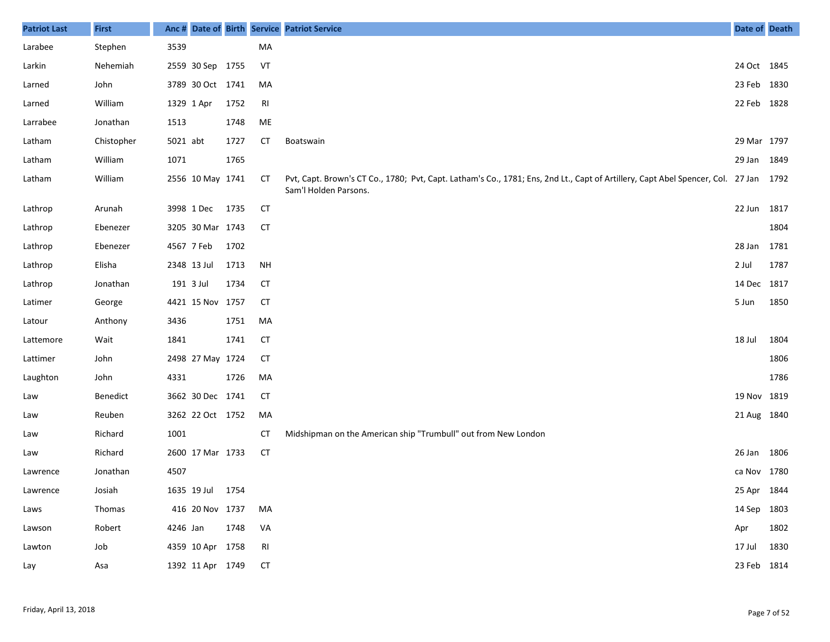| <b>Patriot Last</b> | <b>First</b> | Anc #    |                  |      |           | Date of Birth Service Patriot Service                                                                                                                         | Date of Death |      |
|---------------------|--------------|----------|------------------|------|-----------|---------------------------------------------------------------------------------------------------------------------------------------------------------------|---------------|------|
| Larabee             | Stephen      | 3539     |                  |      | MA        |                                                                                                                                                               |               |      |
| Larkin              | Nehemiah     |          | 2559 30 Sep 1755 |      | VT        |                                                                                                                                                               | 24 Oct 1845   |      |
| Larned              | John         |          | 3789 30 Oct 1741 |      | MA        |                                                                                                                                                               | 23 Feb        | 1830 |
| Larned              | William      |          | 1329 1 Apr       | 1752 | RI        |                                                                                                                                                               | 22 Feb 1828   |      |
| Larrabee            | Jonathan     | 1513     |                  | 1748 | ME        |                                                                                                                                                               |               |      |
| Latham              | Chistopher   | 5021 abt |                  | 1727 | <b>CT</b> | <b>Boatswain</b>                                                                                                                                              | 29 Mar 1797   |      |
| Latham              | William      | 1071     |                  | 1765 |           |                                                                                                                                                               | 29 Jan 1849   |      |
| Latham              | William      |          | 2556 10 May 1741 |      | CТ        | Pvt, Capt. Brown's CT Co., 1780; Pvt, Capt. Latham's Co., 1781; Ens, 2nd Lt., Capt of Artillery, Capt Abel Spencer, Col. 27 Jan 1792<br>Sam'l Holden Parsons. |               |      |
| Lathrop             | Arunah       |          | 3998 1 Dec       | 1735 | CT        |                                                                                                                                                               | 22 Jun        | 1817 |
| Lathrop             | Ebenezer     |          | 3205 30 Mar 1743 |      | CТ        |                                                                                                                                                               |               | 1804 |
| Lathrop             | Ebenezer     |          | 4567 7 Feb       | 1702 |           |                                                                                                                                                               | 28 Jan        | 1781 |
| Lathrop             | Elisha       |          | 2348 13 Jul      | 1713 | <b>NH</b> |                                                                                                                                                               | 2 Jul         | 1787 |
| Lathrop             | Jonathan     |          | 191 3 Jul        | 1734 | <b>CT</b> |                                                                                                                                                               | 14 Dec 1817   |      |
| Latimer             | George       |          | 4421 15 Nov 1757 |      | CT        |                                                                                                                                                               | 5 Jun         | 1850 |
| Latour              | Anthony      | 3436     |                  | 1751 | MA        |                                                                                                                                                               |               |      |
| Lattemore           | Wait         | 1841     |                  | 1741 | <b>CT</b> |                                                                                                                                                               | 18 Jul        | 1804 |
| Lattimer            | John         |          | 2498 27 May 1724 |      | CT        |                                                                                                                                                               |               | 1806 |
| Laughton            | John         | 4331     |                  | 1726 | MA        |                                                                                                                                                               |               | 1786 |
| Law                 | Benedict     |          | 3662 30 Dec 1741 |      | CT        |                                                                                                                                                               | 19 Nov 1819   |      |
| Law                 | Reuben       |          | 3262 22 Oct 1752 |      | MA        |                                                                                                                                                               | 21 Aug 1840   |      |
| Law                 | Richard      | 1001     |                  |      | СT        | Midshipman on the American ship "Trumbull" out from New London                                                                                                |               |      |
| Law                 | Richard      |          | 2600 17 Mar 1733 |      | <b>CT</b> |                                                                                                                                                               | 26 Jan        | 1806 |
| Lawrence            | Jonathan     | 4507     |                  |      |           |                                                                                                                                                               | ca Nov 1780   |      |
| Lawrence            | Josiah       |          | 1635 19 Jul 1754 |      |           |                                                                                                                                                               | 25 Apr 1844   |      |
| Laws                | Thomas       |          | 416 20 Nov 1737  |      | MA        |                                                                                                                                                               | 14 Sep 1803   |      |
| Lawson              | Robert       | 4246 Jan |                  | 1748 | VA        |                                                                                                                                                               | Apr           | 1802 |
| Lawton              | Job          |          | 4359 10 Apr 1758 |      | RI        |                                                                                                                                                               | 17 Jul        | 1830 |
| Lay                 | Asa          |          | 1392 11 Apr 1749 |      | <b>CT</b> |                                                                                                                                                               | 23 Feb 1814   |      |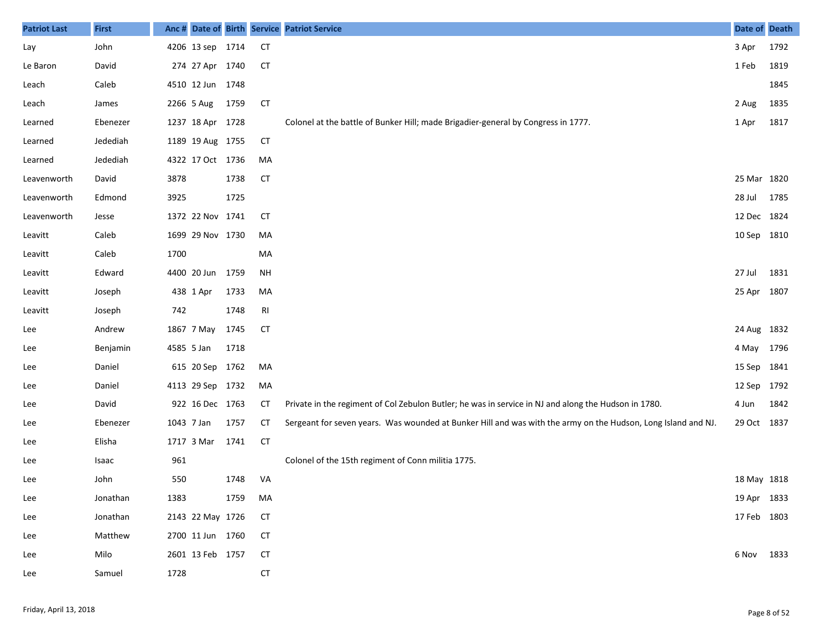| <b>Patriot Last</b> | <b>First</b> | Anc #      |                  |      |           | Date of Birth Service Patriot Service                                                                         | Date of Death |      |
|---------------------|--------------|------------|------------------|------|-----------|---------------------------------------------------------------------------------------------------------------|---------------|------|
| Lay                 | John         |            | 4206 13 sep 1714 |      | <b>CT</b> |                                                                                                               | 3 Apr         | 1792 |
| Le Baron            | David        |            | 274 27 Apr 1740  |      | <b>CT</b> |                                                                                                               | 1 Feb         | 1819 |
| Leach               | Caleb        |            | 4510 12 Jun 1748 |      |           |                                                                                                               |               | 1845 |
| Leach               | James        |            | 2266 5 Aug       | 1759 | <b>CT</b> |                                                                                                               | 2 Aug         | 1835 |
| Learned             | Ebenezer     |            | 1237 18 Apr 1728 |      |           | Colonel at the battle of Bunker Hill; made Brigadier-general by Congress in 1777.                             | 1 Apr         | 1817 |
| Learned             | Jedediah     |            | 1189 19 Aug 1755 |      | <b>CT</b> |                                                                                                               |               |      |
| Learned             | Jedediah     |            | 4322 17 Oct 1736 |      | MA        |                                                                                                               |               |      |
| Leavenworth         | David        | 3878       |                  | 1738 | <b>CT</b> |                                                                                                               | 25 Mar 1820   |      |
| Leavenworth         | Edmond       | 3925       |                  | 1725 |           |                                                                                                               | 28 Jul        | 1785 |
| Leavenworth         | Jesse        |            | 1372 22 Nov 1741 |      | CT        |                                                                                                               | 12 Dec 1824   |      |
| Leavitt             | Caleb        |            | 1699 29 Nov 1730 |      | MA        |                                                                                                               | 10 Sep 1810   |      |
| Leavitt             | Caleb        | 1700       |                  |      | MA        |                                                                                                               |               |      |
| Leavitt             | Edward       |            | 4400 20 Jun 1759 |      | <b>NH</b> |                                                                                                               | 27 Jul        | 1831 |
| Leavitt             | Joseph       |            | 438 1 Apr        | 1733 | MA        |                                                                                                               | 25 Apr 1807   |      |
| Leavitt             | Joseph       | 742        |                  | 1748 | RI        |                                                                                                               |               |      |
| Lee                 | Andrew       |            | 1867 7 May       | 1745 | <b>CT</b> |                                                                                                               | 24 Aug 1832   |      |
| Lee                 | Benjamin     | 4585 5 Jan |                  | 1718 |           |                                                                                                               | 4 May 1796    |      |
| Lee                 | Daniel       |            | 615 20 Sep 1762  |      | MA        |                                                                                                               | 15 Sep 1841   |      |
| Lee                 | Daniel       |            | 4113 29 Sep 1732 |      | MA        |                                                                                                               | 12 Sep 1792   |      |
| Lee                 | David        |            | 922 16 Dec 1763  |      | СT        | Private in the regiment of Col Zebulon Butler; he was in service in NJ and along the Hudson in 1780.          | 4 Jun         | 1842 |
| Lee                 | Ebenezer     | 1043 7 Jan |                  | 1757 | СT        | Sergeant for seven years. Was wounded at Bunker Hill and was with the army on the Hudson, Long Island and NJ. | 29 Oct 1837   |      |
| Lee                 | Elisha       |            | 1717 3 Mar       | 1741 | <b>CT</b> |                                                                                                               |               |      |
| Lee                 | Isaac        | 961        |                  |      |           | Colonel of the 15th regiment of Conn militia 1775.                                                            |               |      |
| Lee                 | John         | 550        |                  | 1748 | VA        |                                                                                                               | 18 May 1818   |      |
| Lee                 | Jonathan     | 1383       |                  | 1759 | MA        |                                                                                                               | 19 Apr 1833   |      |
| Lee                 | Jonathan     |            | 2143 22 May 1726 |      | <b>CT</b> |                                                                                                               | 17 Feb 1803   |      |
| Lee                 | Matthew      |            | 2700 11 Jun 1760 |      | <b>CT</b> |                                                                                                               |               |      |
| Lee                 | Milo         |            | 2601 13 Feb 1757 |      | <b>CT</b> |                                                                                                               | 6 Nov 1833    |      |
| Lee                 | Samuel       | 1728       |                  |      | <b>CT</b> |                                                                                                               |               |      |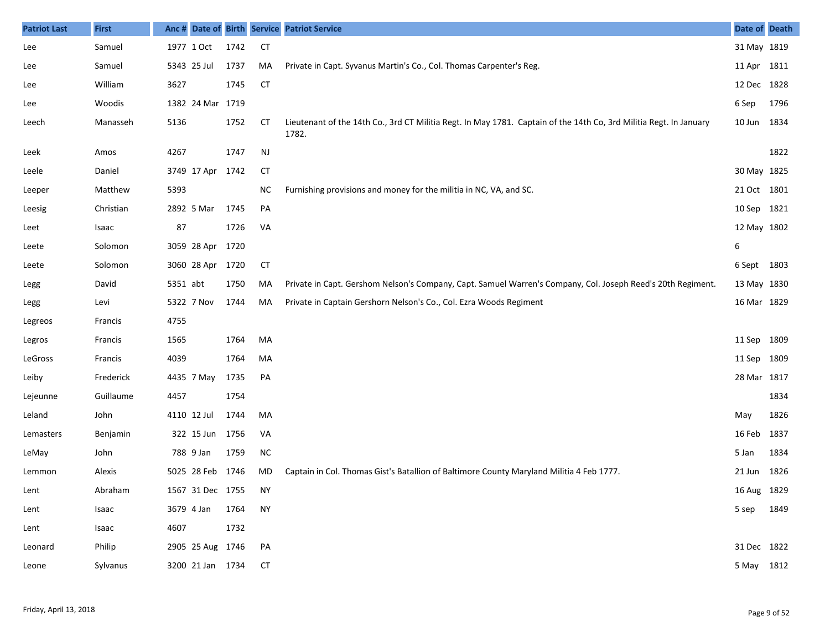| <b>Patriot Last</b> | <b>First</b> |          |                  |      |               | Anc # Date of Birth Service Patriot Service                                                                                 | Date of Death |      |
|---------------------|--------------|----------|------------------|------|---------------|-----------------------------------------------------------------------------------------------------------------------------|---------------|------|
| Lee                 | Samuel       |          | 1977 1 Oct       | 1742 | <b>CT</b>     |                                                                                                                             | 31 May 1819   |      |
| Lee                 | Samuel       |          | 5343 25 Jul      | 1737 | MA            | Private in Capt. Syvanus Martin's Co., Col. Thomas Carpenter's Reg.                                                         | 11 Apr 1811   |      |
| Lee                 | William      | 3627     |                  | 1745 | <b>CT</b>     |                                                                                                                             | 12 Dec 1828   |      |
| Lee                 | Woodis       |          | 1382 24 Mar 1719 |      |               |                                                                                                                             | 6 Sep         | 1796 |
| Leech               | Manasseh     | 5136     |                  | 1752 | СT            | Lieutenant of the 14th Co., 3rd CT Militia Regt. In May 1781. Captain of the 14th Co, 3rd Militia Regt. In January<br>1782. | 10 Jun        | 1834 |
| Leek                | Amos         | 4267     |                  | 1747 | $\mathsf{NJ}$ |                                                                                                                             |               | 1822 |
| Leele               | Daniel       |          | 3749 17 Apr      | 1742 | <b>CT</b>     |                                                                                                                             | 30 May 1825   |      |
| Leeper              | Matthew      | 5393     |                  |      | ΝC            | Furnishing provisions and money for the militia in NC, VA, and SC.                                                          | 21 Oct 1801   |      |
| Leesig              | Christian    |          | 2892 5 Mar       | 1745 | PA            |                                                                                                                             | 10 Sep 1821   |      |
| Leet                | Isaac        | 87       |                  | 1726 | VA            |                                                                                                                             | 12 May 1802   |      |
| Leete               | Solomon      |          | 3059 28 Apr      | 1720 |               |                                                                                                                             | 6             |      |
| Leete               | Solomon      |          | 3060 28 Apr 1720 |      | <b>CT</b>     |                                                                                                                             | 6 Sept 1803   |      |
| Legg                | David        | 5351 abt |                  | 1750 | MA            | Private in Capt. Gershom Nelson's Company, Capt. Samuel Warren's Company, Col. Joseph Reed's 20th Regiment.                 | 13 May 1830   |      |
| Legg                | Levi         |          | 5322 7 Nov       | 1744 | MA            | Private in Captain Gershorn Nelson's Co., Col. Ezra Woods Regiment                                                          | 16 Mar 1829   |      |
| Legreos             | Francis      | 4755     |                  |      |               |                                                                                                                             |               |      |
| Legros              | Francis      | 1565     |                  | 1764 | MA            |                                                                                                                             | 11 Sep 1809   |      |
| LeGross             | Francis      | 4039     |                  | 1764 | MA            |                                                                                                                             | 11 Sep 1809   |      |
| Leiby               | Frederick    |          | 4435 7 May       | 1735 | PA            |                                                                                                                             | 28 Mar 1817   |      |
| Lejeunne            | Guillaume    | 4457     |                  | 1754 |               |                                                                                                                             |               | 1834 |
| Leland              | John         |          | 4110 12 Jul      | 1744 | MA            |                                                                                                                             | May           | 1826 |
| Lemasters           | Benjamin     |          | 322 15 Jun       | 1756 | VA            |                                                                                                                             | 16 Feb        | 1837 |
| LeMay               | John         |          | 788 9 Jan        | 1759 | <b>NC</b>     |                                                                                                                             | 5 Jan         | 1834 |
| Lemmon              | Alexis       |          | 5025 28 Feb 1746 |      | MD            | Captain in Col. Thomas Gist's Batallion of Baltimore County Maryland Militia 4 Feb 1777.                                    | 21 Jun        | 1826 |
| Lent                | Abraham      |          | 1567 31 Dec 1755 |      | <b>NY</b>     |                                                                                                                             | 16 Aug 1829   |      |
| Lent                | Isaac        |          | 3679 4 Jan       | 1764 | <b>NY</b>     |                                                                                                                             | 5 sep 1849    |      |
| Lent                | Isaac        | 4607     |                  | 1732 |               |                                                                                                                             |               |      |
| Leonard             | Philip       |          | 2905 25 Aug 1746 |      | PA            |                                                                                                                             | 31 Dec 1822   |      |
| Leone               | Sylvanus     |          | 3200 21 Jan 1734 |      | <b>CT</b>     |                                                                                                                             | 5 May 1812    |      |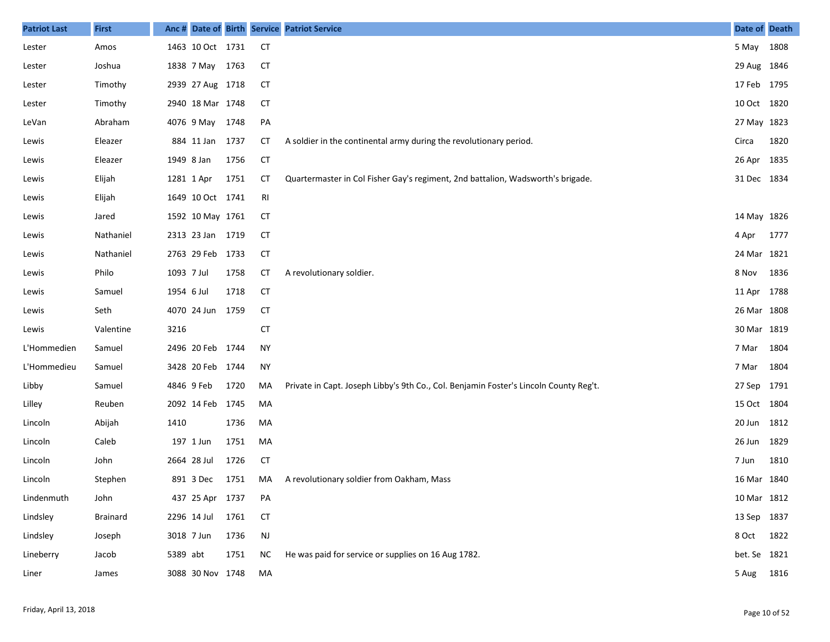| <b>Patriot Last</b> | <b>First</b>    | Anc#       |                  |      |               | Date of Birth Service Patriot Service                                                 | Date of Death |      |
|---------------------|-----------------|------------|------------------|------|---------------|---------------------------------------------------------------------------------------|---------------|------|
| Lester              | Amos            |            | 1463 10 Oct 1731 |      | <b>CT</b>     |                                                                                       | 5 May         | 1808 |
| Lester              | Joshua          |            | 1838 7 May 1763  |      | СT            |                                                                                       | 29 Aug 1846   |      |
| Lester              | Timothy         |            | 2939 27 Aug 1718 |      | <b>CT</b>     |                                                                                       | 17 Feb 1795   |      |
| Lester              | Timothy         |            | 2940 18 Mar 1748 |      | <b>CT</b>     |                                                                                       | 10 Oct 1820   |      |
| LeVan               | Abraham         |            | 4076 9 May 1748  |      | PA            |                                                                                       | 27 May 1823   |      |
| Lewis               | Eleazer         |            | 884 11 Jan 1737  |      | СT            | A soldier in the continental army during the revolutionary period.                    | Circa         | 1820 |
| Lewis               | Eleazer         | 1949 8 Jan |                  | 1756 | <b>CT</b>     |                                                                                       | 26 Apr        | 1835 |
| Lewis               | Elijah          |            | 1281 1 Apr       | 1751 | <b>CT</b>     | Quartermaster in Col Fisher Gay's regiment, 2nd battalion, Wadsworth's brigade.       | 31 Dec 1834   |      |
| Lewis               | Elijah          |            | 1649 10 Oct 1741 |      | RI            |                                                                                       |               |      |
| Lewis               | Jared           |            | 1592 10 May 1761 |      | СT            |                                                                                       | 14 May 1826   |      |
| Lewis               | Nathaniel       |            | 2313 23 Jan 1719 |      | <b>CT</b>     |                                                                                       | 4 Apr         | 1777 |
| Lewis               | Nathaniel       |            | 2763 29 Feb 1733 |      | <b>CT</b>     |                                                                                       | 24 Mar        | 1821 |
| Lewis               | Philo           | 1093 7 Jul |                  | 1758 | <b>CT</b>     | A revolutionary soldier.                                                              | 8 Nov         | 1836 |
| Lewis               | Samuel          | 1954 6 Jul |                  | 1718 | <b>CT</b>     |                                                                                       | 11 Apr        | 1788 |
| Lewis               | Seth            |            | 4070 24 Jun      | 1759 | <b>CT</b>     |                                                                                       | 26 Mar 1808   |      |
| Lewis               | Valentine       | 3216       |                  |      | <b>CT</b>     |                                                                                       | 30 Mar 1819   |      |
| L'Hommedien         | Samuel          |            | 2496 20 Feb 1744 |      | <b>NY</b>     |                                                                                       | 7 Mar         | 1804 |
| L'Hommedieu         | Samuel          |            | 3428 20 Feb 1744 |      | <b>NY</b>     |                                                                                       | 7 Mar         | 1804 |
| Libby               | Samuel          |            | 4846 9 Feb       | 1720 | MA            | Private in Capt. Joseph Libby's 9th Co., Col. Benjamin Foster's Lincoln County Reg't. | 27 Sep        | 1791 |
| Lilley              | Reuben          |            | 2092 14 Feb 1745 |      | MA            |                                                                                       | 15 Oct 1804   |      |
| Lincoln             | Abijah          | 1410       |                  | 1736 | MA            |                                                                                       | 20 Jun        | 1812 |
| Lincoln             | Caleb           |            | 197 1 Jun        | 1751 | MA            |                                                                                       | 26 Jun        | 1829 |
| Lincoln             | John            |            | 2664 28 Jul      | 1726 | <b>CT</b>     |                                                                                       | 7 Jun         | 1810 |
| Lincoln             | Stephen         |            | 891 3 Dec        | 1751 | MA            | A revolutionary soldier from Oakham, Mass                                             | 16 Mar 1840   |      |
| Lindenmuth          | John            |            | 437 25 Apr 1737  |      | PA            |                                                                                       | 10 Mar 1812   |      |
| Lindsley            | <b>Brainard</b> |            | 2296 14 Jul 1761 |      | <b>CT</b>     |                                                                                       | 13 Sep 1837   |      |
| Lindsley            | Joseph          |            | 3018 7 Jun       | 1736 | $\mathsf{NJ}$ |                                                                                       | 8 Oct         | 1822 |
| Lineberry           | Jacob           | 5389 abt   |                  | 1751 | <b>NC</b>     | He was paid for service or supplies on 16 Aug 1782.                                   | bet. Se 1821  |      |
| Liner               | James           |            | 3088 30 Nov 1748 |      | MA            |                                                                                       | 5 Aug         | 1816 |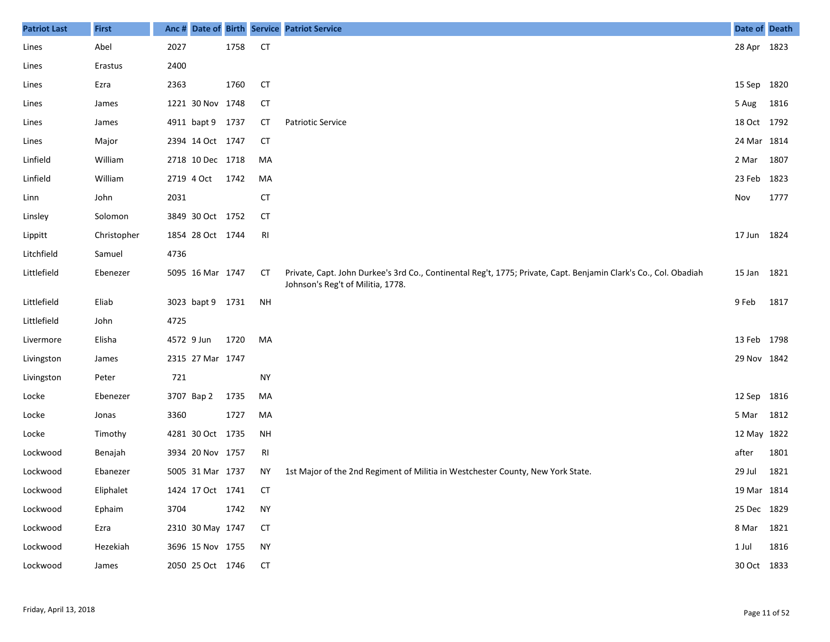| <b>Patriot Last</b> | <b>First</b> |            |                  |      |           | Anc # Date of Birth Service Patriot Service                                                                                                           | Date of Death |      |
|---------------------|--------------|------------|------------------|------|-----------|-------------------------------------------------------------------------------------------------------------------------------------------------------|---------------|------|
| Lines               | Abel         | 2027       |                  | 1758 | <b>CT</b> |                                                                                                                                                       | 28 Apr 1823   |      |
| Lines               | Erastus      | 2400       |                  |      |           |                                                                                                                                                       |               |      |
| Lines               | Ezra         | 2363       |                  | 1760 | <b>CT</b> |                                                                                                                                                       | 15 Sep 1820   |      |
| Lines               | James        |            | 1221 30 Nov 1748 |      | <b>CT</b> |                                                                                                                                                       | 5 Aug         | 1816 |
| Lines               | James        |            | 4911 bapt 9 1737 |      | CT        | <b>Patriotic Service</b>                                                                                                                              | 18 Oct 1792   |      |
| Lines               | Major        |            | 2394 14 Oct 1747 |      | <b>CT</b> |                                                                                                                                                       | 24 Mar 1814   |      |
| Linfield            | William      |            | 2718 10 Dec 1718 |      | MA        |                                                                                                                                                       | 2 Mar         | 1807 |
| Linfield            | William      |            | 2719 4 Oct       | 1742 | MA        |                                                                                                                                                       | 23 Feb 1823   |      |
| Linn                | John         | 2031       |                  |      | <b>CT</b> |                                                                                                                                                       | Nov           | 1777 |
| Linsley             | Solomon      |            | 3849 30 Oct 1752 |      | СT        |                                                                                                                                                       |               |      |
| Lippitt             | Christopher  |            | 1854 28 Oct 1744 |      | RI        |                                                                                                                                                       | 17 Jun 1824   |      |
| Litchfield          | Samuel       | 4736       |                  |      |           |                                                                                                                                                       |               |      |
| Littlefield         | Ebenezer     |            | 5095 16 Mar 1747 |      | СT        | Private, Capt. John Durkee's 3rd Co., Continental Reg't, 1775; Private, Capt. Benjamin Clark's Co., Col. Obadiah<br>Johnson's Reg't of Militia, 1778. | 15 Jan 1821   |      |
| Littlefield         | Eliab        |            | 3023 bapt 9 1731 |      | <b>NH</b> |                                                                                                                                                       | 9 Feb         | 1817 |
| Littlefield         | John         | 4725       |                  |      |           |                                                                                                                                                       |               |      |
| Livermore           | Elisha       | 4572 9 Jun |                  | 1720 | MA        |                                                                                                                                                       | 13 Feb 1798   |      |
| Livingston          | James        |            | 2315 27 Mar 1747 |      |           |                                                                                                                                                       | 29 Nov 1842   |      |
| Livingston          | Peter        | 721        |                  |      | <b>NY</b> |                                                                                                                                                       |               |      |
| Locke               | Ebenezer     |            | 3707 Bap 2       | 1735 | MA        |                                                                                                                                                       | 12 Sep 1816   |      |
| Locke               | Jonas        | 3360       |                  | 1727 | MA        |                                                                                                                                                       | 5 Mar 1812    |      |
| Locke               | Timothy      |            | 4281 30 Oct 1735 |      | <b>NH</b> |                                                                                                                                                       | 12 May 1822   |      |
| Lockwood            | Benajah      |            | 3934 20 Nov 1757 |      | RI        |                                                                                                                                                       | after         | 1801 |
| Lockwood            | Ebanezer     |            | 5005 31 Mar 1737 |      | ΝY        | 1st Major of the 2nd Regiment of Militia in Westchester County, New York State.                                                                       | 29 Jul        | 1821 |
| Lockwood            | Eliphalet    |            | 1424 17 Oct 1741 |      | CT        |                                                                                                                                                       | 19 Mar 1814   |      |
| Lockwood            | Ephaim       | 3704       |                  | 1742 | <b>NY</b> |                                                                                                                                                       | 25 Dec 1829   |      |
| Lockwood            | Ezra         |            | 2310 30 May 1747 |      | <b>CT</b> |                                                                                                                                                       | 8 Mar 1821    |      |
| Lockwood            | Hezekiah     |            | 3696 15 Nov 1755 |      | <b>NY</b> |                                                                                                                                                       | 1 Jul         | 1816 |
| Lockwood            | James        |            | 2050 25 Oct 1746 |      | <b>CT</b> |                                                                                                                                                       | 30 Oct 1833   |      |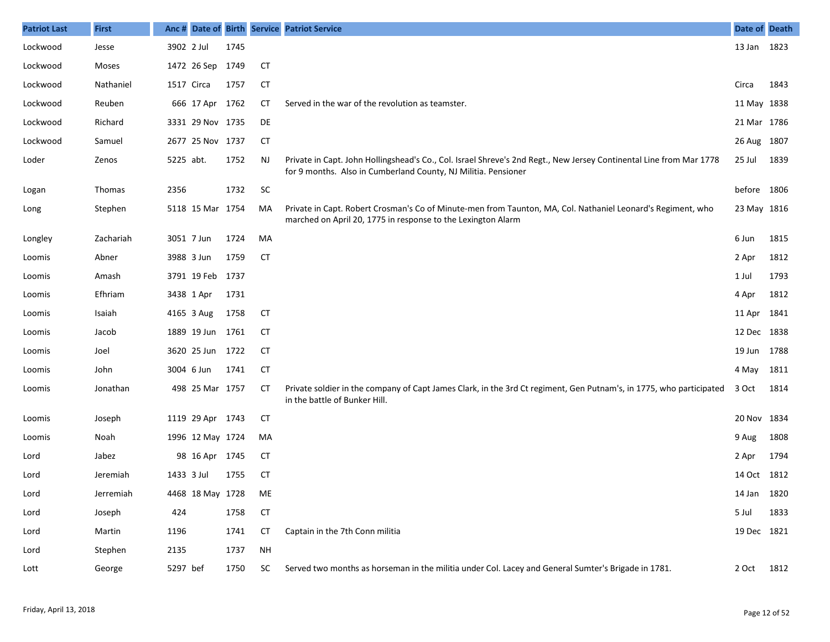| <b>Patriot Last</b> | <b>First</b>  |            |                  |      |           | Anc # Date of Birth Service Patriot Service                                                                                                                                           | Date of Death |      |
|---------------------|---------------|------------|------------------|------|-----------|---------------------------------------------------------------------------------------------------------------------------------------------------------------------------------------|---------------|------|
| Lockwood            | Jesse         | 3902 2 Jul |                  | 1745 |           |                                                                                                                                                                                       | 13 Jan 1823   |      |
| Lockwood            | Moses         |            | 1472 26 Sep 1749 |      | <b>CT</b> |                                                                                                                                                                                       |               |      |
| Lockwood            | Nathaniel     | 1517 Circa |                  | 1757 | <b>CT</b> |                                                                                                                                                                                       | Circa         | 1843 |
| Lockwood            | Reuben        |            | 666 17 Apr 1762  |      | CТ        | Served in the war of the revolution as teamster.                                                                                                                                      | 11 May 1838   |      |
| Lockwood            | Richard       |            | 3331 29 Nov 1735 |      | DE        |                                                                                                                                                                                       | 21 Mar 1786   |      |
| Lockwood            | Samuel        |            | 2677 25 Nov 1737 |      | <b>CT</b> |                                                                                                                                                                                       | 26 Aug 1807   |      |
| Loder               | Zenos         | 5225 abt.  |                  | 1752 | <b>NJ</b> | Private in Capt. John Hollingshead's Co., Col. Israel Shreve's 2nd Regt., New Jersey Continental Line from Mar 1778<br>for 9 months. Also in Cumberland County, NJ Militia. Pensioner | 25 Jul        | 1839 |
| Logan               | <b>Thomas</b> | 2356       |                  | 1732 | SC        |                                                                                                                                                                                       | before 1806   |      |
| Long                | Stephen       |            | 5118 15 Mar 1754 |      | MA        | Private in Capt. Robert Crosman's Co of Minute-men from Taunton, MA, Col. Nathaniel Leonard's Regiment, who<br>marched on April 20, 1775 in response to the Lexington Alarm           | 23 May 1816   |      |
| Longley             | Zachariah     |            | 3051 7 Jun       | 1724 | MA        |                                                                                                                                                                                       | 6 Jun         | 1815 |
| Loomis              | Abner         |            | 3988 3 Jun       | 1759 | <b>CT</b> |                                                                                                                                                                                       | 2 Apr         | 1812 |
| Loomis              | Amash         |            | 3791 19 Feb 1737 |      |           |                                                                                                                                                                                       | 1 Jul         | 1793 |
| Loomis              | Efhriam       |            | 3438 1 Apr       | 1731 |           |                                                                                                                                                                                       | 4 Apr         | 1812 |
| Loomis              | Isaiah        |            | 4165 3 Aug       | 1758 | <b>CT</b> |                                                                                                                                                                                       | 11 Apr        | 1841 |
| Loomis              | Jacob         |            | 1889 19 Jun 1761 |      | <b>CT</b> |                                                                                                                                                                                       | 12 Dec 1838   |      |
| Loomis              | Joel          |            | 3620 25 Jun 1722 |      | <b>CT</b> |                                                                                                                                                                                       | 19 Jun 1788   |      |
| Loomis              | John          |            | 3004 6 Jun       | 1741 | <b>CT</b> |                                                                                                                                                                                       | 4 May         | 1811 |
| Loomis              | Jonathan      |            | 498 25 Mar 1757  |      | <b>CT</b> | Private soldier in the company of Capt James Clark, in the 3rd Ct regiment, Gen Putnam's, in 1775, who participated<br>in the battle of Bunker Hill.                                  | 3 Oct         | 1814 |
| Loomis              | Joseph        |            | 1119 29 Apr 1743 |      | СT        |                                                                                                                                                                                       | 20 Nov 1834   |      |
| Loomis              | Noah          |            | 1996 12 May 1724 |      | MA        |                                                                                                                                                                                       | 9 Aug         | 1808 |
| Lord                | Jabez         |            | 98 16 Apr 1745   |      | СT        |                                                                                                                                                                                       | 2 Apr         | 1794 |
| Lord                | Jeremiah      | 1433 3 Jul |                  | 1755 | <b>CT</b> |                                                                                                                                                                                       | 14 Oct 1812   |      |
| Lord                | Jerremiah     |            | 4468 18 May 1728 |      | ME        |                                                                                                                                                                                       | 14 Jan 1820   |      |
| Lord                | Joseph        | 424        |                  | 1758 | <b>CT</b> |                                                                                                                                                                                       | 5 Jul         | 1833 |
| Lord                | Martin        | 1196       |                  | 1741 | <b>CT</b> | Captain in the 7th Conn militia                                                                                                                                                       | 19 Dec 1821   |      |
| Lord                | Stephen       | 2135       |                  | 1737 | <b>NH</b> |                                                                                                                                                                                       |               |      |
| Lott                | George        | 5297 bef   |                  | 1750 | <b>SC</b> | Served two months as horseman in the militia under Col. Lacey and General Sumter's Brigade in 1781.                                                                                   | 2 Oct 1812    |      |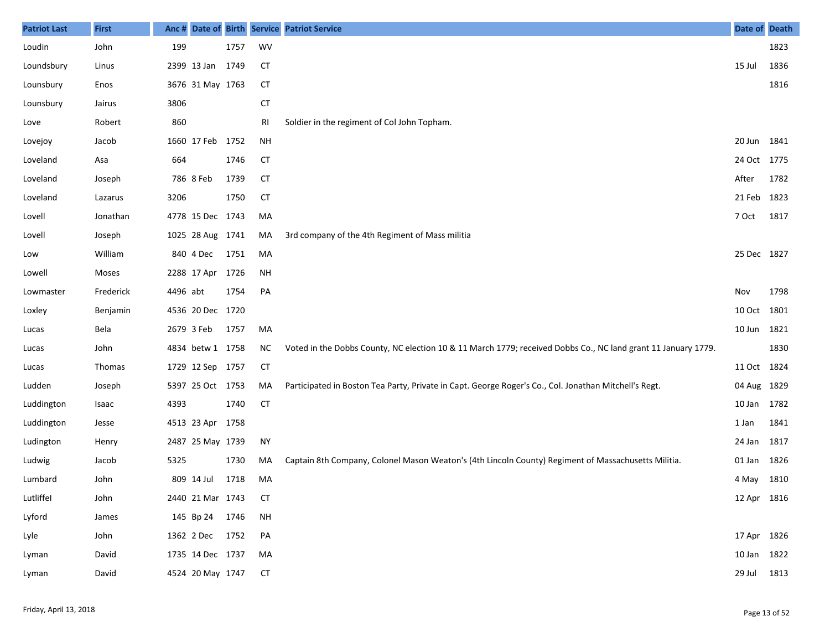| <b>Patriot Last</b> | <b>First</b>  | Anc #    |                  |      |           | Date of Birth Service Patriot Service                                                                         | Date of Death |      |
|---------------------|---------------|----------|------------------|------|-----------|---------------------------------------------------------------------------------------------------------------|---------------|------|
| Loudin              | John          | 199      |                  | 1757 | WV        |                                                                                                               |               | 1823 |
| Loundsbury          | Linus         |          | 2399 13 Jan      | 1749 | СT        |                                                                                                               | 15 Jul        | 1836 |
| Lounsbury           | Enos          |          | 3676 31 May 1763 |      | <b>CT</b> |                                                                                                               |               | 1816 |
| Lounsbury           | Jairus        | 3806     |                  |      | <b>CT</b> |                                                                                                               |               |      |
| Love                | Robert        | 860      |                  |      | RI        | Soldier in the regiment of Col John Topham.                                                                   |               |      |
| Lovejoy             | Jacob         |          | 1660 17 Feb      | 1752 | <b>NH</b> |                                                                                                               | 20 Jun 1841   |      |
| Loveland            | Asa           | 664      |                  | 1746 | <b>CT</b> |                                                                                                               | 24 Oct 1775   |      |
| Loveland            | Joseph        |          | 786 8 Feb        | 1739 | <b>CT</b> |                                                                                                               | After         | 1782 |
| Loveland            | Lazarus       | 3206     |                  | 1750 | <b>CT</b> |                                                                                                               | 21 Feb        | 1823 |
| Lovell              | Jonathan      |          | 4778 15 Dec 1743 |      | MA        |                                                                                                               | 7 Oct         | 1817 |
| Lovell              | Joseph        |          | 1025 28 Aug 1741 |      | MA        | 3rd company of the 4th Regiment of Mass militia                                                               |               |      |
| Low                 | William       |          | 840 4 Dec        | 1751 | MA        |                                                                                                               | 25 Dec 1827   |      |
| Lowell              | Moses         |          | 2288 17 Apr      | 1726 | <b>NH</b> |                                                                                                               |               |      |
| Lowmaster           | Frederick     | 4496 abt |                  | 1754 | PA        |                                                                                                               | Nov           | 1798 |
| Loxley              | Benjamin      |          | 4536 20 Dec 1720 |      |           |                                                                                                               | 10 Oct 1801   |      |
| Lucas               | Bela          |          | 2679 3 Feb       | 1757 | MA        |                                                                                                               | 10 Jun 1821   |      |
| Lucas               | John          |          | 4834 betw 1 1758 |      | ΝC        | Voted in the Dobbs County, NC election 10 & 11 March 1779; received Dobbs Co., NC land grant 11 January 1779. |               | 1830 |
| Lucas               | <b>Thomas</b> |          | 1729 12 Sep 1757 |      | <b>CT</b> |                                                                                                               | 11 Oct 1824   |      |
| Ludden              | Joseph        |          | 5397 25 Oct 1753 |      | MA        | Participated in Boston Tea Party, Private in Capt. George Roger's Co., Col. Jonathan Mitchell's Regt.         | 04 Aug 1829   |      |
| Luddington          | Isaac         | 4393     |                  | 1740 | <b>CT</b> |                                                                                                               | 10 Jan 1782   |      |
| Luddington          | Jesse         |          | 4513 23 Apr 1758 |      |           |                                                                                                               | 1 Jan         | 1841 |
| Ludington           | Henry         |          | 2487 25 May 1739 |      | <b>NY</b> |                                                                                                               | 24 Jan        | 1817 |
| Ludwig              | Jacob         | 5325     |                  | 1730 | MA        | Captain 8th Company, Colonel Mason Weaton's (4th Lincoln County) Regiment of Massachusetts Militia.           | 01 Jan        | 1826 |
| Lumbard             | John          |          | 809 14 Jul       | 1718 | MA        |                                                                                                               | 4 May 1810    |      |
| Lutliffel           | John          |          | 2440 21 Mar 1743 |      | <b>CT</b> |                                                                                                               | 12 Apr 1816   |      |
| Lyford              | James         |          | 145 Bp 24 1746   |      | <b>NH</b> |                                                                                                               |               |      |
| Lyle                | John          |          | 1362 2 Dec 1752  |      | PA        |                                                                                                               | 17 Apr 1826   |      |
| Lyman               | David         |          | 1735 14 Dec 1737 |      | MA        |                                                                                                               | 10 Jan 1822   |      |
| Lyman               | David         |          | 4524 20 May 1747 |      | <b>CT</b> |                                                                                                               | 29 Jul 1813   |      |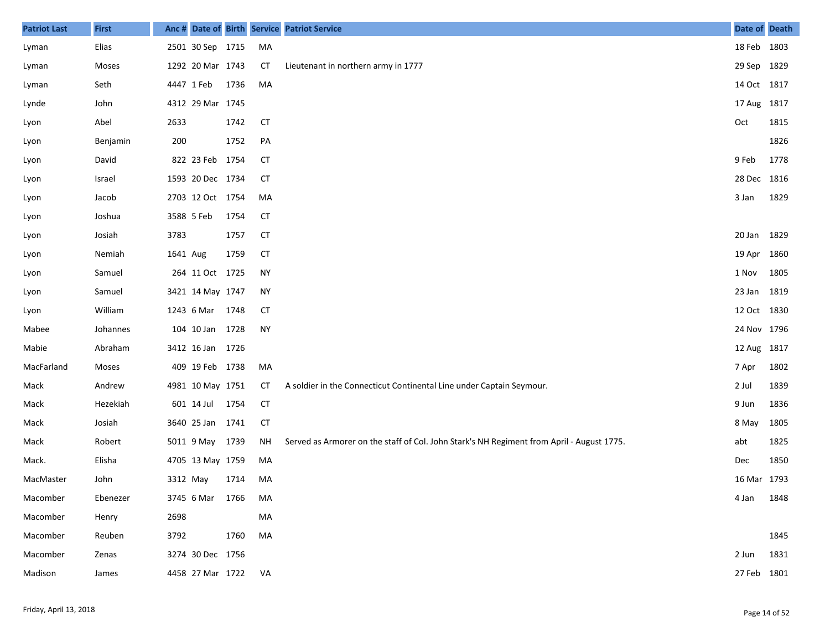| <b>Patriot Last</b> | <b>First</b> | Anc#     |                  |      |           | Date of Birth Service Patriot Service                                                     | Date of Death |      |
|---------------------|--------------|----------|------------------|------|-----------|-------------------------------------------------------------------------------------------|---------------|------|
| Lyman               | Elias        |          | 2501 30 Sep 1715 |      | MA        |                                                                                           | 18 Feb 1803   |      |
| Lyman               | Moses        |          | 1292 20 Mar 1743 |      | СT        | Lieutenant in northern army in 1777                                                       | 29 Sep        | 1829 |
| Lyman               | Seth         |          | 4447 1 Feb       | 1736 | MA        |                                                                                           | 14 Oct 1817   |      |
| Lynde               | John         |          | 4312 29 Mar 1745 |      |           |                                                                                           | 17 Aug 1817   |      |
| Lyon                | Abel         | 2633     |                  | 1742 | <b>CT</b> |                                                                                           | Oct           | 1815 |
| Lyon                | Benjamin     | 200      |                  | 1752 | PA        |                                                                                           |               | 1826 |
| Lyon                | David        |          | 822 23 Feb 1754  |      | <b>CT</b> |                                                                                           | 9 Feb         | 1778 |
| Lyon                | Israel       |          | 1593 20 Dec 1734 |      | CТ        |                                                                                           | 28 Dec 1816   |      |
| Lyon                | Jacob        |          | 2703 12 Oct 1754 |      | MA        |                                                                                           | 3 Jan         | 1829 |
| Lyon                | Joshua       |          | 3588 5 Feb       | 1754 | CT        |                                                                                           |               |      |
| Lyon                | Josiah       | 3783     |                  | 1757 | <b>CT</b> |                                                                                           | 20 Jan        | 1829 |
| Lyon                | Nemiah       | 1641 Aug |                  | 1759 | <b>CT</b> |                                                                                           | 19 Apr        | 1860 |
| Lyon                | Samuel       |          | 264 11 Oct 1725  |      | <b>NY</b> |                                                                                           | 1 Nov         | 1805 |
| Lyon                | Samuel       |          | 3421 14 May 1747 |      | <b>NY</b> |                                                                                           | 23 Jan        | 1819 |
| Lyon                | William      |          | 1243 6 Mar       | 1748 | <b>CT</b> |                                                                                           | 12 Oct 1830   |      |
| Mabee               | Johannes     |          | 104 10 Jan 1728  |      | <b>NY</b> |                                                                                           | 24 Nov 1796   |      |
| Mabie               | Abraham      |          | 3412 16 Jan 1726 |      |           |                                                                                           | 12 Aug 1817   |      |
| MacFarland          | Moses        |          | 409 19 Feb 1738  |      | MA        |                                                                                           | 7 Apr         | 1802 |
| Mack                | Andrew       |          | 4981 10 May 1751 |      | СT        | A soldier in the Connecticut Continental Line under Captain Seymour.                      | 2 Jul         | 1839 |
| Mack                | Hezekiah     |          | 601 14 Jul       | 1754 | <b>CT</b> |                                                                                           | 9 Jun         | 1836 |
| Mack                | Josiah       |          | 3640 25 Jan 1741 |      | <b>CT</b> |                                                                                           | 8 May         | 1805 |
| Mack                | Robert       |          | 5011 9 May 1739  |      | ΝH        | Served as Armorer on the staff of Col. John Stark's NH Regiment from April - August 1775. | abt           | 1825 |
| Mack.               | Elisha       |          | 4705 13 May 1759 |      | MA        |                                                                                           | Dec           | 1850 |
| MacMaster           | John         | 3312 May |                  | 1714 | MA        |                                                                                           | 16 Mar 1793   |      |
| Macomber            | Ebenezer     |          | 3745 6 Mar       | 1766 | MA        |                                                                                           | 4 Jan         | 1848 |
| Macomber            | Henry        | 2698     |                  |      | MA        |                                                                                           |               |      |
| Macomber            | Reuben       | 3792     |                  | 1760 | MA        |                                                                                           |               | 1845 |
| Macomber            | Zenas        |          | 3274 30 Dec 1756 |      |           |                                                                                           | 2 Jun         | 1831 |
| Madison             | James        |          | 4458 27 Mar 1722 |      | VA        |                                                                                           | 27 Feb 1801   |      |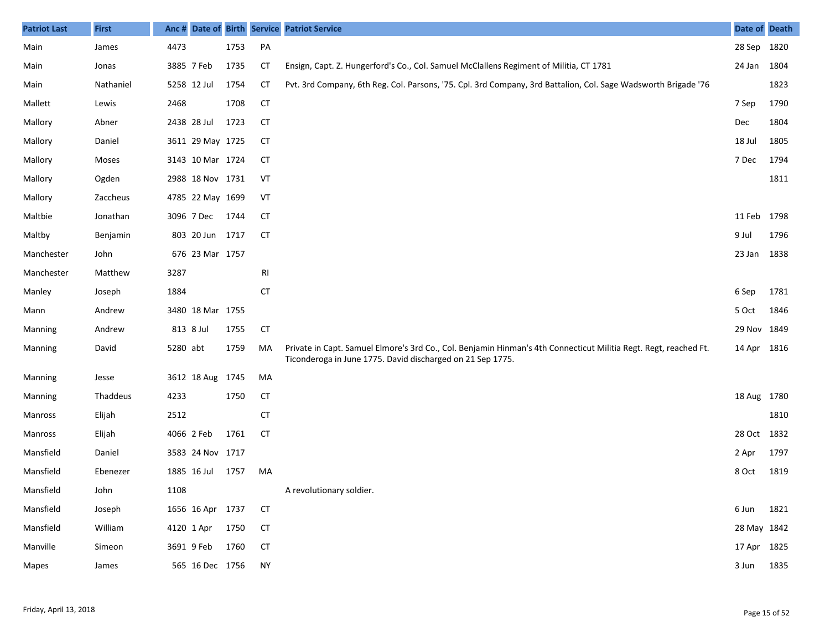| <b>Patriot Last</b> | <b>First</b> | Anc #       |                  |      |                | Date of Birth Service Patriot Service                                                                                                                                          | Date of Death |      |
|---------------------|--------------|-------------|------------------|------|----------------|--------------------------------------------------------------------------------------------------------------------------------------------------------------------------------|---------------|------|
| Main                | James        | 4473        |                  | 1753 | PA             |                                                                                                                                                                                | 28 Sep 1820   |      |
| Main                | Jonas        | 3885 7 Feb  |                  | 1735 | СT             | Ensign, Capt. Z. Hungerford's Co., Col. Samuel McClallens Regiment of Militia, CT 1781                                                                                         | 24 Jan 1804   |      |
| Main                | Nathaniel    | 5258 12 Jul |                  | 1754 | <b>CT</b>      | Pvt. 3rd Company, 6th Reg. Col. Parsons, '75. Cpl. 3rd Company, 3rd Battalion, Col. Sage Wadsworth Brigade '76                                                                 |               | 1823 |
| Mallett             | Lewis        | 2468        |                  | 1708 | <b>CT</b>      |                                                                                                                                                                                | 7 Sep         | 1790 |
| Mallory             | Abner        |             | 2438 28 Jul      | 1723 | <b>CT</b>      |                                                                                                                                                                                | Dec           | 1804 |
| Mallory             | Daniel       |             | 3611 29 May 1725 |      | CТ             |                                                                                                                                                                                | 18 Jul        | 1805 |
| Mallory             | Moses        |             | 3143 10 Mar 1724 |      | <b>CT</b>      |                                                                                                                                                                                | 7 Dec         | 1794 |
| Mallory             | Ogden        |             | 2988 18 Nov 1731 |      | VT             |                                                                                                                                                                                |               | 1811 |
| Mallory             | Zaccheus     |             | 4785 22 May 1699 |      | VT             |                                                                                                                                                                                |               |      |
| Maltbie             | Jonathan     |             | 3096 7 Dec       | 1744 | CT             |                                                                                                                                                                                | 11 Feb 1798   |      |
| Maltby              | Benjamin     |             | 803 20 Jun 1717  |      | <b>CT</b>      |                                                                                                                                                                                | 9 Jul         | 1796 |
| Manchester          | John         |             | 676 23 Mar 1757  |      |                |                                                                                                                                                                                | 23 Jan 1838   |      |
| Manchester          | Matthew      | 3287        |                  |      | R <sub>l</sub> |                                                                                                                                                                                |               |      |
| Manley              | Joseph       | 1884        |                  |      | <b>CT</b>      |                                                                                                                                                                                | 6 Sep         | 1781 |
| Mann                | Andrew       |             | 3480 18 Mar 1755 |      |                |                                                                                                                                                                                | 5 Oct         | 1846 |
| <b>Manning</b>      | Andrew       | 813 8 Jul   |                  | 1755 | <b>CT</b>      |                                                                                                                                                                                | 29 Nov 1849   |      |
| <b>Manning</b>      | David        | 5280 abt    |                  | 1759 | MA             | Private in Capt. Samuel Elmore's 3rd Co., Col. Benjamin Hinman's 4th Connecticut Militia Regt. Regt, reached Ft.<br>Ticonderoga in June 1775. David discharged on 21 Sep 1775. | 14 Apr 1816   |      |
| <b>Manning</b>      | Jesse        |             | 3612 18 Aug 1745 |      | МA             |                                                                                                                                                                                |               |      |
| <b>Manning</b>      | Thaddeus     | 4233        |                  | 1750 | <b>CT</b>      |                                                                                                                                                                                | 18 Aug 1780   |      |
| Manross             | Elijah       | 2512        |                  |      | <b>CT</b>      |                                                                                                                                                                                |               | 1810 |
| Manross             | Elijah       | 4066 2 Feb  |                  | 1761 | <b>CT</b>      |                                                                                                                                                                                | 28 Oct 1832   |      |
| Mansfield           | Daniel       |             | 3583 24 Nov 1717 |      |                |                                                                                                                                                                                | 2 Apr         | 1797 |
| Mansfield           | Ebenezer     |             | 1885 16 Jul      | 1757 | MA             |                                                                                                                                                                                | 8 Oct         | 1819 |
| Mansfield           | John         | 1108        |                  |      |                | A revolutionary soldier.                                                                                                                                                       |               |      |
| Mansfield           | Joseph       |             | 1656 16 Apr 1737 |      | <b>CT</b>      |                                                                                                                                                                                | 6 Jun 1821    |      |
| Mansfield           | William      |             | 4120 1 Apr 1750  |      | <b>CT</b>      |                                                                                                                                                                                | 28 May 1842   |      |
| Manville            | Simeon       |             | 3691 9 Feb 1760  |      | <b>CT</b>      |                                                                                                                                                                                | 17 Apr 1825   |      |
| Mapes               | James        |             | 565 16 Dec 1756  |      | <b>NY</b>      |                                                                                                                                                                                | 3 Jun 1835    |      |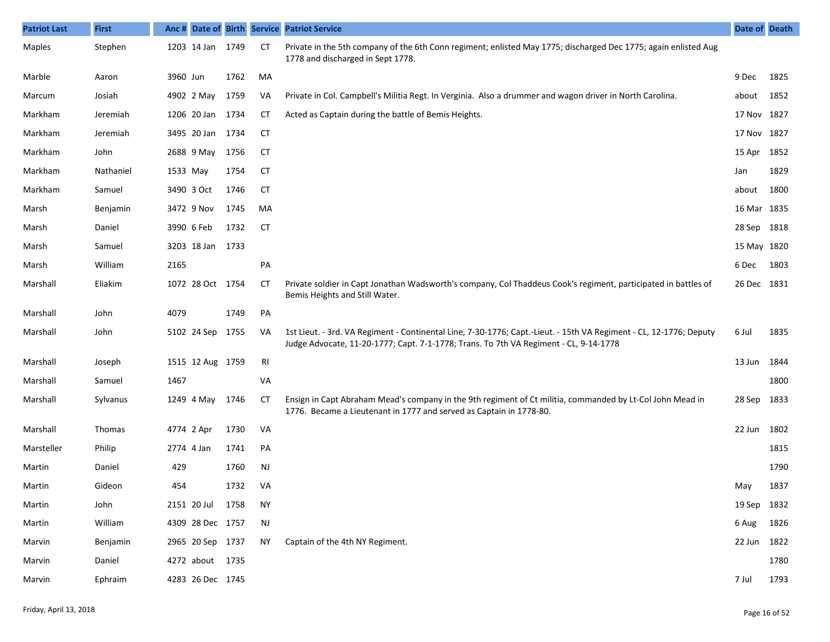| <b>Patriot Last</b> | <b>First</b>  |          |                  |      |           | Anc # Date of Birth Service Patriot Service                                                                                                                                                                 | Date of Death |      |
|---------------------|---------------|----------|------------------|------|-----------|-------------------------------------------------------------------------------------------------------------------------------------------------------------------------------------------------------------|---------------|------|
| Maples              | Stephen       |          | 1203 14 Jan      | 1749 | CT        | Private in the 5th company of the 6th Conn regiment; enlisted May 1775; discharged Dec 1775; again enlisted Aug<br>1778 and discharged in Sept 1778.                                                        |               |      |
| Marble              | Aaron         | 3960 Jun |                  | 1762 | MA        |                                                                                                                                                                                                             | 9 Dec         | 1825 |
| Marcum              | Josiah        |          | 4902 2 May       | 1759 | VA        | Private in Col. Campbell's Militia Regt. In Verginia. Also a drummer and wagon driver in North Carolina.                                                                                                    | about         | 1852 |
| Markham             | Jeremiah      |          | 1206 20 Jan 1734 |      | СT        | Acted as Captain during the battle of Bemis Heights.                                                                                                                                                        | 17 Nov 1827   |      |
| Markham             | Jeremiah      |          | 3495 20 Jan 1734 |      | СT        |                                                                                                                                                                                                             | 17 Nov 1827   |      |
| Markham             | John          |          | 2688 9 May       | 1756 | <b>CT</b> |                                                                                                                                                                                                             | 15 Apr 1852   |      |
| Markham             | Nathaniel     | 1533 May |                  | 1754 | <b>CT</b> |                                                                                                                                                                                                             | Jan           | 1829 |
| Markham             | Samuel        |          | 3490 3 Oct       | 1746 | <b>CT</b> |                                                                                                                                                                                                             | about         | 1800 |
| Marsh               | Benjamin      |          | 3472 9 Nov       | 1745 | MA        |                                                                                                                                                                                                             | 16 Mar 1835   |      |
| Marsh               | Daniel        |          | 3990 6 Feb       | 1732 | СT        |                                                                                                                                                                                                             | 28 Sep 1818   |      |
| Marsh               | Samuel        |          | 3203 18 Jan 1733 |      |           |                                                                                                                                                                                                             | 15 May 1820   |      |
| Marsh               | William       | 2165     |                  |      | PA        |                                                                                                                                                                                                             | 6 Dec         | 1803 |
| Marshall            | Eliakim       |          | 1072 28 Oct 1754 |      | CT        | Private soldier in Capt Jonathan Wadsworth's company, Col Thaddeus Cook's regiment, participated in battles of<br>Bemis Heights and Still Water.                                                            | 26 Dec 1831   |      |
| Marshall            | John          | 4079     |                  | 1749 | PA        |                                                                                                                                                                                                             |               |      |
| Marshall            | John          |          | 5102 24 Sep 1755 |      | VA        | 1st Lieut. - 3rd. VA Regiment - Continental Line, 7-30-1776; Capt.-Lieut. - 15th VA Regiment - CL, 12-1776; Deputy<br>Judge Advocate, 11-20-1777; Capt. 7-1-1778; Trans. To 7th VA Regiment - CL, 9-14-1778 | 6 Jul         | 1835 |
| Marshall            | Joseph        |          | 1515 12 Aug 1759 |      | RI        |                                                                                                                                                                                                             | 13 Jun 1844   |      |
| Marshall            | Samuel        | 1467     |                  |      | VA        |                                                                                                                                                                                                             |               | 1800 |
| Marshall            | Sylvanus      |          | 1249 4 May       | 1746 | <b>CT</b> | Ensign in Capt Abraham Mead's company in the 9th regiment of Ct militia, commanded by Lt-Col John Mead in<br>1776. Became a Lieutenant in 1777 and served as Captain in 1778-80.                            | 28 Sep        | 1833 |
| Marshall            | <b>Thomas</b> |          | 4774 2 Apr       | 1730 | VA        |                                                                                                                                                                                                             | 22 Jun 1802   |      |
| Marsteller          | Philip        |          | 2774 4 Jan       | 1741 | PA        |                                                                                                                                                                                                             |               | 1815 |
| Martin              | Daniel        | 429      |                  | 1760 | <b>NJ</b> |                                                                                                                                                                                                             |               | 1790 |
| Martin              | Gideon        | 454      |                  | 1732 | VA        |                                                                                                                                                                                                             | May           | 1837 |
| Martin              | John          |          | 2151 20 Jul 1758 |      | NY        |                                                                                                                                                                                                             | 19 Sep 1832   |      |
| Martin              | William       |          | 4309 28 Dec 1757 |      | <b>NJ</b> |                                                                                                                                                                                                             | 6 Aug         | 1826 |
| Marvin              | Benjamin      |          | 2965 20 Sep 1737 |      | ΝY        | Captain of the 4th NY Regiment.                                                                                                                                                                             | 22 Jun 1822   |      |
| Marvin              | Daniel        |          | 4272 about 1735  |      |           |                                                                                                                                                                                                             |               | 1780 |
| Marvin              | Ephraim       |          | 4283 26 Dec 1745 |      |           |                                                                                                                                                                                                             | 7 Jul         | 1793 |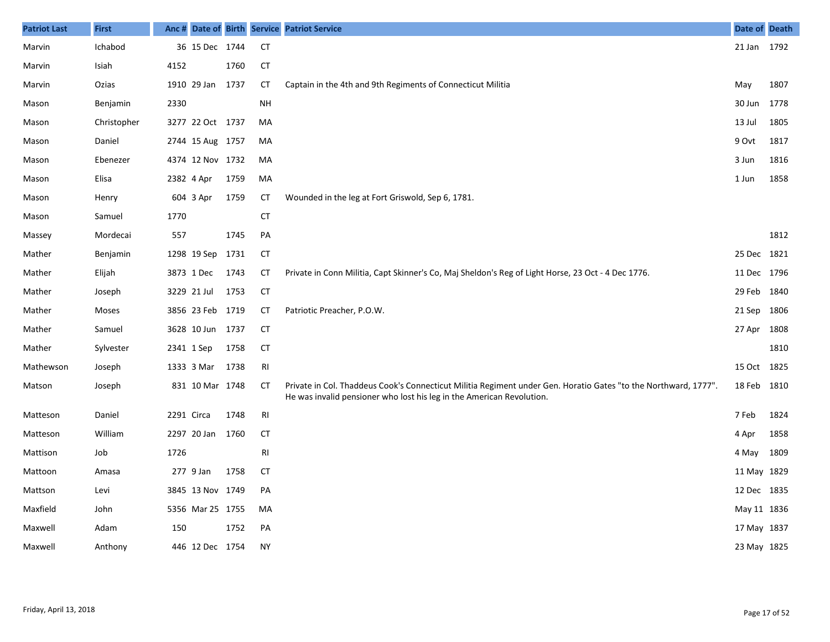| <b>Patriot Last</b> | <b>First</b> | Anc#       |                  |      |               | Date of Birth Service Patriot Service                                                                                                                                                    | Date of Death |      |
|---------------------|--------------|------------|------------------|------|---------------|------------------------------------------------------------------------------------------------------------------------------------------------------------------------------------------|---------------|------|
| Marvin              | Ichabod      |            | 36 15 Dec 1744   |      | <b>CT</b>     |                                                                                                                                                                                          | 21 Jan 1792   |      |
| Marvin              | Isiah        | 4152       |                  | 1760 | <b>CT</b>     |                                                                                                                                                                                          |               |      |
| Marvin              | Ozias        |            | 1910 29 Jan      | 1737 | СT            | Captain in the 4th and 9th Regiments of Connecticut Militia                                                                                                                              | May           | 1807 |
| Mason               | Benjamin     | 2330       |                  |      | <b>NH</b>     |                                                                                                                                                                                          | 30 Jun        | 1778 |
| Mason               | Christopher  |            | 3277 22 Oct 1737 |      | MA            |                                                                                                                                                                                          | 13 Jul        | 1805 |
| Mason               | Daniel       |            | 2744 15 Aug 1757 |      | MA            |                                                                                                                                                                                          | 9 Ovt         | 1817 |
| Mason               | Ebenezer     |            | 4374 12 Nov 1732 |      | MA            |                                                                                                                                                                                          | 3 Jun         | 1816 |
| Mason               | Elisa        |            | 2382 4 Apr       | 1759 | MA            |                                                                                                                                                                                          | 1 Jun         | 1858 |
| Mason               | Henry        |            | 604 3 Apr        | 1759 | СT            | Wounded in the leg at Fort Griswold, Sep 6, 1781.                                                                                                                                        |               |      |
| Mason               | Samuel       | 1770       |                  |      | <b>CT</b>     |                                                                                                                                                                                          |               |      |
| Massey              | Mordecai     | 557        |                  | 1745 | PA            |                                                                                                                                                                                          |               | 1812 |
| Mather              | Benjamin     |            | 1298 19 Sep      | 1731 | CT            |                                                                                                                                                                                          | 25 Dec 1821   |      |
| Mather              | Elijah       |            | 3873 1 Dec       | 1743 | <b>CT</b>     | Private in Conn Militia, Capt Skinner's Co, Maj Sheldon's Reg of Light Horse, 23 Oct - 4 Dec 1776.                                                                                       | 11 Dec 1796   |      |
| Mather              | Joseph       |            | 3229 21 Jul      | 1753 | <b>CT</b>     |                                                                                                                                                                                          | 29 Feb 1840   |      |
| Mather              | Moses        |            | 3856 23 Feb 1719 |      | <b>CT</b>     | Patriotic Preacher, P.O.W.                                                                                                                                                               | 21 Sep 1806   |      |
| Mather              | Samuel       |            | 3628 10 Jun 1737 |      | <b>CT</b>     |                                                                                                                                                                                          | 27 Apr 1808   |      |
| Mather              | Sylvester    |            | 2341 1 Sep       | 1758 | <b>CT</b>     |                                                                                                                                                                                          |               | 1810 |
| Mathewson           | Joseph       |            | 1333 3 Mar       | 1738 | RI            |                                                                                                                                                                                          | 15 Oct 1825   |      |
| Matson              | Joseph       |            | 831 10 Mar 1748  |      | <b>CT</b>     | Private in Col. Thaddeus Cook's Connecticut Militia Regiment under Gen. Horatio Gates "to the Northward, 1777".<br>He was invalid pensioner who lost his leg in the American Revolution. | 18 Feb 1810   |      |
| Matteson            | Daniel       | 2291 Circa |                  | 1748 | $\mathsf{RI}$ |                                                                                                                                                                                          | 7 Feb         | 1824 |
| Matteson            | William      |            | 2297 20 Jan 1760 |      | <b>CT</b>     |                                                                                                                                                                                          | 4 Apr         | 1858 |
| Mattison            | Job          | 1726       |                  |      | RI            |                                                                                                                                                                                          | 4 May         | 1809 |
| Mattoon             | Amasa        |            | 277 9 Jan        | 1758 | <b>CT</b>     |                                                                                                                                                                                          | 11 May 1829   |      |
| Mattson             | Levi         |            | 3845 13 Nov 1749 |      | PA            |                                                                                                                                                                                          | 12 Dec 1835   |      |
| Maxfield            | John         |            | 5356 Mar 25 1755 |      | MA            |                                                                                                                                                                                          | May 11 1836   |      |
| Maxwell             | Adam         | 150        |                  | 1752 | PA            |                                                                                                                                                                                          | 17 May 1837   |      |
| Maxwell             | Anthony      |            | 446 12 Dec 1754  |      | <b>NY</b>     |                                                                                                                                                                                          | 23 May 1825   |      |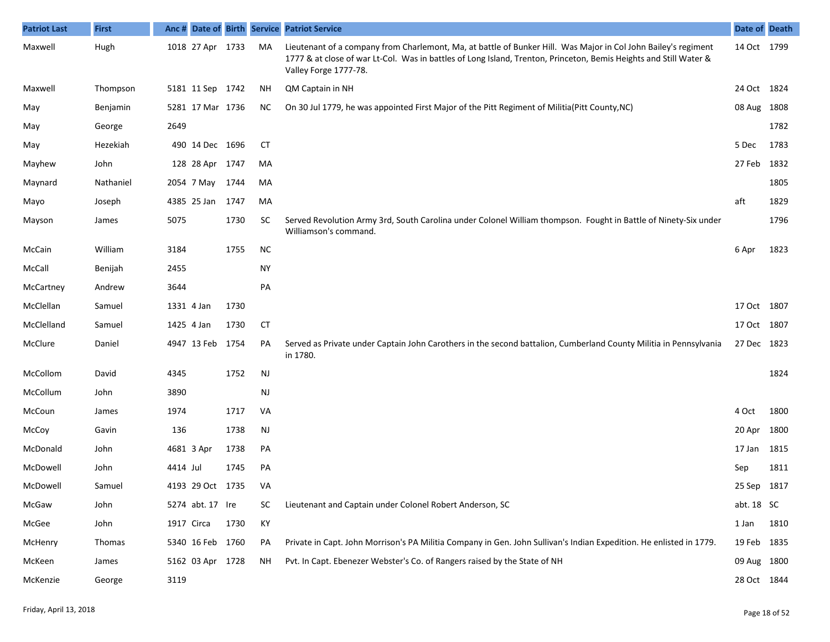| <b>Patriot Last</b> | <b>First</b> | Anc#       |                  |      |           | Date of Birth Service Patriot Service                                                                                                                                                                                                                        | Date of Death |      |
|---------------------|--------------|------------|------------------|------|-----------|--------------------------------------------------------------------------------------------------------------------------------------------------------------------------------------------------------------------------------------------------------------|---------------|------|
| Maxwell             | Hugh         |            | 1018 27 Apr 1733 |      | MA        | Lieutenant of a company from Charlemont, Ma, at battle of Bunker Hill. Was Major in Col John Bailey's regiment<br>1777 & at close of war Lt-Col. Was in battles of Long Island, Trenton, Princeton, Bemis Heights and Still Water &<br>Valley Forge 1777-78. | 14 Oct 1799   |      |
| Maxwell             | Thompson     |            | 5181 11 Sep 1742 |      | NΗ        | QM Captain in NH                                                                                                                                                                                                                                             | 24 Oct 1824   |      |
| May                 | Benjamin     |            | 5281 17 Mar 1736 |      | NC.       | On 30 Jul 1779, he was appointed First Major of the Pitt Regiment of Militia(Pitt County, NC)                                                                                                                                                                | 08 Aug 1808   |      |
| May                 | George       | 2649       |                  |      |           |                                                                                                                                                                                                                                                              |               | 1782 |
| May                 | Hezekiah     |            | 490 14 Dec 1696  |      | CT        |                                                                                                                                                                                                                                                              | 5 Dec         | 1783 |
| Mayhew              | John         |            | 128 28 Apr       | 1747 | MA        |                                                                                                                                                                                                                                                              | 27 Feb 1832   |      |
| Maynard             | Nathaniel    |            | 2054 7 May       | 1744 | MA        |                                                                                                                                                                                                                                                              |               | 1805 |
| Mayo                | Joseph       |            | 4385 25 Jan      | 1747 | MA        |                                                                                                                                                                                                                                                              | aft           | 1829 |
| Mayson              | James        | 5075       |                  | 1730 | <b>SC</b> | Served Revolution Army 3rd, South Carolina under Colonel William thompson. Fought in Battle of Ninety-Six under<br>Williamson's command.                                                                                                                     |               | 1796 |
| McCain              | William      | 3184       |                  | 1755 | <b>NC</b> |                                                                                                                                                                                                                                                              | 6 Apr         | 1823 |
| McCall              | Benijah      | 2455       |                  |      | <b>NY</b> |                                                                                                                                                                                                                                                              |               |      |
| McCartney           | Andrew       | 3644       |                  |      | PA        |                                                                                                                                                                                                                                                              |               |      |
| McClellan           | Samuel       | 1331 4 Jan |                  | 1730 |           |                                                                                                                                                                                                                                                              | 17 Oct 1807   |      |
| McClelland          | Samuel       | 1425 4 Jan |                  | 1730 | CT        |                                                                                                                                                                                                                                                              | 17 Oct 1807   |      |
| McClure             | Daniel       |            | 4947 13 Feb 1754 |      | PA        | Served as Private under Captain John Carothers in the second battalion, Cumberland County Militia in Pennsylvania<br>in 1780.                                                                                                                                | 27 Dec 1823   |      |
| McCollom            | David        | 4345       |                  | 1752 | NJ        |                                                                                                                                                                                                                                                              |               | 1824 |
| McCollum            | John         | 3890       |                  |      | NJ        |                                                                                                                                                                                                                                                              |               |      |
| McCoun              | James        | 1974       |                  | 1717 | VA        |                                                                                                                                                                                                                                                              | 4 Oct         | 1800 |
| McCoy               | Gavin        | 136        |                  | 1738 | <b>NJ</b> |                                                                                                                                                                                                                                                              | 20 Apr 1800   |      |
| McDonald            | John         |            | 4681 3 Apr       | 1738 | PA        |                                                                                                                                                                                                                                                              | 17 Jan        | 1815 |
| McDowell            | John         | 4414 Jul   |                  | 1745 | PA        |                                                                                                                                                                                                                                                              | Sep           | 1811 |
| McDowell            | Samuel       |            | 4193 29 Oct 1735 |      | VA        |                                                                                                                                                                                                                                                              | 25 Sep 1817   |      |
| McGaw               | John         |            | 5274 abt. 17 Ire |      | SC        | Lieutenant and Captain under Colonel Robert Anderson, SC                                                                                                                                                                                                     | abt. 18 SC    |      |
| McGee               | John         | 1917 Circa |                  | 1730 | KY        |                                                                                                                                                                                                                                                              | 1 Jan         | 1810 |
| McHenry             | Thomas       |            | 5340 16 Feb 1760 |      | PA        | Private in Capt. John Morrison's PA Militia Company in Gen. John Sullivan's Indian Expedition. He enlisted in 1779.                                                                                                                                          | 19 Feb 1835   |      |
| McKeen              | James        |            | 5162 03 Apr 1728 |      | ΝH        | Pvt. In Capt. Ebenezer Webster's Co. of Rangers raised by the State of NH                                                                                                                                                                                    | 09 Aug 1800   |      |
| McKenzie            | George       | 3119       |                  |      |           |                                                                                                                                                                                                                                                              | 28 Oct 1844   |      |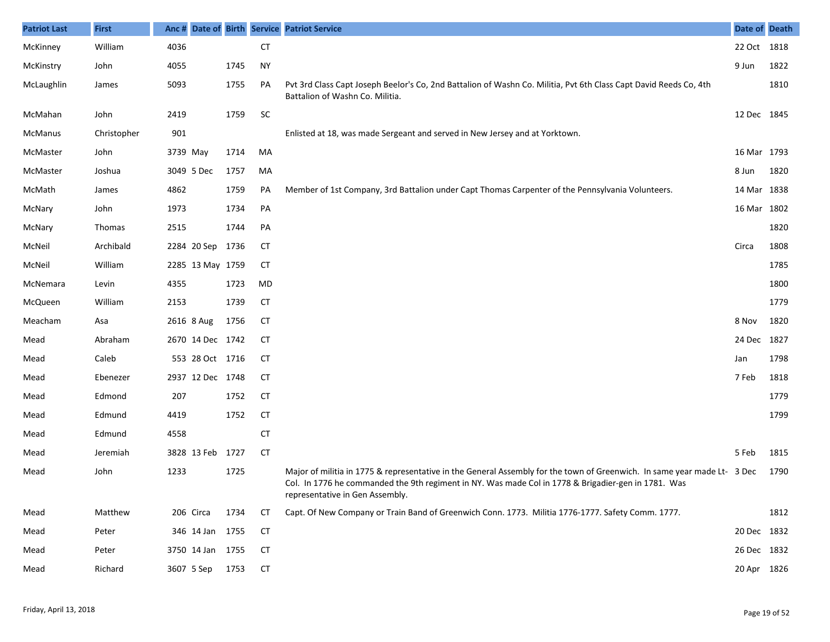| <b>Patriot Last</b> | <b>First</b> | Anc #      |                  |      |           | Date of Birth Service Patriot Service                                                                                                                                                                                                                              | Date of Death |      |
|---------------------|--------------|------------|------------------|------|-----------|--------------------------------------------------------------------------------------------------------------------------------------------------------------------------------------------------------------------------------------------------------------------|---------------|------|
| McKinney            | William      | 4036       |                  |      | <b>CT</b> |                                                                                                                                                                                                                                                                    | 22 Oct 1818   |      |
| McKinstry           | John         | 4055       |                  | 1745 | <b>NY</b> |                                                                                                                                                                                                                                                                    | 9 Jun         | 1822 |
| McLaughlin          | James        | 5093       |                  | 1755 | PA        | Pvt 3rd Class Capt Joseph Beelor's Co, 2nd Battalion of Washn Co. Militia, Pvt 6th Class Capt David Reeds Co, 4th<br>Battalion of Washn Co. Militia.                                                                                                               |               | 1810 |
| McMahan             | John         | 2419       |                  | 1759 | SC        |                                                                                                                                                                                                                                                                    | 12 Dec 1845   |      |
| McManus             | Christopher  | 901        |                  |      |           | Enlisted at 18, was made Sergeant and served in New Jersey and at Yorktown.                                                                                                                                                                                        |               |      |
| McMaster            | John         | 3739 May   |                  | 1714 | MA        |                                                                                                                                                                                                                                                                    | 16 Mar 1793   |      |
| McMaster            | Joshua       | 3049 5 Dec |                  | 1757 | MA        |                                                                                                                                                                                                                                                                    | 8 Jun         | 1820 |
| McMath              | James        | 4862       |                  | 1759 | PA        | Member of 1st Company, 3rd Battalion under Capt Thomas Carpenter of the Pennsylvania Volunteers.                                                                                                                                                                   | 14 Mar 1838   |      |
| McNary              | John         | 1973       |                  | 1734 | PA        |                                                                                                                                                                                                                                                                    | 16 Mar 1802   |      |
| McNary              | Thomas       | 2515       |                  | 1744 | PA        |                                                                                                                                                                                                                                                                    |               | 1820 |
| McNeil              | Archibald    |            | 2284 20 Sep      | 1736 | CT        |                                                                                                                                                                                                                                                                    | Circa         | 1808 |
| McNeil              | William      |            | 2285 13 May 1759 |      | <b>CT</b> |                                                                                                                                                                                                                                                                    |               | 1785 |
| McNemara            | Levin        | 4355       |                  | 1723 | MD        |                                                                                                                                                                                                                                                                    |               | 1800 |
| McQueen             | William      | 2153       |                  | 1739 | <b>CT</b> |                                                                                                                                                                                                                                                                    |               | 1779 |
| Meacham             | Asa          | 2616 8 Aug |                  | 1756 | <b>CT</b> |                                                                                                                                                                                                                                                                    | 8 Nov         | 1820 |
| Mead                | Abraham      |            | 2670 14 Dec 1742 |      | СT        |                                                                                                                                                                                                                                                                    | 24 Dec 1827   |      |
| Mead                | Caleb        |            | 553 28 Oct 1716  |      | <b>CT</b> |                                                                                                                                                                                                                                                                    | Jan           | 1798 |
| Mead                | Ebenezer     |            | 2937 12 Dec 1748 |      | <b>CT</b> |                                                                                                                                                                                                                                                                    | 7 Feb         | 1818 |
| Mead                | Edmond       | 207        |                  | 1752 | <b>CT</b> |                                                                                                                                                                                                                                                                    |               | 1779 |
| Mead                | Edmund       | 4419       |                  | 1752 | <b>CT</b> |                                                                                                                                                                                                                                                                    |               | 1799 |
| Mead                | Edmund       | 4558       |                  |      | <b>CT</b> |                                                                                                                                                                                                                                                                    |               |      |
| Mead                | Jeremiah     |            | 3828 13 Feb 1727 |      | <b>CT</b> |                                                                                                                                                                                                                                                                    | 5 Feb         | 1815 |
| Mead                | John         | 1233       |                  | 1725 |           | Major of militia in 1775 & representative in the General Assembly for the town of Greenwich. In same year made Lt- 3 Dec<br>Col. In 1776 he commanded the 9th regiment in NY. Was made Col in 1778 & Brigadier-gen in 1781. Was<br>representative in Gen Assembly. |               | 1790 |
| Mead                | Matthew      |            | 206 Circa        | 1734 | CT        | Capt. Of New Company or Train Band of Greenwich Conn. 1773. Militia 1776-1777. Safety Comm. 1777.                                                                                                                                                                  |               | 1812 |
| Mead                | Peter        |            | 346 14 Jan 1755  |      | <b>CT</b> |                                                                                                                                                                                                                                                                    | 20 Dec 1832   |      |
| Mead                | Peter        |            | 3750 14 Jan 1755 |      | <b>CT</b> |                                                                                                                                                                                                                                                                    | 26 Dec 1832   |      |
| Mead                | Richard      | 3607 5 Sep |                  | 1753 | <b>CT</b> |                                                                                                                                                                                                                                                                    | 20 Apr 1826   |      |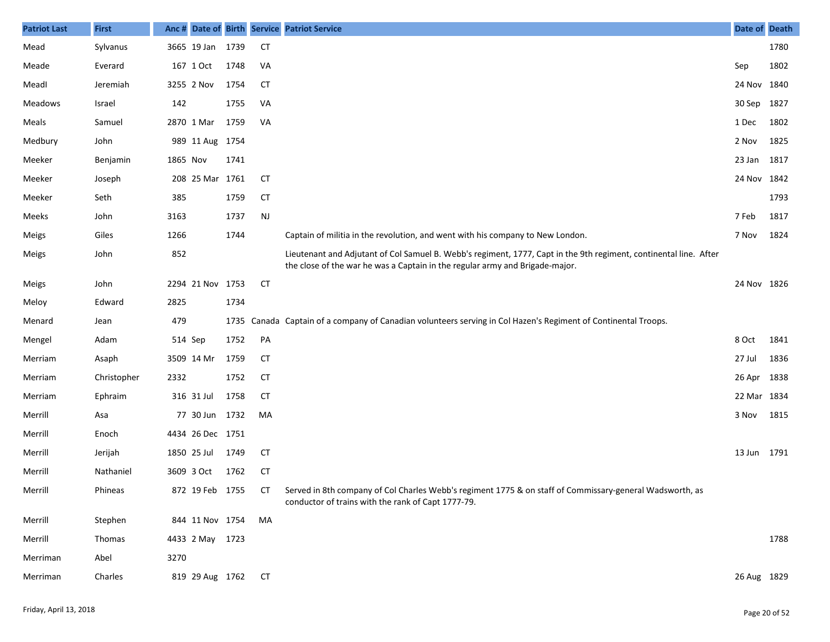| <b>Patriot Last</b> | <b>First</b> |          |                    |      |           | Anc # Date of Birth Service Patriot Service                                                                                                                                                       | Date of Death |      |
|---------------------|--------------|----------|--------------------|------|-----------|---------------------------------------------------------------------------------------------------------------------------------------------------------------------------------------------------|---------------|------|
| Mead                | Sylvanus     |          | 3665 19 Jan        | 1739 | <b>CT</b> |                                                                                                                                                                                                   |               | 1780 |
| Meade               | Everard      |          | 167 1 Oct          | 1748 | VA        |                                                                                                                                                                                                   | Sep           | 1802 |
| Meadl               | Jeremiah     |          | 3255 2 Nov         | 1754 | <b>CT</b> |                                                                                                                                                                                                   | 24 Nov 1840   |      |
| Meadows             | Israel       | 142      |                    | 1755 | VA        |                                                                                                                                                                                                   | 30 Sep        | 1827 |
| Meals               | Samuel       |          | 2870 1 Mar         | 1759 | VA        |                                                                                                                                                                                                   | 1 Dec         | 1802 |
| Medbury             | John         |          | 989 11 Aug 1754    |      |           |                                                                                                                                                                                                   | 2 Nov         | 1825 |
| Meeker              | Benjamin     | 1865 Nov |                    | 1741 |           |                                                                                                                                                                                                   | 23 Jan        | 1817 |
| Meeker              | Joseph       |          | 208 25 Mar 1761    |      | <b>CT</b> |                                                                                                                                                                                                   | 24 Nov 1842   |      |
| Meeker              | Seth         | 385      |                    | 1759 | <b>CT</b> |                                                                                                                                                                                                   |               | 1793 |
| Meeks               | John         | 3163     |                    | 1737 | <b>NJ</b> |                                                                                                                                                                                                   | 7 Feb         | 1817 |
| Meigs               | Giles        | 1266     |                    | 1744 |           | Captain of militia in the revolution, and went with his company to New London.                                                                                                                    | 7 Nov         | 1824 |
| Meigs               | John         | 852      |                    |      |           | Lieutenant and Adjutant of Col Samuel B. Webb's regiment, 1777, Capt in the 9th regiment, continental line. After<br>the close of the war he was a Captain in the regular army and Brigade-major. |               |      |
| Meigs               | John         |          | 2294 21 Nov 1753   |      | CT        |                                                                                                                                                                                                   | 24 Nov 1826   |      |
| Meloy               | Edward       | 2825     |                    | 1734 |           |                                                                                                                                                                                                   |               |      |
| Menard              | Jean         | 479      |                    | 1735 |           | Canada Captain of a company of Canadian volunteers serving in Col Hazen's Regiment of Continental Troops.                                                                                         |               |      |
| Mengel              | Adam         | 514 Sep  |                    | 1752 | PA        |                                                                                                                                                                                                   | 8 Oct         | 1841 |
| Merriam             | Asaph        |          | 3509 14 Mr         | 1759 | CT        |                                                                                                                                                                                                   | 27 Jul        | 1836 |
| Merriam             | Christopher  | 2332     |                    | 1752 | <b>CT</b> |                                                                                                                                                                                                   | 26 Apr        | 1838 |
| Merriam             | Ephraim      |          | 316 31 Jul         | 1758 | CT        |                                                                                                                                                                                                   | 22 Mar 1834   |      |
| Merrill             | Asa          |          | 77 30 Jun 1732     |      | MA        |                                                                                                                                                                                                   | 3 Nov         | 1815 |
| Merrill             | Enoch        |          | 4434 26 Dec 1751   |      |           |                                                                                                                                                                                                   |               |      |
| Merrill             | Jerijah      |          | 1850 25 Jul        | 1749 | CT        |                                                                                                                                                                                                   | 13 Jun 1791   |      |
| Merrill             | Nathaniel    |          | 3609 3 Oct         | 1762 | <b>CT</b> |                                                                                                                                                                                                   |               |      |
| Merrill             | Phineas      |          | 872 19 Feb 1755    |      | CT .      | Served in 8th company of Col Charles Webb's regiment 1775 & on staff of Commissary-general Wadsworth, as<br>conductor of trains with the rank of Capt 1777-79.                                    |               |      |
| Merrill             | Stephen      |          | 844 11 Nov 1754    |      | MA        |                                                                                                                                                                                                   |               |      |
| Merrill             | Thomas       |          | 4433 2 May 1723    |      |           |                                                                                                                                                                                                   |               | 1788 |
| Merriman            | Abel         | 3270     |                    |      |           |                                                                                                                                                                                                   |               |      |
| Merriman            | Charles      |          | 819 29 Aug 1762 CT |      |           |                                                                                                                                                                                                   | 26 Aug 1829   |      |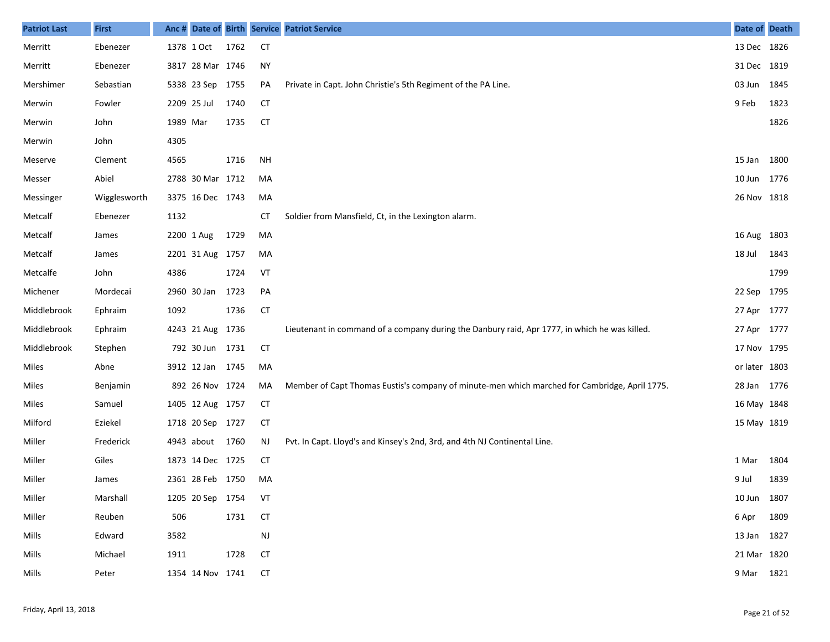| <b>Patriot Last</b> | <b>First</b> | Anc #    |                  |      |               | Date of Birth Service Patriot Service                                                         | Date of Death |      |
|---------------------|--------------|----------|------------------|------|---------------|-----------------------------------------------------------------------------------------------|---------------|------|
| Merritt             | Ebenezer     |          | 1378 1 Oct       | 1762 | <b>CT</b>     |                                                                                               | 13 Dec 1826   |      |
| Merritt             | Ebenezer     |          | 3817 28 Mar 1746 |      | <b>NY</b>     |                                                                                               | 31 Dec 1819   |      |
| Mershimer           | Sebastian    |          | 5338 23 Sep 1755 |      | PA            | Private in Capt. John Christie's 5th Regiment of the PA Line.                                 | 03 Jun 1845   |      |
| Merwin              | Fowler       |          | 2209 25 Jul      | 1740 | <b>CT</b>     |                                                                                               | 9 Feb         | 1823 |
| Merwin              | John         | 1989 Mar |                  | 1735 | <b>CT</b>     |                                                                                               |               | 1826 |
| Merwin              | John         | 4305     |                  |      |               |                                                                                               |               |      |
| Meserve             | Clement      | 4565     |                  | 1716 | <b>NH</b>     |                                                                                               | 15 Jan 1800   |      |
| Messer              | Abiel        |          | 2788 30 Mar 1712 |      | MA            |                                                                                               | 10 Jun 1776   |      |
| Messinger           | Wigglesworth |          | 3375 16 Dec 1743 |      | MA            |                                                                                               | 26 Nov 1818   |      |
| Metcalf             | Ebenezer     | 1132     |                  |      | СT            | Soldier from Mansfield, Ct, in the Lexington alarm.                                           |               |      |
| Metcalf             | James        |          | 2200 1 Aug       | 1729 | MA            |                                                                                               | 16 Aug 1803   |      |
| Metcalf             | James        |          | 2201 31 Aug 1757 |      | MA            |                                                                                               | 18 Jul        | 1843 |
| Metcalfe            | John         | 4386     |                  | 1724 | VT            |                                                                                               |               | 1799 |
| Michener            | Mordecai     |          | 2960 30 Jan      | 1723 | PA            |                                                                                               | 22 Sep 1795   |      |
| Middlebrook         | Ephraim      | 1092     |                  | 1736 | <b>CT</b>     |                                                                                               | 27 Apr 1777   |      |
| Middlebrook         | Ephraim      |          | 4243 21 Aug 1736 |      |               | Lieutenant in command of a company during the Danbury raid, Apr 1777, in which he was killed. | 27 Apr 1777   |      |
| Middlebrook         | Stephen      |          | 792 30 Jun 1731  |      | <b>CT</b>     |                                                                                               | 17 Nov 1795   |      |
| Miles               | Abne         |          | 3912 12 Jan 1745 |      | MA            |                                                                                               | or later 1803 |      |
| Miles               | Benjamin     |          | 892 26 Nov 1724  |      | MA            | Member of Capt Thomas Eustis's company of minute-men which marched for Cambridge, April 1775. | 28 Jan 1776   |      |
| Miles               | Samuel       |          | 1405 12 Aug 1757 |      | <b>CT</b>     |                                                                                               | 16 May 1848   |      |
| Milford             | Eziekel      |          | 1718 20 Sep 1727 |      | <b>CT</b>     |                                                                                               | 15 May 1819   |      |
| Miller              | Frederick    |          | 4943 about       | 1760 | <b>NJ</b>     | Pvt. In Capt. Lloyd's and Kinsey's 2nd, 3rd, and 4th NJ Continental Line.                     |               |      |
| Miller              | Giles        |          | 1873 14 Dec 1725 |      | <b>CT</b>     |                                                                                               | 1 Mar         | 1804 |
| Miller              | James        |          | 2361 28 Feb 1750 |      | MA            |                                                                                               | 9 Jul         | 1839 |
| Miller              | Marshall     |          | 1205 20 Sep 1754 |      | VT            |                                                                                               | 10 Jun 1807   |      |
| Miller              | Reuben       | 506      |                  | 1731 | <b>CT</b>     |                                                                                               | 6 Apr 1809    |      |
| Mills               | Edward       | 3582     |                  |      | $\mathsf{NJ}$ |                                                                                               | 13 Jan 1827   |      |
| Mills               | Michael      | 1911     |                  | 1728 | <b>CT</b>     |                                                                                               | 21 Mar 1820   |      |
| Mills               | Peter        |          | 1354 14 Nov 1741 |      | <b>CT</b>     |                                                                                               | 9 Mar 1821    |      |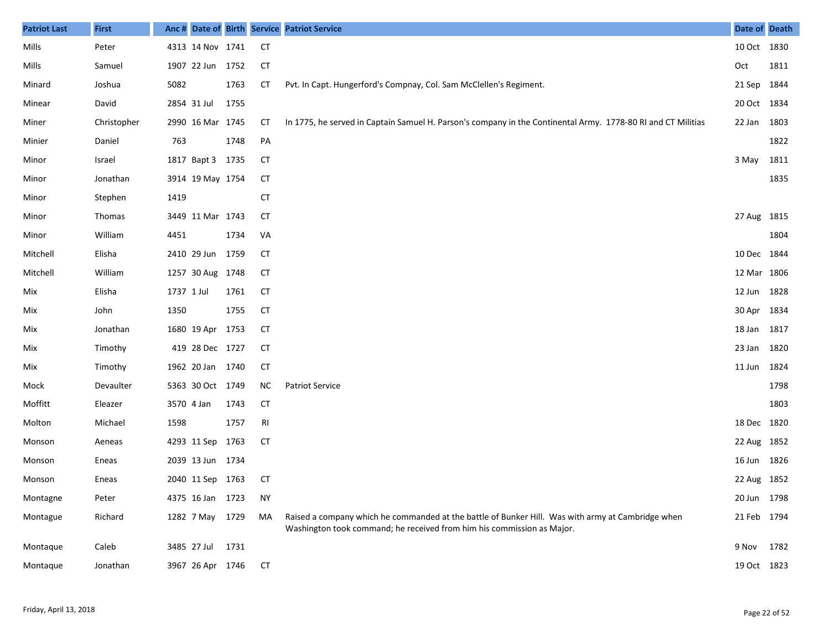| <b>Patriot Last</b> | <b>First</b> | Anc #      |                  |      |           | Date of Birth Service Patriot Service                                                                                                                                       | Date of Death |      |
|---------------------|--------------|------------|------------------|------|-----------|-----------------------------------------------------------------------------------------------------------------------------------------------------------------------------|---------------|------|
| Mills               | Peter        |            | 4313 14 Nov 1741 |      | <b>CT</b> |                                                                                                                                                                             | 10 Oct 1830   |      |
| Mills               | Samuel       |            | 1907 22 Jun 1752 |      | <b>CT</b> |                                                                                                                                                                             | Oct           | 1811 |
| Minard              | Joshua       | 5082       |                  | 1763 | <b>CT</b> | Pvt. In Capt. Hungerford's Compnay, Col. Sam McClellen's Regiment.                                                                                                          | 21 Sep 1844   |      |
| Minear              | David        |            | 2854 31 Jul      | 1755 |           |                                                                                                                                                                             | 20 Oct 1834   |      |
| Miner               | Christopher  |            | 2990 16 Mar 1745 |      | СT        | In 1775, he served in Captain Samuel H. Parson's company in the Continental Army. 1778-80 RI and CT Militias                                                                | 22 Jan 1803   |      |
| Minier              | Daniel       | 763        |                  | 1748 | PA        |                                                                                                                                                                             |               | 1822 |
| Minor               | Israel       |            | 1817 Bapt 3 1735 |      | <b>CT</b> |                                                                                                                                                                             | 3 May         | 1811 |
| Minor               | Jonathan     |            | 3914 19 May 1754 |      | <b>CT</b> |                                                                                                                                                                             |               | 1835 |
| Minor               | Stephen      | 1419       |                  |      | <b>CT</b> |                                                                                                                                                                             |               |      |
| Minor               | Thomas       |            | 3449 11 Mar 1743 |      | <b>CT</b> |                                                                                                                                                                             | 27 Aug 1815   |      |
| Minor               | William      | 4451       |                  | 1734 | VA        |                                                                                                                                                                             |               | 1804 |
| Mitchell            | Elisha       |            | 2410 29 Jun 1759 |      | CТ        |                                                                                                                                                                             | 10 Dec 1844   |      |
| Mitchell            | William      |            | 1257 30 Aug 1748 |      | СT        |                                                                                                                                                                             | 12 Mar 1806   |      |
| Mix                 | Elisha       | 1737 1 Jul |                  | 1761 | <b>CT</b> |                                                                                                                                                                             | 12 Jun 1828   |      |
| Mix                 | John         | 1350       |                  | 1755 | <b>CT</b> |                                                                                                                                                                             | 30 Apr 1834   |      |
| Mix                 | Jonathan     |            | 1680 19 Apr 1753 |      | CТ        |                                                                                                                                                                             | 18 Jan 1817   |      |
| Mix                 | Timothy      |            | 419 28 Dec 1727  |      | <b>CT</b> |                                                                                                                                                                             | 23 Jan 1820   |      |
| Mix                 | Timothy      |            | 1962 20 Jan 1740 |      | <b>CT</b> |                                                                                                                                                                             | 11 Jun 1824   |      |
| Mock                | Devaulter    |            | 5363 30 Oct 1749 |      | ΝC        | <b>Patriot Service</b>                                                                                                                                                      |               | 1798 |
| Moffitt             | Eleazer      | 3570 4 Jan |                  | 1743 | <b>CT</b> |                                                                                                                                                                             |               | 1803 |
| Molton              | Michael      | 1598       |                  | 1757 | RI        |                                                                                                                                                                             | 18 Dec 1820   |      |
| Monson              | Aeneas       |            | 4293 11 Sep 1763 |      | <b>CT</b> |                                                                                                                                                                             | 22 Aug 1852   |      |
| Monson              | Eneas        |            | 2039 13 Jun 1734 |      |           |                                                                                                                                                                             | 16 Jun 1826   |      |
| Monson              | Eneas        |            | 2040 11 Sep 1763 |      | <b>CT</b> |                                                                                                                                                                             | 22 Aug 1852   |      |
| Montagne            | Peter        |            | 4375 16 Jan 1723 |      | <b>NY</b> |                                                                                                                                                                             | 20 Jun 1798   |      |
| Montague            | Richard      |            | 1282 7 May 1729  |      | MA        | Raised a company which he commanded at the battle of Bunker Hill. Was with army at Cambridge when<br>Washington took command; he received from him his commission as Major. | 21 Feb 1794   |      |
| Montaque            | Caleb        |            | 3485 27 Jul      | 1731 |           |                                                                                                                                                                             | 9 Nov         | 1782 |
| Montaque            | Jonathan     |            | 3967 26 Apr 1746 |      | <b>CT</b> |                                                                                                                                                                             | 19 Oct 1823   |      |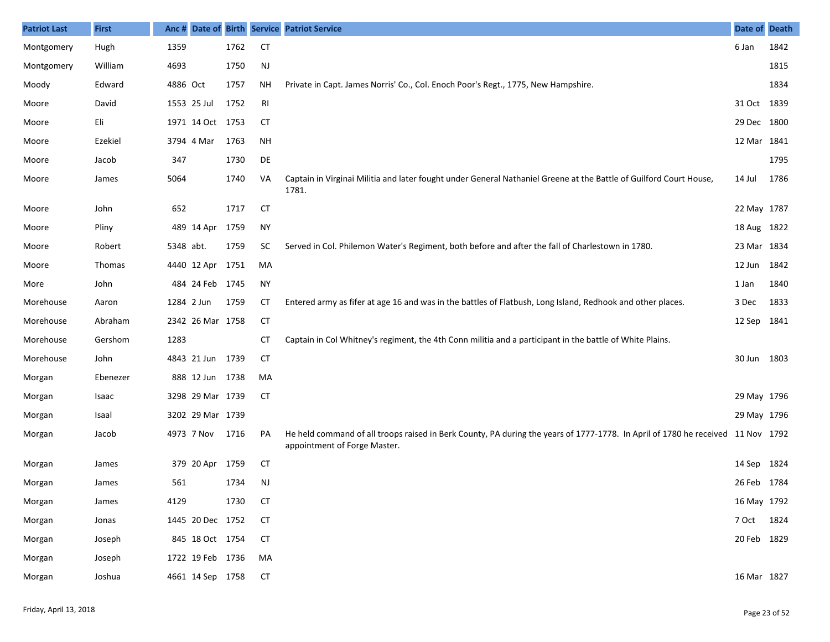| <b>Patriot Last</b> | <b>First</b>  |           |                  |      |                | Anc # Date of Birth Service Patriot Service                                                                                                                     | Date of Death |      |
|---------------------|---------------|-----------|------------------|------|----------------|-----------------------------------------------------------------------------------------------------------------------------------------------------------------|---------------|------|
| Montgomery          | Hugh          | 1359      |                  | 1762 | <b>CT</b>      |                                                                                                                                                                 | 6 Jan         | 1842 |
| Montgomery          | William       | 4693      |                  | 1750 | $\mathsf{NJ}$  |                                                                                                                                                                 |               | 1815 |
| Moody               | Edward        | 4886 Oct  |                  | 1757 | <b>NH</b>      | Private in Capt. James Norris' Co., Col. Enoch Poor's Regt., 1775, New Hampshire.                                                                               |               | 1834 |
| Moore               | David         |           | 1553 25 Jul      | 1752 | R <sub>l</sub> |                                                                                                                                                                 | 31 Oct 1839   |      |
| Moore               | Eli           |           | 1971 14 Oct 1753 |      | <b>CT</b>      |                                                                                                                                                                 | 29 Dec 1800   |      |
| Moore               | Ezekiel       |           | 3794 4 Mar       | 1763 | <b>NH</b>      |                                                                                                                                                                 | 12 Mar 1841   |      |
| Moore               | Jacob         | 347       |                  | 1730 | DE             |                                                                                                                                                                 |               | 1795 |
| Moore               | James         | 5064      |                  | 1740 | VA             | Captain in Virginai Militia and later fought under General Nathaniel Greene at the Battle of Guilford Court House,<br>1781.                                     | 14 Jul        | 1786 |
| Moore               | John          | 652       |                  | 1717 | <b>CT</b>      |                                                                                                                                                                 | 22 May 1787   |      |
| Moore               | Pliny         |           | 489 14 Apr       | 1759 | <b>NY</b>      |                                                                                                                                                                 | 18 Aug 1822   |      |
| Moore               | Robert        | 5348 abt. |                  | 1759 | SC             | Served in Col. Philemon Water's Regiment, both before and after the fall of Charlestown in 1780.                                                                | 23 Mar 1834   |      |
| Moore               | <b>Thomas</b> |           | 4440 12 Apr      | 1751 | MA             |                                                                                                                                                                 | 12 Jun 1842   |      |
| More                | John          |           | 484 24 Feb 1745  |      | <b>NY</b>      |                                                                                                                                                                 | 1 Jan         | 1840 |
| Morehouse           | Aaron         |           | 1284 2 Jun       | 1759 | CТ             | Entered army as fifer at age 16 and was in the battles of Flatbush, Long Island, Redhook and other places.                                                      | 3 Dec         | 1833 |
| Morehouse           | Abraham       |           | 2342 26 Mar 1758 |      | <b>CT</b>      |                                                                                                                                                                 | 12 Sep 1841   |      |
| Morehouse           | Gershom       | 1283      |                  |      | CТ             | Captain in Col Whitney's regiment, the 4th Conn militia and a participant in the battle of White Plains.                                                        |               |      |
| Morehouse           | John          |           | 4843 21 Jun 1739 |      | <b>CT</b>      |                                                                                                                                                                 | 30 Jun 1803   |      |
| Morgan              | Ebenezer      |           | 888 12 Jun 1738  |      | MA             |                                                                                                                                                                 |               |      |
| Morgan              | Isaac         |           | 3298 29 Mar 1739 |      | <b>CT</b>      |                                                                                                                                                                 | 29 May 1796   |      |
| Morgan              | Isaal         |           | 3202 29 Mar 1739 |      |                |                                                                                                                                                                 | 29 May 1796   |      |
| Morgan              | Jacob         |           | 4973 7 Nov       | 1716 | PA             | He held command of all troops raised in Berk County, PA during the years of 1777-1778. In April of 1780 he received 11 Nov 1792<br>appointment of Forge Master. |               |      |
| Morgan              | James         |           | 379 20 Apr 1759  |      | <b>CT</b>      |                                                                                                                                                                 | 14 Sep 1824   |      |
| Morgan              | James         | 561       |                  | 1734 | <b>NJ</b>      |                                                                                                                                                                 | 26 Feb 1784   |      |
| Morgan              | James         | 4129      |                  | 1730 | <b>CT</b>      |                                                                                                                                                                 | 16 May 1792   |      |
| Morgan              | Jonas         |           | 1445 20 Dec 1752 |      | <b>CT</b>      |                                                                                                                                                                 | 7 Oct 1824    |      |
| Morgan              | Joseph        |           | 845 18 Oct 1754  |      | <b>CT</b>      |                                                                                                                                                                 | 20 Feb 1829   |      |
| Morgan              | Joseph        |           | 1722 19 Feb 1736 |      | MA             |                                                                                                                                                                 |               |      |
| Morgan              | Joshua        |           | 4661 14 Sep 1758 |      | <b>CT</b>      |                                                                                                                                                                 | 16 Mar 1827   |      |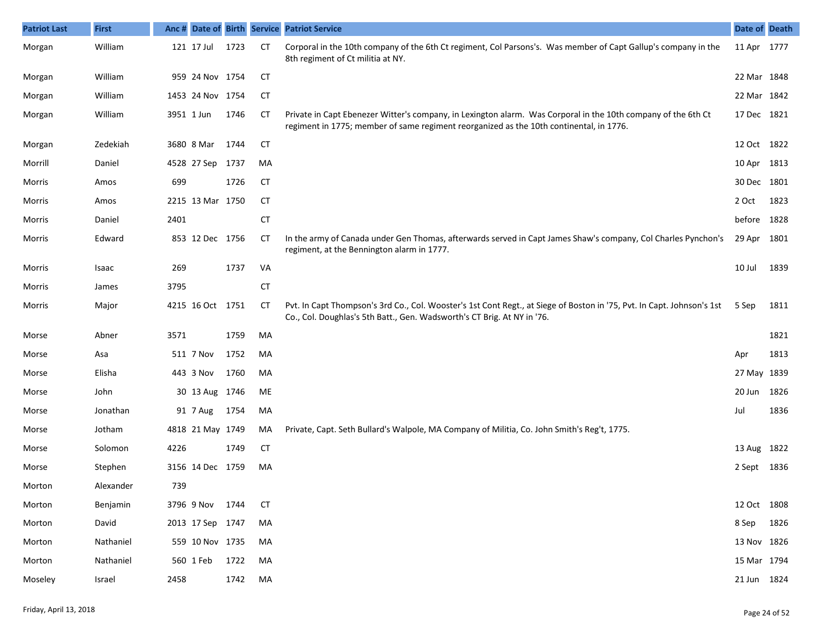| <b>Patriot Last</b> | <b>First</b> |      |                  |      |           | Anc # Date of Birth Service Patriot Service                                                                                                                                                              | Date of Death |      |
|---------------------|--------------|------|------------------|------|-----------|----------------------------------------------------------------------------------------------------------------------------------------------------------------------------------------------------------|---------------|------|
| Morgan              | William      |      | 121 17 Jul       | 1723 | <b>CT</b> | Corporal in the 10th company of the 6th Ct regiment, Col Parsons's. Was member of Capt Gallup's company in the<br>8th regiment of Ct militia at NY.                                                      | 11 Apr 1777   |      |
| Morgan              | William      |      | 959 24 Nov 1754  |      | <b>CT</b> |                                                                                                                                                                                                          | 22 Mar 1848   |      |
| Morgan              | William      |      | 1453 24 Nov 1754 |      | <b>CT</b> |                                                                                                                                                                                                          | 22 Mar 1842   |      |
| Morgan              | William      |      | 3951 1 Jun       | 1746 | <b>CT</b> | Private in Capt Ebenezer Witter's company, in Lexington alarm. Was Corporal in the 10th company of the 6th Ct<br>regiment in 1775; member of same regiment reorganized as the 10th continental, in 1776. | 17 Dec 1821   |      |
| Morgan              | Zedekiah     |      | 3680 8 Mar       | 1744 | <b>CT</b> |                                                                                                                                                                                                          | 12 Oct 1822   |      |
| Morrill             | Daniel       |      | 4528 27 Sep 1737 |      | MA        |                                                                                                                                                                                                          | 10 Apr 1813   |      |
| Morris              | Amos         | 699  |                  | 1726 | <b>CT</b> |                                                                                                                                                                                                          | 30 Dec 1801   |      |
| Morris              | Amos         |      | 2215 13 Mar 1750 |      | <b>CT</b> |                                                                                                                                                                                                          | 2 Oct         | 1823 |
| Morris              | Daniel       | 2401 |                  |      | <b>CT</b> |                                                                                                                                                                                                          | before 1828   |      |
| Morris              | Edward       |      | 853 12 Dec 1756  |      | <b>CT</b> | In the army of Canada under Gen Thomas, afterwards served in Capt James Shaw's company, Col Charles Pynchon's<br>regiment, at the Bennington alarm in 1777.                                              | 29 Apr        | 1801 |
| Morris              | Isaac        | 269  |                  | 1737 | VA        |                                                                                                                                                                                                          | 10 Jul        | 1839 |
| Morris              | James        | 3795 |                  |      | <b>CT</b> |                                                                                                                                                                                                          |               |      |
| Morris              | Major        |      | 4215 16 Oct 1751 |      | СT        | Pvt. In Capt Thompson's 3rd Co., Col. Wooster's 1st Cont Regt., at Siege of Boston in '75, Pvt. In Capt. Johnson's 1st<br>Co., Col. Doughlas's 5th Batt., Gen. Wadsworth's CT Brig. At NY in '76.        | 5 Sep         | 1811 |
| Morse               | Abner        | 3571 |                  | 1759 | MA        |                                                                                                                                                                                                          |               | 1821 |
| Morse               | Asa          |      | 511 7 Nov        | 1752 | MA        |                                                                                                                                                                                                          | Apr           | 1813 |
| Morse               | Elisha       |      | 443 3 Nov        | 1760 | MA        |                                                                                                                                                                                                          | 27 May 1839   |      |
| Morse               | John         |      | 30 13 Aug 1746   |      | ME        |                                                                                                                                                                                                          | 20 Jun        | 1826 |
| Morse               | Jonathan     |      | 91 7 Aug         | 1754 | MA        |                                                                                                                                                                                                          | Jul           | 1836 |
| Morse               | Jotham       |      | 4818 21 May 1749 |      | MA        | Private, Capt. Seth Bullard's Walpole, MA Company of Militia, Co. John Smith's Reg't, 1775.                                                                                                              |               |      |
| Morse               | Solomon      | 4226 |                  | 1749 | <b>CT</b> |                                                                                                                                                                                                          | 13 Aug 1822   |      |
| Morse               | Stephen      |      | 3156 14 Dec 1759 |      | MA        |                                                                                                                                                                                                          | 2 Sept 1836   |      |
| Morton              | Alexander    | 739  |                  |      |           |                                                                                                                                                                                                          |               |      |
| Morton              | Benjamin     |      | 3796 9 Nov 1744  |      | СT        |                                                                                                                                                                                                          | 12 Oct 1808   |      |
| Morton              | David        |      | 2013 17 Sep 1747 |      | MA        |                                                                                                                                                                                                          | 8 Sep 1826    |      |
| Morton              | Nathaniel    |      | 559 10 Nov 1735  |      | MA        |                                                                                                                                                                                                          | 13 Nov 1826   |      |
| Morton              | Nathaniel    |      | 560 1 Feb        | 1722 | MA        |                                                                                                                                                                                                          | 15 Mar 1794   |      |
| Moseley             | Israel       | 2458 |                  | 1742 | MA        |                                                                                                                                                                                                          | 21 Jun 1824   |      |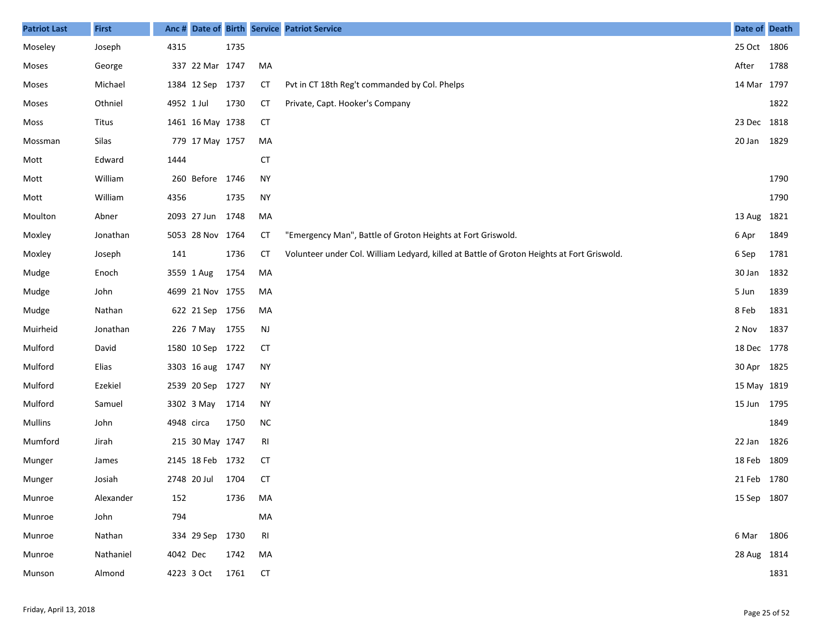| <b>Patriot Last</b> | <b>First</b> |            |                  |      |                | Anc # Date of Birth Service Patriot Service                                                | Date of Death |      |
|---------------------|--------------|------------|------------------|------|----------------|--------------------------------------------------------------------------------------------|---------------|------|
| Moseley             | Joseph       | 4315       |                  | 1735 |                |                                                                                            | 25 Oct 1806   |      |
| Moses               | George       |            | 337 22 Mar 1747  |      | MA             |                                                                                            | After         | 1788 |
| Moses               | Michael      |            | 1384 12 Sep 1737 |      | <b>CT</b>      | Pvt in CT 18th Reg't commanded by Col. Phelps                                              | 14 Mar 1797   |      |
| Moses               | Othniel      | 4952 1 Jul |                  | 1730 | <b>CT</b>      | Private, Capt. Hooker's Company                                                            |               | 1822 |
| Moss                | Titus        |            | 1461 16 May 1738 |      | <b>CT</b>      |                                                                                            | 23 Dec 1818   |      |
| Mossman             | Silas        |            | 779 17 May 1757  |      | MA             |                                                                                            | 20 Jan 1829   |      |
| Mott                | Edward       | 1444       |                  |      | <b>CT</b>      |                                                                                            |               |      |
| Mott                | William      |            | 260 Before 1746  |      | <b>NY</b>      |                                                                                            |               | 1790 |
| Mott                | William      | 4356       |                  | 1735 | <b>NY</b>      |                                                                                            |               | 1790 |
| Moulton             | Abner        |            | 2093 27 Jun      | 1748 | MA             |                                                                                            | 13 Aug 1821   |      |
| Moxley              | Jonathan     |            | 5053 28 Nov 1764 |      | <b>CT</b>      | "Emergency Man", Battle of Groton Heights at Fort Griswold.                                | 6 Apr         | 1849 |
| Moxley              | Joseph       | 141        |                  | 1736 | <b>CT</b>      | Volunteer under Col. William Ledyard, killed at Battle of Groton Heights at Fort Griswold. | 6 Sep         | 1781 |
| Mudge               | Enoch        |            | 3559 1 Aug       | 1754 | MA             |                                                                                            | 30 Jan        | 1832 |
| Mudge               | John         |            | 4699 21 Nov 1755 |      | MA             |                                                                                            | 5 Jun         | 1839 |
| Mudge               | Nathan       |            | 622 21 Sep 1756  |      | MA             |                                                                                            | 8 Feb         | 1831 |
| Muirheid            | Jonathan     |            | 226 7 May 1755   |      | <b>NJ</b>      |                                                                                            | 2 Nov         | 1837 |
| Mulford             | David        |            | 1580 10 Sep 1722 |      | <b>CT</b>      |                                                                                            | 18 Dec 1778   |      |
| Mulford             | Elias        |            | 3303 16 aug 1747 |      | <b>NY</b>      |                                                                                            | 30 Apr 1825   |      |
| Mulford             | Ezekiel      |            | 2539 20 Sep 1727 |      | <b>NY</b>      |                                                                                            | 15 May 1819   |      |
| Mulford             | Samuel       |            | 3302 3 May       | 1714 | <b>NY</b>      |                                                                                            | 15 Jun 1795   |      |
| Mullins             | John         | 4948 circa |                  | 1750 | ${\sf NC}$     |                                                                                            |               | 1849 |
| Mumford             | Jirah        |            | 215 30 May 1747  |      | RI             |                                                                                            | 22 Jan        | 1826 |
| Munger              | James        |            | 2145 18 Feb 1732 |      | <b>CT</b>      |                                                                                            | 18 Feb 1809   |      |
| Munger              | Josiah       |            | 2748 20 Jul      | 1704 | <b>CT</b>      |                                                                                            | 21 Feb 1780   |      |
| Munroe              | Alexander    | 152        |                  | 1736 | MA             |                                                                                            | 15 Sep 1807   |      |
| Munroe              | John         | 794        |                  |      | MA             |                                                                                            |               |      |
| Munroe              | Nathan       |            | 334 29 Sep 1730  |      | R <sub>l</sub> |                                                                                            | 6 Mar 1806    |      |
| Munroe              | Nathaniel    | 4042 Dec   |                  | 1742 | MA             |                                                                                            | 28 Aug 1814   |      |
| Munson              | Almond       |            | 4223 3 Oct       | 1761 | <b>CT</b>      |                                                                                            |               | 1831 |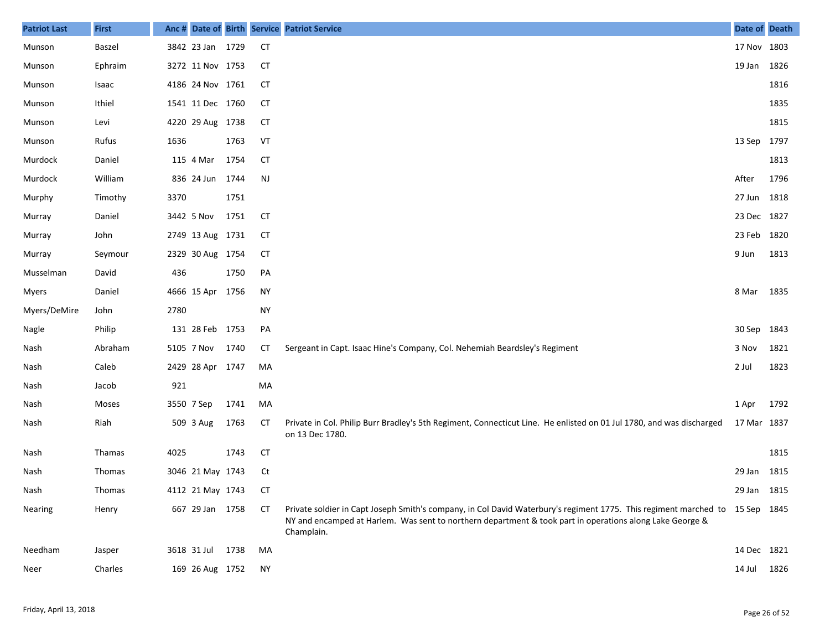| <b>Patriot Last</b> | <b>First</b> |      |                  |      |           | Anc # Date of Birth Service Patriot Service                                                                                                                                                                                                            | Date of Death |      |
|---------------------|--------------|------|------------------|------|-----------|--------------------------------------------------------------------------------------------------------------------------------------------------------------------------------------------------------------------------------------------------------|---------------|------|
| Munson              | Baszel       |      | 3842 23 Jan 1729 |      | <b>CT</b> |                                                                                                                                                                                                                                                        | 17 Nov 1803   |      |
| Munson              | Ephraim      |      | 3272 11 Nov 1753 |      | <b>CT</b> |                                                                                                                                                                                                                                                        | 19 Jan 1826   |      |
| Munson              | Isaac        |      | 4186 24 Nov 1761 |      | <b>CT</b> |                                                                                                                                                                                                                                                        |               | 1816 |
| Munson              | Ithiel       |      | 1541 11 Dec 1760 |      | <b>CT</b> |                                                                                                                                                                                                                                                        |               | 1835 |
| Munson              | Levi         |      | 4220 29 Aug 1738 |      | <b>CT</b> |                                                                                                                                                                                                                                                        |               | 1815 |
| Munson              | Rufus        | 1636 |                  | 1763 | VT        |                                                                                                                                                                                                                                                        | 13 Sep 1797   |      |
| Murdock             | Daniel       |      | 115 4 Mar        | 1754 | <b>CT</b> |                                                                                                                                                                                                                                                        |               | 1813 |
| Murdock             | William      |      | 836 24 Jun 1744  |      | <b>NJ</b> |                                                                                                                                                                                                                                                        | After         | 1796 |
| Murphy              | Timothy      | 3370 |                  | 1751 |           |                                                                                                                                                                                                                                                        | 27 Jun 1818   |      |
| Murray              | Daniel       |      | 3442 5 Nov       | 1751 | <b>CT</b> |                                                                                                                                                                                                                                                        | 23 Dec 1827   |      |
| Murray              | John         |      | 2749 13 Aug 1731 |      | <b>CT</b> |                                                                                                                                                                                                                                                        | 23 Feb 1820   |      |
| Murray              | Seymour      |      | 2329 30 Aug 1754 |      | СT        |                                                                                                                                                                                                                                                        | 9 Jun         | 1813 |
| Musselman           | David        | 436  |                  | 1750 | PA        |                                                                                                                                                                                                                                                        |               |      |
| <b>Myers</b>        | Daniel       |      | 4666 15 Apr 1756 |      | <b>NY</b> |                                                                                                                                                                                                                                                        | 8 Mar 1835    |      |
| Myers/DeMire        | John         | 2780 |                  |      | <b>NY</b> |                                                                                                                                                                                                                                                        |               |      |
| Nagle               | Philip       |      | 131 28 Feb 1753  |      | PA        |                                                                                                                                                                                                                                                        | 30 Sep 1843   |      |
| Nash                | Abraham      |      | 5105 7 Nov       | 1740 | СT        | Sergeant in Capt. Isaac Hine's Company, Col. Nehemiah Beardsley's Regiment                                                                                                                                                                             | 3 Nov         | 1821 |
| Nash                | Caleb        |      | 2429 28 Apr 1747 |      | MA        |                                                                                                                                                                                                                                                        | 2 Jul         | 1823 |
| Nash                | Jacob        | 921  |                  |      | MA        |                                                                                                                                                                                                                                                        |               |      |
| Nash                | Moses        |      | 3550 7 Sep       | 1741 | MA        |                                                                                                                                                                                                                                                        | 1 Apr         | 1792 |
| Nash                | Riah         |      | 509 3 Aug        | 1763 | CT        | Private in Col. Philip Burr Bradley's 5th Regiment, Connecticut Line. He enlisted on 01 Jul 1780, and was discharged<br>on 13 Dec 1780.                                                                                                                | 17 Mar 1837   |      |
| Nash                | Thamas       | 4025 |                  | 1743 | <b>CT</b> |                                                                                                                                                                                                                                                        |               | 1815 |
| Nash                | Thomas       |      | 3046 21 May 1743 |      | Ct        |                                                                                                                                                                                                                                                        | 29 Jan 1815   |      |
| Nash                | Thomas       |      | 4112 21 May 1743 |      | CT.       |                                                                                                                                                                                                                                                        | 29 Jan 1815   |      |
| <b>Nearing</b>      | Henry        |      | 667 29 Jan 1758  |      | CT        | Private soldier in Capt Joseph Smith's company, in Col David Waterbury's regiment 1775. This regiment marched to 15 Sep 1845<br>NY and encamped at Harlem. Was sent to northern department & took part in operations along Lake George &<br>Champlain. |               |      |
| Needham             | Jasper       |      | 3618 31 Jul 1738 |      | MA        |                                                                                                                                                                                                                                                        | 14 Dec 1821   |      |
| Neer                | Charles      |      | 169 26 Aug 1752  |      | ΝY        |                                                                                                                                                                                                                                                        | 14 Jul        | 1826 |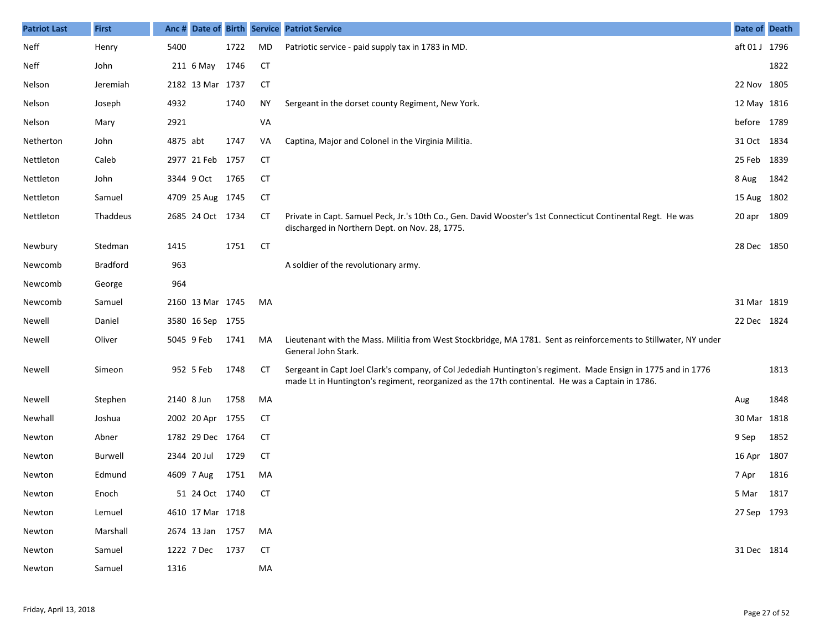| <b>Patriot Last</b> | <b>First</b>    | Anc#     |                  |      |           | Date of Birth Service Patriot Service                                                                                                                                                                             | Date of Death |      |
|---------------------|-----------------|----------|------------------|------|-----------|-------------------------------------------------------------------------------------------------------------------------------------------------------------------------------------------------------------------|---------------|------|
| Neff                | Henry           | 5400     |                  | 1722 | MD        | Patriotic service - paid supply tax in 1783 in MD.                                                                                                                                                                | aft 01 J 1796 |      |
| Neff                | John            |          | 211 6 May        | 1746 | <b>CT</b> |                                                                                                                                                                                                                   |               | 1822 |
| Nelson              | Jeremiah        |          | 2182 13 Mar 1737 |      | <b>CT</b> |                                                                                                                                                                                                                   | 22 Nov 1805   |      |
| Nelson              | Joseph          | 4932     |                  | 1740 | ΝY        | Sergeant in the dorset county Regiment, New York.                                                                                                                                                                 | 12 May 1816   |      |
| Nelson              | Mary            | 2921     |                  |      | VA        |                                                                                                                                                                                                                   | before 1789   |      |
| Netherton           | John            | 4875 abt |                  | 1747 | VA        | Captina, Major and Colonel in the Virginia Militia.                                                                                                                                                               | 31 Oct 1834   |      |
| Nettleton           | Caleb           |          | 2977 21 Feb 1757 |      | CТ        |                                                                                                                                                                                                                   | 25 Feb        | 1839 |
| Nettleton           | John            |          | 3344 9 Oct       | 1765 | CТ        |                                                                                                                                                                                                                   | 8 Aug         | 1842 |
| Nettleton           | Samuel          |          | 4709 25 Aug 1745 |      | <b>CT</b> |                                                                                                                                                                                                                   | 15 Aug 1802   |      |
| Nettleton           | Thaddeus        |          | 2685 24 Oct 1734 |      | CТ        | Private in Capt. Samuel Peck, Jr.'s 10th Co., Gen. David Wooster's 1st Connecticut Continental Regt. He was<br>discharged in Northern Dept. on Nov. 28, 1775.                                                     | 20 apr        | 1809 |
| Newbury             | Stedman         | 1415     |                  | 1751 | <b>CT</b> |                                                                                                                                                                                                                   | 28 Dec 1850   |      |
| Newcomb             | <b>Bradford</b> | 963      |                  |      |           | A soldier of the revolutionary army.                                                                                                                                                                              |               |      |
| Newcomb             | George          | 964      |                  |      |           |                                                                                                                                                                                                                   |               |      |
| Newcomb             | Samuel          |          | 2160 13 Mar 1745 |      | MA        |                                                                                                                                                                                                                   | 31 Mar 1819   |      |
| Newell              | Daniel          |          | 3580 16 Sep 1755 |      |           |                                                                                                                                                                                                                   | 22 Dec 1824   |      |
| Newell              | Oliver          |          | 5045 9 Feb       | 1741 | MA        | Lieutenant with the Mass. Militia from West Stockbridge, MA 1781. Sent as reinforcements to Stillwater, NY under<br>General John Stark.                                                                           |               |      |
| Newell              | Simeon          |          | 952 5 Feb        | 1748 | <b>CT</b> | Sergeant in Capt Joel Clark's company, of Col Jedediah Huntington's regiment. Made Ensign in 1775 and in 1776<br>made Lt in Huntington's regiment, reorganized as the 17th continental. He was a Captain in 1786. |               | 1813 |
| Newell              | Stephen         |          | 2140 8 Jun       | 1758 | MA        |                                                                                                                                                                                                                   | Aug           | 1848 |
| Newhall             | Joshua          |          | 2002 20 Apr 1755 |      | <b>CT</b> |                                                                                                                                                                                                                   | 30 Mar        | 1818 |
| Newton              | Abner           |          | 1782 29 Dec 1764 |      | CT        |                                                                                                                                                                                                                   | 9 Sep         | 1852 |
| Newton              | Burwell         |          | 2344 20 Jul      | 1729 | <b>CT</b> |                                                                                                                                                                                                                   | 16 Apr        | 1807 |
| Newton              | Edmund          |          | 4609 7 Aug       | 1751 | MA        |                                                                                                                                                                                                                   | 7 Apr         | 1816 |
| Newton              | Enoch           |          | 51 24 Oct 1740   |      | CT        |                                                                                                                                                                                                                   | 5 Mar 1817    |      |
| Newton              | Lemuel          |          | 4610 17 Mar 1718 |      |           |                                                                                                                                                                                                                   | 27 Sep 1793   |      |
| Newton              | Marshall        |          | 2674 13 Jan 1757 |      | MA        |                                                                                                                                                                                                                   |               |      |
| Newton              | Samuel          |          | 1222 7 Dec 1737  |      | CT        |                                                                                                                                                                                                                   | 31 Dec 1814   |      |
| Newton              | Samuel          | 1316     |                  |      | MA        |                                                                                                                                                                                                                   |               |      |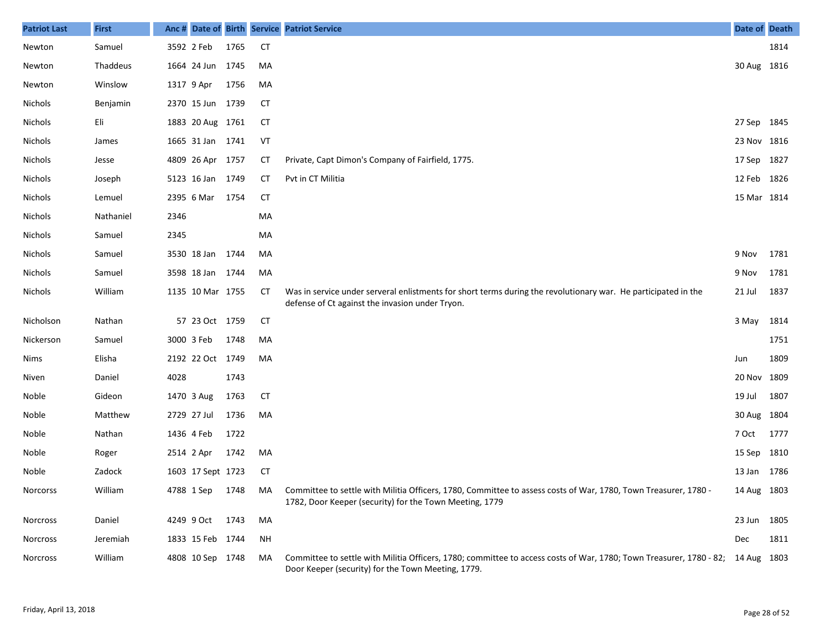| <b>Patriot Last</b> | <b>First</b> | Anc# |                   |      |           | Date of Birth Service Patriot Service                                                                                                                                                         | Date of Death |      |
|---------------------|--------------|------|-------------------|------|-----------|-----------------------------------------------------------------------------------------------------------------------------------------------------------------------------------------------|---------------|------|
| Newton              | Samuel       |      | 3592 2 Feb        | 1765 | <b>CT</b> |                                                                                                                                                                                               |               | 1814 |
| Newton              | Thaddeus     |      | 1664 24 Jun 1745  |      | MA        |                                                                                                                                                                                               | 30 Aug 1816   |      |
| Newton              | Winslow      |      | 1317 9 Apr        | 1756 | MA        |                                                                                                                                                                                               |               |      |
| <b>Nichols</b>      | Benjamin     |      | 2370 15 Jun 1739  |      | CT        |                                                                                                                                                                                               |               |      |
| Nichols             | Eli          |      | 1883 20 Aug 1761  |      | <b>CT</b> |                                                                                                                                                                                               | 27 Sep        | 1845 |
| Nichols             | James        |      | 1665 31 Jan 1741  |      | VT        |                                                                                                                                                                                               | 23 Nov 1816   |      |
| Nichols             | Jesse        |      | 4809 26 Apr 1757  |      | СT        | Private, Capt Dimon's Company of Fairfield, 1775.                                                                                                                                             | 17 Sep        | 1827 |
| <b>Nichols</b>      | Joseph       |      | 5123 16 Jan 1749  |      | CT        | Pvt in CT Militia                                                                                                                                                                             | 12 Feb        | 1826 |
| Nichols             | Lemuel       |      | 2395 6 Mar        | 1754 | <b>CT</b> |                                                                                                                                                                                               | 15 Mar 1814   |      |
| Nichols             | Nathaniel    | 2346 |                   |      | MA        |                                                                                                                                                                                               |               |      |
| Nichols             | Samuel       | 2345 |                   |      | MA        |                                                                                                                                                                                               |               |      |
| Nichols             | Samuel       |      | 3530 18 Jan       | 1744 | MA        |                                                                                                                                                                                               | 9 Nov         | 1781 |
| Nichols             | Samuel       |      | 3598 18 Jan       | 1744 | MA        |                                                                                                                                                                                               | 9 Nov         | 1781 |
| Nichols             | William      |      | 1135 10 Mar 1755  |      | CТ        | Was in service under serveral enlistments for short terms during the revolutionary war. He participated in the<br>defense of Ct against the invasion under Tryon.                             | 21 Jul        | 1837 |
| Nicholson           | Nathan       |      | 57 23 Oct 1759    |      | <b>CT</b> |                                                                                                                                                                                               | 3 May         | 1814 |
| Nickerson           | Samuel       |      | 3000 3 Feb        | 1748 | MA        |                                                                                                                                                                                               |               | 1751 |
| Nims                | Elisha       |      | 2192 22 Oct 1749  |      | MA        |                                                                                                                                                                                               | Jun           | 1809 |
| Niven               | Daniel       | 4028 |                   | 1743 |           |                                                                                                                                                                                               | 20 Nov        | 1809 |
| Noble               | Gideon       |      | 1470 3 Aug        | 1763 | <b>CT</b> |                                                                                                                                                                                               | 19 Jul        | 1807 |
| Noble               | Matthew      |      | 2729 27 Jul       | 1736 | MA        |                                                                                                                                                                                               | 30 Aug        | 1804 |
| Noble               | Nathan       |      | 1436 4 Feb        | 1722 |           |                                                                                                                                                                                               | 7 Oct         | 1777 |
| Noble               | Roger        |      | 2514 2 Apr        | 1742 | MA        |                                                                                                                                                                                               | 15 Sep        | 1810 |
| Noble               | Zadock       |      | 1603 17 Sept 1723 |      | <b>CT</b> |                                                                                                                                                                                               | 13 Jan        | 1786 |
| Norcorss            | William      |      |                   |      |           | 4788 1 Sep 1748 MA Committee to settle with Militia Officers, 1780, Committee to assess costs of War, 1780, Town Treasurer, 1780 -<br>1782, Door Keeper (security) for the Town Meeting, 1779 | 14 Aug 1803   |      |
| Norcross            | Daniel       |      | 4249 9 Oct        | 1743 | MA        |                                                                                                                                                                                               | 23 Jun        | 1805 |
| Norcross            | Jeremiah     |      | 1833 15 Feb 1744  |      | <b>NH</b> |                                                                                                                                                                                               | Dec           | 1811 |
| <b>Norcross</b>     | William      |      | 4808 10 Sep 1748  |      | MA        | Committee to settle with Militia Officers, 1780; committee to access costs of War, 1780; Town Treasurer, 1780 - 82; 14 Aug 1803<br>Door Keeper (security) for the Town Meeting, 1779.         |               |      |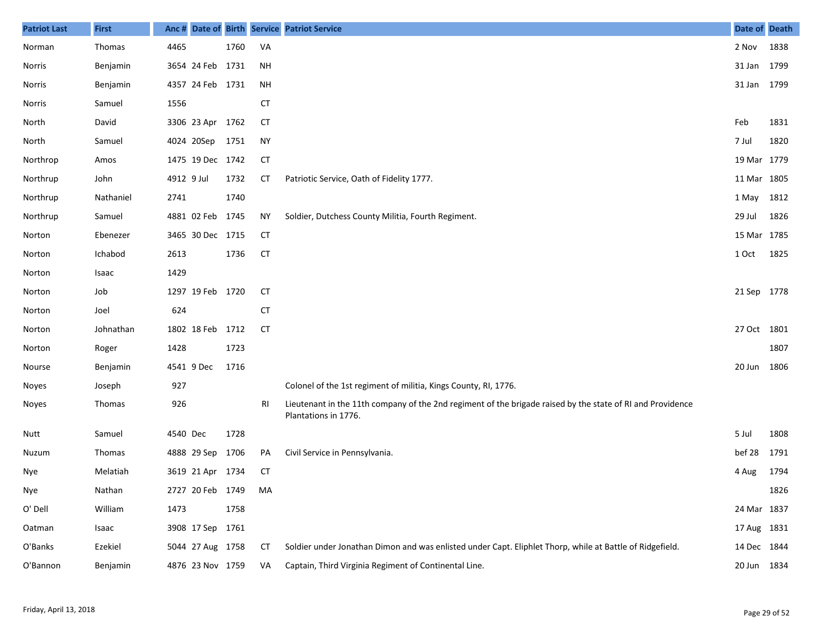| <b>Patriot Last</b> | <b>First</b>  | Anc #      |                  |      |           | Date of Birth Service Patriot Service                                                                                              | Date of Death |      |
|---------------------|---------------|------------|------------------|------|-----------|------------------------------------------------------------------------------------------------------------------------------------|---------------|------|
| Norman              | Thomas        | 4465       |                  | 1760 | VA        |                                                                                                                                    | 2 Nov         | 1838 |
| Norris              | Benjamin      |            | 3654 24 Feb 1731 |      | NH        |                                                                                                                                    | 31 Jan 1799   |      |
| Norris              | Benjamin      |            | 4357 24 Feb 1731 |      | NH        |                                                                                                                                    | 31 Jan 1799   |      |
| Norris              | Samuel        | 1556       |                  |      | <b>CT</b> |                                                                                                                                    |               |      |
| North               | David         |            | 3306 23 Apr 1762 |      | <b>CT</b> |                                                                                                                                    | Feb           | 1831 |
| North               | Samuel        |            | 4024 20Sep       | 1751 | <b>NY</b> |                                                                                                                                    | 7 Jul         | 1820 |
| Northrop            | Amos          |            | 1475 19 Dec 1742 |      | <b>CT</b> |                                                                                                                                    | 19 Mar 1779   |      |
| Northrup            | John          | 4912 9 Jul |                  | 1732 | СT        | Patriotic Service, Oath of Fidelity 1777.                                                                                          | 11 Mar 1805   |      |
| Northrup            | Nathaniel     | 2741       |                  | 1740 |           |                                                                                                                                    | 1 May 1812    |      |
| Northrup            | Samuel        |            | 4881 02 Feb 1745 |      | <b>NY</b> | Soldier, Dutchess County Militia, Fourth Regiment.                                                                                 | 29 Jul        | 1826 |
| Norton              | Ebenezer      |            | 3465 30 Dec 1715 |      | <b>CT</b> |                                                                                                                                    | 15 Mar 1785   |      |
| Norton              | Ichabod       | 2613       |                  | 1736 | <b>CT</b> |                                                                                                                                    | 1 Oct         | 1825 |
| Norton              | Isaac         | 1429       |                  |      |           |                                                                                                                                    |               |      |
| Norton              | Job           |            | 1297 19 Feb 1720 |      | <b>CT</b> |                                                                                                                                    | 21 Sep 1778   |      |
| Norton              | Joel          | 624        |                  |      | <b>CT</b> |                                                                                                                                    |               |      |
| Norton              | Johnathan     |            | 1802 18 Feb 1712 |      | <b>CT</b> |                                                                                                                                    | 27 Oct 1801   |      |
| Norton              | Roger         | 1428       |                  | 1723 |           |                                                                                                                                    |               | 1807 |
| Nourse              | Benjamin      |            | 4541 9 Dec       | 1716 |           |                                                                                                                                    | 20 Jun        | 1806 |
| Noyes               | Joseph        | 927        |                  |      |           | Colonel of the 1st regiment of militia, Kings County, RI, 1776.                                                                    |               |      |
| Noyes               | Thomas        | 926        |                  |      | RI        | Lieutenant in the 11th company of the 2nd regiment of the brigade raised by the state of RI and Providence<br>Plantations in 1776. |               |      |
| Nutt                | Samuel        | 4540 Dec   |                  | 1728 |           |                                                                                                                                    | 5 Jul         | 1808 |
| Nuzum               | <b>Thomas</b> |            | 4888 29 Sep 1706 |      | PA        | Civil Service in Pennsylvania.                                                                                                     | bef 28        | 1791 |
| Nye                 | Melatiah      |            | 3619 21 Apr 1734 |      | СT        |                                                                                                                                    | 4 Aug         | 1794 |
| Nye                 | Nathan        |            | 2727 20 Feb 1749 |      | MA        |                                                                                                                                    |               | 1826 |
| O' Dell             | William       | 1473       |                  | 1758 |           |                                                                                                                                    | 24 Mar 1837   |      |
| Oatman              | Isaac         |            | 3908 17 Sep 1761 |      |           |                                                                                                                                    | 17 Aug 1831   |      |
| O'Banks             | Ezekiel       |            | 5044 27 Aug 1758 |      | СT        | Soldier under Jonathan Dimon and was enlisted under Capt. Eliphlet Thorp, while at Battle of Ridgefield.                           | 14 Dec 1844   |      |
| O'Bannon            | Benjamin      |            | 4876 23 Nov 1759 |      | VA        | Captain, Third Virginia Regiment of Continental Line.                                                                              | 20 Jun 1834   |      |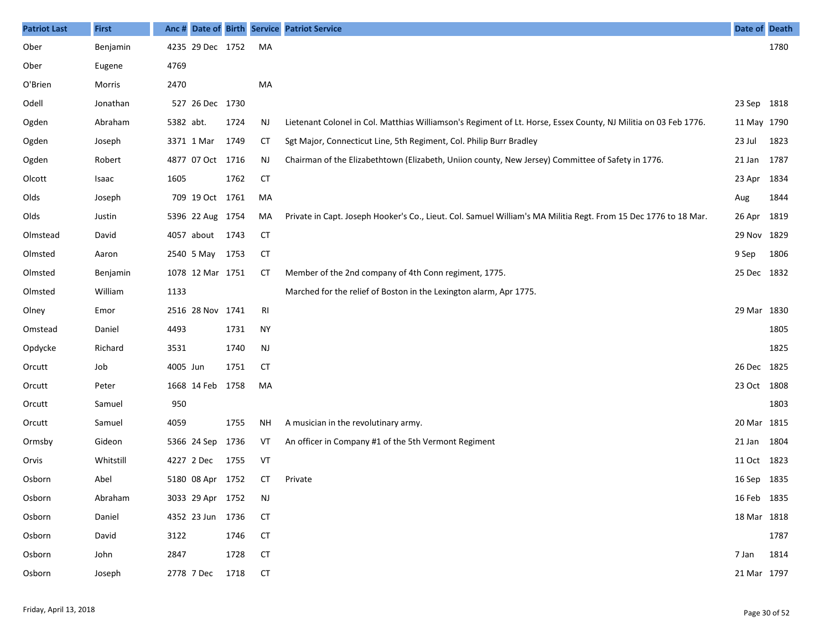| <b>Patriot Last</b> | <b>First</b> | Anc#      |                  |      |                | Date of Birth Service Patriot Service                                                                           | Date of Death |      |
|---------------------|--------------|-----------|------------------|------|----------------|-----------------------------------------------------------------------------------------------------------------|---------------|------|
| Ober                | Benjamin     |           | 4235 29 Dec 1752 |      | MA             |                                                                                                                 |               | 1780 |
| Ober                | Eugene       | 4769      |                  |      |                |                                                                                                                 |               |      |
| O'Brien             | Morris       | 2470      |                  |      | MA             |                                                                                                                 |               |      |
| Odell               | Jonathan     |           | 527 26 Dec 1730  |      |                |                                                                                                                 | 23 Sep 1818   |      |
| Ogden               | Abraham      | 5382 abt. |                  | 1724 | <b>NJ</b>      | Lietenant Colonel in Col. Matthias Williamson's Regiment of Lt. Horse, Essex County, NJ Militia on 03 Feb 1776. | 11 May 1790   |      |
| Ogden               | Joseph       |           | 3371 1 Mar       | 1749 | <b>CT</b>      | Sgt Major, Connecticut Line, 5th Regiment, Col. Philip Burr Bradley                                             | 23 Jul        | 1823 |
| Ogden               | Robert       |           | 4877 07 Oct 1716 |      | <b>NJ</b>      | Chairman of the Elizabethtown (Elizabeth, Uniion county, New Jersey) Committee of Safety in 1776.               | 21 Jan 1787   |      |
| Olcott              | Isaac        | 1605      |                  | 1762 | <b>CT</b>      |                                                                                                                 | 23 Apr 1834   |      |
| Olds                | Joseph       |           | 709 19 Oct 1761  |      | MA             |                                                                                                                 | Aug           | 1844 |
| Olds                | Justin       |           | 5396 22 Aug 1754 |      | MA             | Private in Capt. Joseph Hooker's Co., Lieut. Col. Samuel William's MA Militia Regt. From 15 Dec 1776 to 18 Mar. | 26 Apr 1819   |      |
| Olmstead            | David        |           | 4057 about       | 1743 | <b>CT</b>      |                                                                                                                 | 29 Nov 1829   |      |
| Olmsted             | Aaron        |           | 2540 5 May       | 1753 | <b>CT</b>      |                                                                                                                 | 9 Sep         | 1806 |
| Olmsted             | Benjamin     |           | 1078 12 Mar 1751 |      | СT             | Member of the 2nd company of 4th Conn regiment, 1775.                                                           | 25 Dec 1832   |      |
| Olmsted             | William      | 1133      |                  |      |                | Marched for the relief of Boston in the Lexington alarm, Apr 1775.                                              |               |      |
| Olney               | Emor         |           | 2516 28 Nov 1741 |      | R <sub>l</sub> |                                                                                                                 | 29 Mar 1830   |      |
| Omstead             | Daniel       | 4493      |                  | 1731 | <b>NY</b>      |                                                                                                                 |               | 1805 |
| Opdycke             | Richard      | 3531      |                  | 1740 | <b>NJ</b>      |                                                                                                                 |               | 1825 |
| Orcutt              | Job          | 4005 Jun  |                  | 1751 | <b>CT</b>      |                                                                                                                 | 26 Dec 1825   |      |
| Orcutt              | Peter        |           | 1668 14 Feb      | 1758 | MA             |                                                                                                                 | 23 Oct 1808   |      |
| Orcutt              | Samuel       | 950       |                  |      |                |                                                                                                                 |               | 1803 |
| Orcutt              | Samuel       | 4059      |                  | 1755 | <b>NH</b>      | A musician in the revolutinary army.                                                                            | 20 Mar 1815   |      |
| Ormsby              | Gideon       |           | 5366 24 Sep      | 1736 | VT             | An officer in Company #1 of the 5th Vermont Regiment                                                            | 21 Jan 1804   |      |
| Orvis               | Whitstill    |           | 4227 2 Dec       | 1755 | VT             |                                                                                                                 | 11 Oct 1823   |      |
| Osborn              | Abel         |           | 5180 08 Apr 1752 |      | СT             | Private                                                                                                         | 16 Sep 1835   |      |
| Osborn              | Abraham      |           | 3033 29 Apr 1752 |      | NJ             |                                                                                                                 | 16 Feb 1835   |      |
| Osborn              | Daniel       |           | 4352 23 Jun 1736 |      | <b>CT</b>      |                                                                                                                 | 18 Mar 1818   |      |
| Osborn              | David        | 3122      |                  | 1746 | <b>CT</b>      |                                                                                                                 |               | 1787 |
| Osborn              | John         | 2847      |                  | 1728 | <b>CT</b>      |                                                                                                                 | 7 Jan         | 1814 |
| Osborn              | Joseph       |           | 2778 7 Dec       | 1718 | <b>CT</b>      |                                                                                                                 | 21 Mar 1797   |      |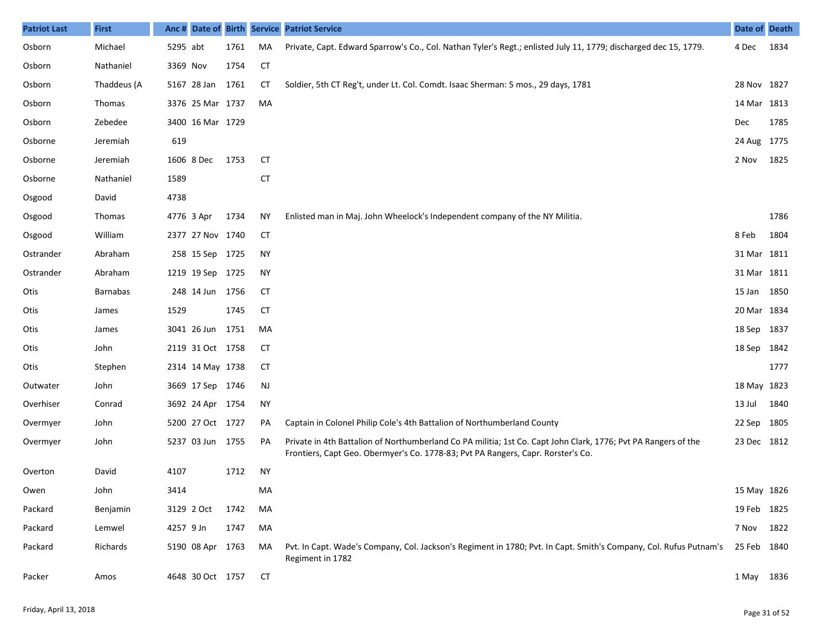| <b>Patriot Last</b> | <b>First</b>    |           |                  |      |           | Anc # Date of Birth Service Patriot Service                                                                                                                                                        | Date of Death |      |
|---------------------|-----------------|-----------|------------------|------|-----------|----------------------------------------------------------------------------------------------------------------------------------------------------------------------------------------------------|---------------|------|
| Osborn              | Michael         | 5295 abt  |                  | 1761 | MA        | Private, Capt. Edward Sparrow's Co., Col. Nathan Tyler's Regt.; enlisted July 11, 1779; discharged dec 15, 1779.                                                                                   | 4 Dec         | 1834 |
| Osborn              | Nathaniel       | 3369 Nov  |                  | 1754 | <b>CT</b> |                                                                                                                                                                                                    |               |      |
| Osborn              | Thaddeus (A     |           | 5167 28 Jan      | 1761 | <b>CT</b> | Soldier, 5th CT Reg't, under Lt. Col. Comdt. Isaac Sherman: 5 mos., 29 days, 1781                                                                                                                  | 28 Nov 1827   |      |
| Osborn              | Thomas          |           | 3376 25 Mar 1737 |      | MA        |                                                                                                                                                                                                    | 14 Mar 1813   |      |
| Osborn              | Zebedee         |           | 3400 16 Mar 1729 |      |           |                                                                                                                                                                                                    | Dec           | 1785 |
| Osborne             | Jeremiah        | 619       |                  |      |           |                                                                                                                                                                                                    | 24 Aug 1775   |      |
| Osborne             | Jeremiah        |           | 1606 8 Dec       | 1753 | <b>CT</b> |                                                                                                                                                                                                    | 2 Nov         | 1825 |
| Osborne             | Nathaniel       | 1589      |                  |      | <b>CT</b> |                                                                                                                                                                                                    |               |      |
| Osgood              | David           | 4738      |                  |      |           |                                                                                                                                                                                                    |               |      |
| Osgood              | Thomas          |           | 4776 3 Apr       | 1734 | ΝY        | Enlisted man in Maj. John Wheelock's Independent company of the NY Militia.                                                                                                                        |               | 1786 |
| Osgood              | William         |           | 2377 27 Nov 1740 |      | <b>CT</b> |                                                                                                                                                                                                    | 8 Feb         | 1804 |
| Ostrander           | Abraham         |           | 258 15 Sep 1725  |      | ΝY        |                                                                                                                                                                                                    | 31 Mar 1811   |      |
| Ostrander           | Abraham         |           | 1219 19 Sep 1725 |      | ΝY        |                                                                                                                                                                                                    | 31 Mar 1811   |      |
| Otis                | <b>Barnabas</b> |           | 248 14 Jun 1756  |      | <b>CT</b> |                                                                                                                                                                                                    | 15 Jan 1850   |      |
| Otis                | James           | 1529      |                  | 1745 | <b>CT</b> |                                                                                                                                                                                                    | 20 Mar 1834   |      |
| Otis                | James           |           | 3041 26 Jun      | 1751 | MA        |                                                                                                                                                                                                    | 18 Sep 1837   |      |
| Otis                | John            |           | 2119 31 Oct 1758 |      | СT        |                                                                                                                                                                                                    | 18 Sep 1842   |      |
| Otis                | Stephen         |           | 2314 14 May 1738 |      | СT        |                                                                                                                                                                                                    |               | 1777 |
| Outwater            | John            |           | 3669 17 Sep 1746 |      | <b>NJ</b> |                                                                                                                                                                                                    | 18 May 1823   |      |
| Overhiser           | Conrad          |           | 3692 24 Apr 1754 |      | <b>NY</b> |                                                                                                                                                                                                    | 13 Jul        | 1840 |
| Overmyer            | John            |           | 5200 27 Oct 1727 |      | PA        | Captain in Colonel Philip Cole's 4th Battalion of Northumberland County                                                                                                                            | 22 Sep 1805   |      |
| Overmyer            | John            |           | 5237 03 Jun 1755 |      | PA        | Private in 4th Battalion of Northumberland Co PA militia; 1st Co. Capt John Clark, 1776; Pvt PA Rangers of the<br>Frontiers, Capt Geo. Obermyer's Co. 1778-83; Pvt PA Rangers, Capr. Rorster's Co. | 23 Dec 1812   |      |
| Overton             | David           | 4107      |                  | 1712 | <b>NY</b> |                                                                                                                                                                                                    |               |      |
| Owen                | John            | 3414      |                  |      | MA        |                                                                                                                                                                                                    | 15 May 1826   |      |
| Packard             | Benjamin        |           | 3129 2 Oct       | 1742 | МA        |                                                                                                                                                                                                    | 19 Feb 1825   |      |
| Packard             | Lemwel          | 4257 9 Jn |                  | 1747 | MA        |                                                                                                                                                                                                    | 7 Nov         | 1822 |
| Packard             | Richards        |           | 5190 08 Apr 1763 |      | MA        | Pvt. In Capt. Wade's Company, Col. Jackson's Regiment in 1780; Pvt. In Capt. Smith's Company, Col. Rufus Putnam's<br>Regiment in 1782                                                              | 25 Feb 1840   |      |
| Packer              | Amos            |           | 4648 30 Oct 1757 |      | СT        |                                                                                                                                                                                                    | 1 May 1836    |      |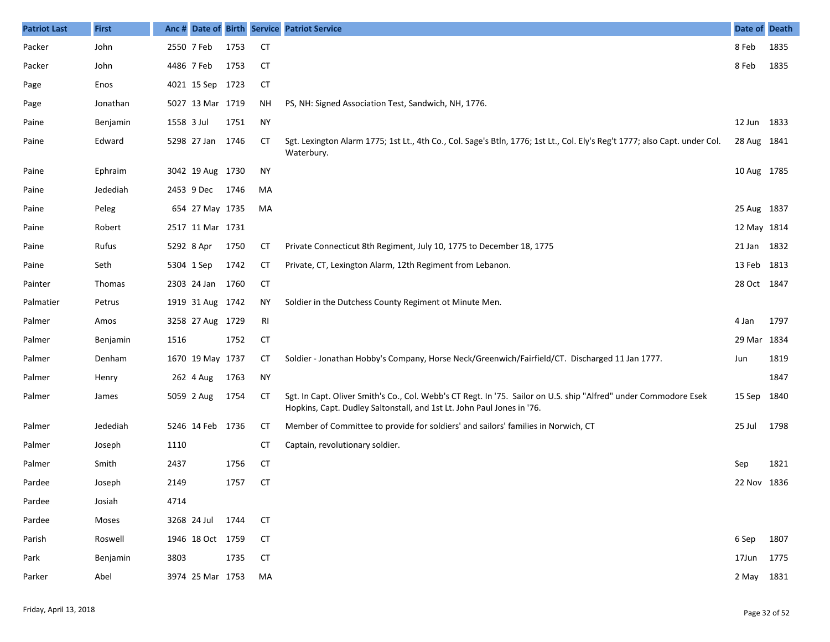| <b>Patriot Last</b> | <b>First</b>    | Anc#       |                  |      |           | Date of Birth Service Patriot Service                                                                                                                                                      | Date of Death |      |
|---------------------|-----------------|------------|------------------|------|-----------|--------------------------------------------------------------------------------------------------------------------------------------------------------------------------------------------|---------------|------|
| Packer              | John            | 2550 7 Feb |                  | 1753 | <b>CT</b> |                                                                                                                                                                                            | 8 Feb         | 1835 |
| Packer              | John            | 4486 7 Feb |                  | 1753 | <b>CT</b> |                                                                                                                                                                                            | 8 Feb         | 1835 |
| Page                | Enos            |            | 4021 15 Sep 1723 |      | <b>CT</b> |                                                                                                                                                                                            |               |      |
| Page                | Jonathan        |            | 5027 13 Mar 1719 |      | ΝH        | PS, NH: Signed Association Test, Sandwich, NH, 1776.                                                                                                                                       |               |      |
| Paine               | Benjamin        | 1558 3 Jul |                  | 1751 | <b>NY</b> |                                                                                                                                                                                            | 12 Jun        | 1833 |
| Paine               | Edward          |            | 5298 27 Jan 1746 |      | CТ        | Sgt. Lexington Alarm 1775; 1st Lt., 4th Co., Col. Sage's Btln, 1776; 1st Lt., Col. Ely's Reg't 1777; also Capt. under Col.<br>Waterbury.                                                   | 28 Aug 1841   |      |
| Paine               | Ephraim         |            | 3042 19 Aug 1730 |      | <b>NY</b> |                                                                                                                                                                                            | 10 Aug 1785   |      |
| Paine               | Jedediah        |            | 2453 9 Dec       | 1746 | MA        |                                                                                                                                                                                            |               |      |
| Paine               | Peleg           |            | 654 27 May 1735  |      | MA        |                                                                                                                                                                                            | 25 Aug 1837   |      |
| Paine               | Robert          |            | 2517 11 Mar 1731 |      |           |                                                                                                                                                                                            | 12 May 1814   |      |
| Paine               | Rufus           | 5292 8 Apr |                  | 1750 | СT        | Private Connecticut 8th Regiment, July 10, 1775 to December 18, 1775                                                                                                                       | 21 Jan        | 1832 |
| Paine               | Seth            | 5304 1 Sep |                  | 1742 | СT        | Private, CT, Lexington Alarm, 12th Regiment from Lebanon.                                                                                                                                  | 13 Feb        | 1813 |
| Painter             | Thomas          |            | 2303 24 Jan      | 1760 | CT        |                                                                                                                                                                                            | 28 Oct 1847   |      |
| Palmatier           | Petrus          |            | 1919 31 Aug 1742 |      | NY.       | Soldier in the Dutchess County Regiment ot Minute Men.                                                                                                                                     |               |      |
| Palmer              | Amos            |            | 3258 27 Aug 1729 |      | RI        |                                                                                                                                                                                            | 4 Jan         | 1797 |
| Palmer              | <b>Benjamin</b> | 1516       |                  | 1752 | <b>CT</b> |                                                                                                                                                                                            | 29 Mar        | 1834 |
| Palmer              | Denham          |            | 1670 19 May 1737 |      | CТ        | Soldier - Jonathan Hobby's Company, Horse Neck/Greenwich/Fairfield/CT. Discharged 11 Jan 1777.                                                                                             | Jun           | 1819 |
| Palmer              | Henry           |            | 262 4 Aug        | 1763 | <b>NY</b> |                                                                                                                                                                                            |               | 1847 |
| Palmer              | James           |            | 5059 2 Aug       | 1754 | СT        | Sgt. In Capt. Oliver Smith's Co., Col. Webb's CT Regt. In '75. Sailor on U.S. ship "Alfred" under Commodore Esek<br>Hopkins, Capt. Dudley Saltonstall, and 1st Lt. John Paul Jones in '76. | 15 Sep        | 1840 |
| Palmer              | Jedediah        |            | 5246 14 Feb 1736 |      | <b>CT</b> | Member of Committee to provide for soldiers' and sailors' families in Norwich, CT                                                                                                          | 25 Jul        | 1798 |
| Palmer              | Joseph          | 1110       |                  |      | <b>CT</b> | Captain, revolutionary soldier.                                                                                                                                                            |               |      |
| Palmer              | Smith           | 2437       |                  | 1756 | <b>CT</b> |                                                                                                                                                                                            | Sep           | 1821 |
| Pardee              | Joseph          | 2149       |                  | 1757 | <b>CT</b> |                                                                                                                                                                                            | 22 Nov 1836   |      |
| Pardee              | Josiah          | 4714       |                  |      |           |                                                                                                                                                                                            |               |      |
| Pardee              | Moses           |            | 3268 24 Jul      | 1744 | <b>CT</b> |                                                                                                                                                                                            |               |      |
| Parish              | Roswell         |            | 1946 18 Oct 1759 |      | <b>CT</b> |                                                                                                                                                                                            | 6 Sep         | 1807 |
| Park                | Benjamin        | 3803       |                  | 1735 | <b>CT</b> |                                                                                                                                                                                            | 17Jun         | 1775 |
| Parker              | Abel            |            | 3974 25 Mar 1753 |      | MA        |                                                                                                                                                                                            | 2 May 1831    |      |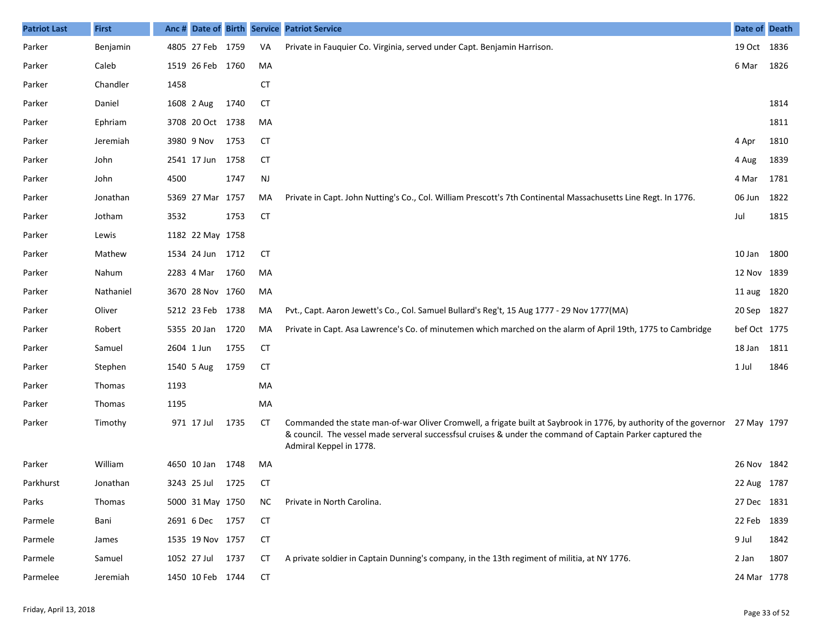| <b>Patriot Last</b> | <b>First</b> | Anc# |                  |      |           | Date of Birth Service Patriot Service                                                                                                                                                                                                                                  | Date of Death |      |
|---------------------|--------------|------|------------------|------|-----------|------------------------------------------------------------------------------------------------------------------------------------------------------------------------------------------------------------------------------------------------------------------------|---------------|------|
| Parker              | Benjamin     |      | 4805 27 Feb 1759 |      | VA        | Private in Fauguier Co. Virginia, served under Capt. Benjamin Harrison.                                                                                                                                                                                                | 19 Oct 1836   |      |
| Parker              | Caleb        |      | 1519 26 Feb 1760 |      | MA        |                                                                                                                                                                                                                                                                        | 6 Mar         | 1826 |
| Parker              | Chandler     | 1458 |                  |      | <b>CT</b> |                                                                                                                                                                                                                                                                        |               |      |
| Parker              | Daniel       |      | 1608 2 Aug       | 1740 | CТ        |                                                                                                                                                                                                                                                                        |               | 1814 |
| Parker              | Ephriam      |      | 3708 20 Oct 1738 |      | MA        |                                                                                                                                                                                                                                                                        |               | 1811 |
| Parker              | Jeremiah     |      | 3980 9 Nov       | 1753 | CT        |                                                                                                                                                                                                                                                                        | 4 Apr         | 1810 |
| Parker              | John         |      | 2541 17 Jun 1758 |      | <b>CT</b> |                                                                                                                                                                                                                                                                        | 4 Aug         | 1839 |
| Parker              | John         | 4500 |                  | 1747 | <b>NJ</b> |                                                                                                                                                                                                                                                                        | 4 Mar         | 1781 |
| Parker              | Jonathan     |      | 5369 27 Mar 1757 |      | MA        | Private in Capt. John Nutting's Co., Col. William Prescott's 7th Continental Massachusetts Line Regt. In 1776.                                                                                                                                                         | 06 Jun        | 1822 |
| Parker              | Jotham       | 3532 |                  | 1753 | <b>CT</b> |                                                                                                                                                                                                                                                                        | Jul           | 1815 |
| Parker              | Lewis        |      | 1182 22 May 1758 |      |           |                                                                                                                                                                                                                                                                        |               |      |
| Parker              | Mathew       |      | 1534 24 Jun 1712 |      | CТ        |                                                                                                                                                                                                                                                                        | 10 Jan        | 1800 |
| Parker              | Nahum        |      | 2283 4 Mar       | 1760 | MA        |                                                                                                                                                                                                                                                                        | 12 Nov 1839   |      |
| Parker              | Nathaniel    |      | 3670 28 Nov 1760 |      | MA        |                                                                                                                                                                                                                                                                        | 11 aug 1820   |      |
| Parker              | Oliver       |      | 5212 23 Feb 1738 |      | MA        | Pvt., Capt. Aaron Jewett's Co., Col. Samuel Bullard's Reg't, 15 Aug 1777 - 29 Nov 1777(MA)                                                                                                                                                                             | 20 Sep 1827   |      |
| Parker              | Robert       |      | 5355 20 Jan 1720 |      | MA        | Private in Capt. Asa Lawrence's Co. of minutemen which marched on the alarm of April 19th, 1775 to Cambridge                                                                                                                                                           | bef Oct 1775  |      |
| Parker              | Samuel       |      | 2604 1 Jun       | 1755 | <b>CT</b> |                                                                                                                                                                                                                                                                        | 18 Jan        | 1811 |
| Parker              | Stephen      |      | 1540 5 Aug       | 1759 | СT        |                                                                                                                                                                                                                                                                        | 1 Jul         | 1846 |
| Parker              | Thomas       | 1193 |                  |      | MA        |                                                                                                                                                                                                                                                                        |               |      |
| Parker              | Thomas       | 1195 |                  |      | MA        |                                                                                                                                                                                                                                                                        |               |      |
| Parker              | Timothy      |      | 971 17 Jul       | 1735 | CТ        | Commanded the state man-of-war Oliver Cromwell, a frigate built at Saybrook in 1776, by authority of the governor 27 May 1797<br>& council. The vessel made serveral successfsul cruises & under the command of Captain Parker captured the<br>Admiral Keppel in 1778. |               |      |
| Parker              | William      |      | 4650 10 Jan      | 1748 | MA        |                                                                                                                                                                                                                                                                        | 26 Nov 1842   |      |
| Parkhurst           | Jonathan     |      | 3243 25 Jul      | 1725 | СT        |                                                                                                                                                                                                                                                                        | 22 Aug 1787   |      |
| Parks               | Thomas       |      | 5000 31 May 1750 |      | ΝC        | Private in North Carolina.                                                                                                                                                                                                                                             | 27 Dec 1831   |      |
| Parmele             | Bani         |      | 2691 6 Dec 1757  |      | CT        |                                                                                                                                                                                                                                                                        | 22 Feb        | 1839 |
| Parmele             | James        |      | 1535 19 Nov 1757 |      | <b>CT</b> |                                                                                                                                                                                                                                                                        | 9 Jul         | 1842 |
| Parmele             | Samuel       |      | 1052 27 Jul 1737 |      | СT        | A private soldier in Captain Dunning's company, in the 13th regiment of militia, at NY 1776.                                                                                                                                                                           | 2 Jan         | 1807 |
| Parmelee            | Jeremiah     |      | 1450 10 Feb 1744 |      | <b>CT</b> |                                                                                                                                                                                                                                                                        | 24 Mar 1778   |      |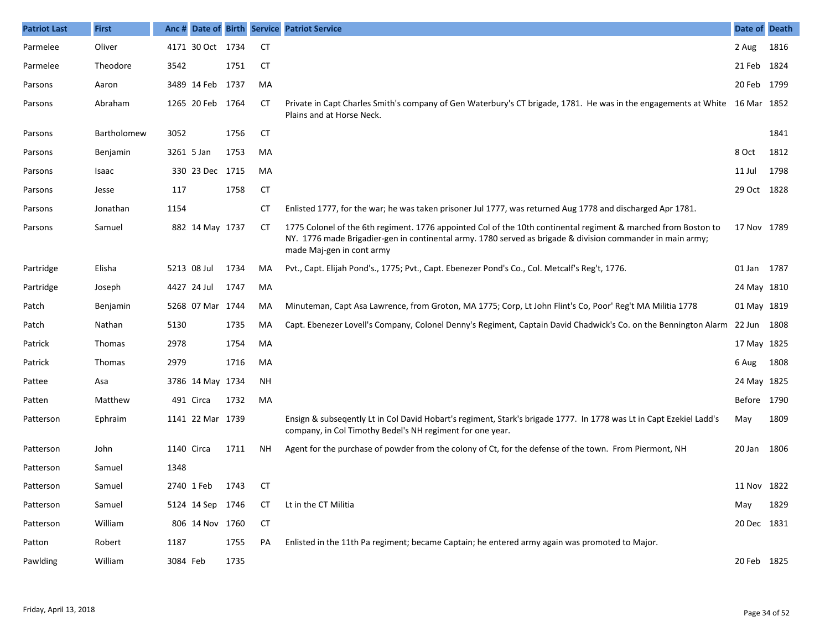| <b>Patriot Last</b> | <b>First</b>  | Anc#       |                  |      |           | Date of Birth Service Patriot Service                                                                                                                                                                                                                     | Date of Death |      |
|---------------------|---------------|------------|------------------|------|-----------|-----------------------------------------------------------------------------------------------------------------------------------------------------------------------------------------------------------------------------------------------------------|---------------|------|
| Parmelee            | Oliver        |            | 4171 30 Oct 1734 |      | <b>CT</b> |                                                                                                                                                                                                                                                           | 2 Aug         | 1816 |
| Parmelee            | Theodore      | 3542       |                  | 1751 | СT        |                                                                                                                                                                                                                                                           | 21 Feb 1824   |      |
| Parsons             | Aaron         |            | 3489 14 Feb      | 1737 | MA        |                                                                                                                                                                                                                                                           | 20 Feb 1799   |      |
| Parsons             | Abraham       |            | 1265 20 Feb 1764 |      | СT        | Private in Capt Charles Smith's company of Gen Waterbury's CT brigade, 1781. He was in the engagements at White 16 Mar 1852<br>Plains and at Horse Neck.                                                                                                  |               |      |
| Parsons             | Bartholomew   | 3052       |                  | 1756 | CT        |                                                                                                                                                                                                                                                           |               | 1841 |
| Parsons             | Benjamin      | 3261 5 Jan |                  | 1753 | MA        |                                                                                                                                                                                                                                                           | 8 Oct         | 1812 |
| Parsons             | Isaac         |            | 330 23 Dec 1715  |      | MA        |                                                                                                                                                                                                                                                           | 11 Jul        | 1798 |
| Parsons             | Jesse         | 117        |                  | 1758 | CT        |                                                                                                                                                                                                                                                           | 29 Oct 1828   |      |
| Parsons             | Jonathan      | 1154       |                  |      | СT        | Enlisted 1777, for the war; he was taken prisoner Jul 1777, was returned Aug 1778 and discharged Apr 1781.                                                                                                                                                |               |      |
| Parsons             | Samuel        |            | 882 14 May 1737  |      | CТ        | 1775 Colonel of the 6th regiment. 1776 appointed Col of the 10th continental regiment & marched from Boston to<br>NY. 1776 made Brigadier-gen in continental army. 1780 served as brigade & division commander in main army;<br>made Maj-gen in cont army | 17 Nov 1789   |      |
| Partridge           | Elisha        |            | 5213 08 Jul      | 1734 | MA        | Pvt., Capt. Elijah Pond's., 1775; Pvt., Capt. Ebenezer Pond's Co., Col. Metcalf's Reg't, 1776.                                                                                                                                                            | 01 Jan 1787   |      |
| Partridge           | Joseph        |            | 4427 24 Jul      | 1747 | MA        |                                                                                                                                                                                                                                                           | 24 May 1810   |      |
| Patch               | Benjamin      |            | 5268 07 Mar 1744 |      | MA        | Minuteman, Capt Asa Lawrence, from Groton, MA 1775; Corp, Lt John Flint's Co, Poor' Reg't MA Militia 1778                                                                                                                                                 | 01 May 1819   |      |
| Patch               | Nathan        | 5130       |                  | 1735 | MA        | Capt. Ebenezer Lovell's Company, Colonel Denny's Regiment, Captain David Chadwick's Co. on the Bennington Alarm                                                                                                                                           | 22 Jun 1808   |      |
| Patrick             | Thomas        | 2978       |                  | 1754 | MA        |                                                                                                                                                                                                                                                           | 17 May 1825   |      |
| Patrick             | <b>Thomas</b> | 2979       |                  | 1716 | MA        |                                                                                                                                                                                                                                                           | 6 Aug         | 1808 |
| Pattee              | Asa           |            | 3786 14 May 1734 |      | <b>NH</b> |                                                                                                                                                                                                                                                           | 24 May 1825   |      |
| Patten              | Matthew       |            | 491 Circa        | 1732 | MA        |                                                                                                                                                                                                                                                           | Before 1790   |      |
| Patterson           | Ephraim       |            | 1141 22 Mar 1739 |      |           | Ensign & subseqently Lt in Col David Hobart's regiment, Stark's brigade 1777. In 1778 was Lt in Capt Ezekiel Ladd's<br>company, in Col Timothy Bedel's NH regiment for one year.                                                                          | May           | 1809 |
| Patterson           | John          | 1140 Circa |                  | 1711 | <b>NH</b> | Agent for the purchase of powder from the colony of Ct, for the defense of the town. From Piermont, NH                                                                                                                                                    | 20 Jan 1806   |      |
| Patterson           | Samuel        | 1348       |                  |      |           |                                                                                                                                                                                                                                                           |               |      |
| Patterson           | Samuel        |            | 2740 1 Feb       | 1743 | <b>CT</b> |                                                                                                                                                                                                                                                           | 11 Nov 1822   |      |
| Patterson           | Samuel        |            | 5124 14 Sep      | 1746 | СT        | Lt in the CT Militia                                                                                                                                                                                                                                      | May           | 1829 |
| Patterson           | William       |            | 806 14 Nov 1760  |      | СT        |                                                                                                                                                                                                                                                           | 20 Dec 1831   |      |
| Patton              | Robert        | 1187       |                  | 1755 | PA        | Enlisted in the 11th Pa regiment; became Captain; he entered army again was promoted to Major.                                                                                                                                                            |               |      |
| Pawlding            | William       | 3084 Feb   |                  | 1735 |           |                                                                                                                                                                                                                                                           | 20 Feb 1825   |      |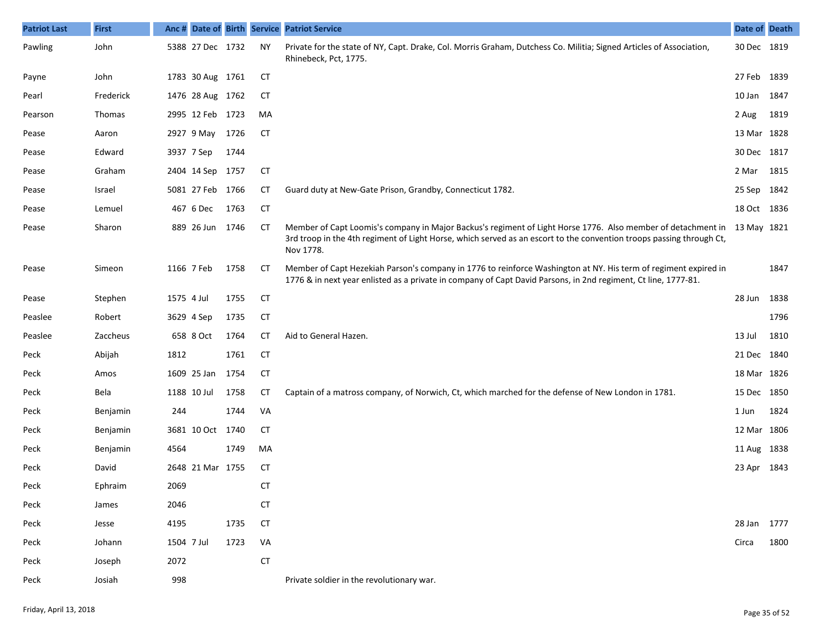| <b>Patriot Last</b> | <b>First</b> | Anc#       |                  |      |           | Date of Birth Service Patriot Service                                                                                                                                                                                                                         | Date of Death |      |
|---------------------|--------------|------------|------------------|------|-----------|---------------------------------------------------------------------------------------------------------------------------------------------------------------------------------------------------------------------------------------------------------------|---------------|------|
| Pawling             | John         |            | 5388 27 Dec 1732 |      | <b>NY</b> | Private for the state of NY, Capt. Drake, Col. Morris Graham, Dutchess Co. Militia; Signed Articles of Association,<br>Rhinebeck, Pct, 1775.                                                                                                                  | 30 Dec 1819   |      |
| Payne               | John         |            | 1783 30 Aug 1761 |      | СT        |                                                                                                                                                                                                                                                               | 27 Feb        | 1839 |
| Pearl               | Frederick    |            | 1476 28 Aug 1762 |      | CТ        |                                                                                                                                                                                                                                                               | 10 Jan        | 1847 |
| Pearson             | Thomas       |            | 2995 12 Feb 1723 |      | MA        |                                                                                                                                                                                                                                                               | 2 Aug         | 1819 |
| Pease               | Aaron        |            | 2927 9 May       | 1726 | <b>CT</b> |                                                                                                                                                                                                                                                               | 13 Mar 1828   |      |
| Pease               | Edward       |            | 3937 7 Sep       | 1744 |           |                                                                                                                                                                                                                                                               | 30 Dec 1817   |      |
| Pease               | Graham       |            | 2404 14 Sep 1757 |      | <b>CT</b> |                                                                                                                                                                                                                                                               | 2 Mar         | 1815 |
| Pease               | Israel       |            | 5081 27 Feb 1766 |      | СT        | Guard duty at New-Gate Prison, Grandby, Connecticut 1782.                                                                                                                                                                                                     | 25 Sep        | 1842 |
| Pease               | Lemuel       |            | 467 6 Dec        | 1763 | <b>CT</b> |                                                                                                                                                                                                                                                               | 18 Oct 1836   |      |
| Pease               | Sharon       |            | 889 26 Jun       | 1746 | CТ        | Member of Capt Loomis's company in Major Backus's regiment of Light Horse 1776. Also member of detachment in 13 May 1821<br>3rd troop in the 4th regiment of Light Horse, which served as an escort to the convention troops passing through Ct,<br>Nov 1778. |               |      |
| Pease               | Simeon       |            | 1166 7 Feb       | 1758 | СT        | Member of Capt Hezekiah Parson's company in 1776 to reinforce Washington at NY. His term of regiment expired in<br>1776 & in next year enlisted as a private in company of Capt David Parsons, in 2nd regiment, Ct line, 1777-81.                             |               | 1847 |
| Pease               | Stephen      | 1575 4 Jul |                  | 1755 | <b>CT</b> |                                                                                                                                                                                                                                                               | 28 Jun        | 1838 |
| Peaslee             | Robert       |            | 3629 4 Sep       | 1735 | <b>CT</b> |                                                                                                                                                                                                                                                               |               | 1796 |
| Peaslee             | Zaccheus     |            | 658 8 Oct        | 1764 | СT        | Aid to General Hazen.                                                                                                                                                                                                                                         | 13 Jul        | 1810 |
| Peck                | Abijah       | 1812       |                  | 1761 | <b>CT</b> |                                                                                                                                                                                                                                                               | 21 Dec        | 1840 |
| Peck                | Amos         |            | 1609 25 Jan      | 1754 | <b>CT</b> |                                                                                                                                                                                                                                                               | 18 Mar 1826   |      |
| Peck                | Bela         |            | 1188 10 Jul      | 1758 | СT        | Captain of a matross company, of Norwich, Ct, which marched for the defense of New London in 1781.                                                                                                                                                            | 15 Dec        | 1850 |
| Peck                | Benjamin     | 244        |                  | 1744 | VA        |                                                                                                                                                                                                                                                               | 1 Jun         | 1824 |
| Peck                | Benjamin     |            | 3681 10 Oct 1740 |      | <b>CT</b> |                                                                                                                                                                                                                                                               | 12 Mar 1806   |      |
| Peck                | Benjamin     | 4564       |                  | 1749 | MA        |                                                                                                                                                                                                                                                               | 11 Aug        | 1838 |
| Peck                | David        |            | 2648 21 Mar 1755 |      | CТ        |                                                                                                                                                                                                                                                               | 23 Apr 1843   |      |
| Peck                | Ephraim      | 2069       |                  |      | CT        |                                                                                                                                                                                                                                                               |               |      |
| Peck                | James        | 2046       |                  |      | <b>CT</b> |                                                                                                                                                                                                                                                               |               |      |
| Peck                | Jesse        | 4195       |                  | 1735 | <b>CT</b> |                                                                                                                                                                                                                                                               | 28 Jan        | 1777 |
| Peck                | Johann       | 1504 7 Jul |                  | 1723 | VA        |                                                                                                                                                                                                                                                               | Circa         | 1800 |
| Peck                | Joseph       | 2072       |                  |      | CT        |                                                                                                                                                                                                                                                               |               |      |
| Peck                | Josiah       | 998        |                  |      |           | Private soldier in the revolutionary war.                                                                                                                                                                                                                     |               |      |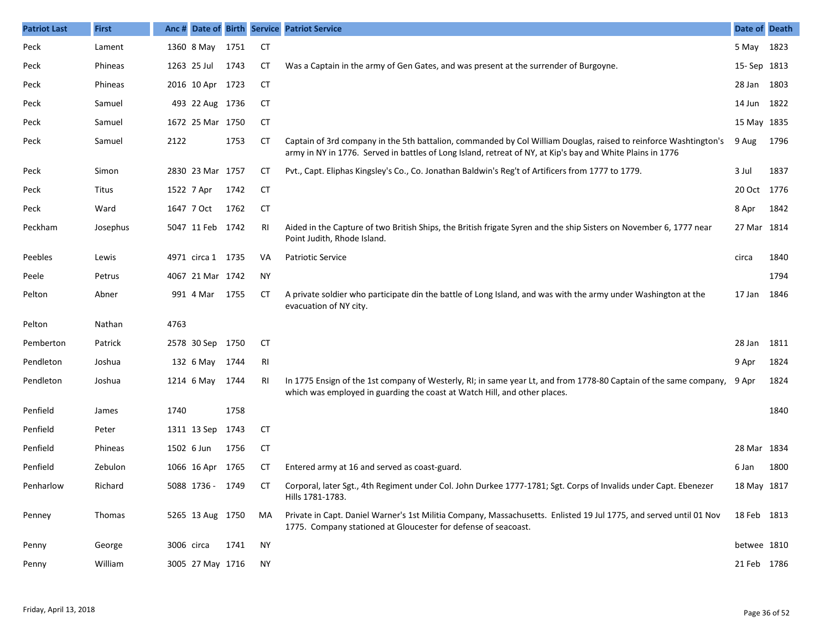| <b>Patriot Last</b> | <b>First</b> | Anc #      |                   |      |           | Date of Birth Service Patriot Service                                                                                                                                                                                          | Date of Death |      |
|---------------------|--------------|------------|-------------------|------|-----------|--------------------------------------------------------------------------------------------------------------------------------------------------------------------------------------------------------------------------------|---------------|------|
| Peck                | Lament       |            | 1360 8 May        | 1751 | <b>CT</b> |                                                                                                                                                                                                                                | 5 May         | 1823 |
| Peck                | Phineas      |            | 1263 25 Jul       | 1743 | CТ        | Was a Captain in the army of Gen Gates, and was present at the surrender of Burgoyne.                                                                                                                                          | 15-Sep 1813   |      |
| Peck                | Phineas      |            | 2016 10 Apr 1723  |      | CT        |                                                                                                                                                                                                                                | 28 Jan        | 1803 |
| Peck                | Samuel       |            | 493 22 Aug 1736   |      | CT        |                                                                                                                                                                                                                                | 14 Jun        | 1822 |
| Peck                | Samuel       |            | 1672 25 Mar 1750  |      | CT        |                                                                                                                                                                                                                                | 15 May 1835   |      |
| Peck                | Samuel       | 2122       |                   | 1753 | CT        | Captain of 3rd company in the 5th battalion, commanded by Col William Douglas, raised to reinforce Washtington's<br>army in NY in 1776. Served in battles of Long Island, retreat of NY, at Kip's bay and White Plains in 1776 | 9 Aug         | 1796 |
| Peck                | Simon        |            | 2830 23 Mar 1757  |      | CТ        | Pvt., Capt. Eliphas Kingsley's Co., Co. Jonathan Baldwin's Reg't of Artificers from 1777 to 1779.                                                                                                                              | 3 Jul         | 1837 |
| Peck                | Titus        |            | 1522 7 Apr        | 1742 | СT        |                                                                                                                                                                                                                                | 20 Oct 1776   |      |
| Peck                | Ward         |            | 1647 7 Oct        | 1762 | СT        |                                                                                                                                                                                                                                | 8 Apr         | 1842 |
| Peckham             | Josephus     |            | 5047 11 Feb 1742  |      | RI        | Aided in the Capture of two British Ships, the British frigate Syren and the ship Sisters on November 6, 1777 near<br>Point Judith, Rhode Island.                                                                              | 27 Mar 1814   |      |
| Peebles             | Lewis        |            | 4971 circa 1 1735 |      | VA        | <b>Patriotic Service</b>                                                                                                                                                                                                       | circa         | 1840 |
| Peele               | Petrus       |            | 4067 21 Mar 1742  |      | <b>NY</b> |                                                                                                                                                                                                                                |               | 1794 |
| Pelton              | Abner        |            | 991 4 Mar         | 1755 | CТ        | A private soldier who participate din the battle of Long Island, and was with the army under Washington at the<br>evacuation of NY city.                                                                                       | 17 Jan        | 1846 |
| Pelton              | Nathan       | 4763       |                   |      |           |                                                                                                                                                                                                                                |               |      |
| Pemberton           | Patrick      |            | 2578 30 Sep 1750  |      | <b>CT</b> |                                                                                                                                                                                                                                | 28 Jan        | 1811 |
| Pendleton           | Joshua       |            | 132 6 May         | 1744 | RI        |                                                                                                                                                                                                                                | 9 Apr         | 1824 |
| Pendleton           | Joshua       |            | 1214 6 May        | 1744 | RI        | In 1775 Ensign of the 1st company of Westerly, RI; in same year Lt, and from 1778-80 Captain of the same company, 9 Apr<br>which was employed in guarding the coast at Watch Hill, and other places.                           |               | 1824 |
| Penfield            | James        | 1740       |                   | 1758 |           |                                                                                                                                                                                                                                |               | 1840 |
| Penfield            | Peter        |            | 1311 13 Sep       | 1743 | <b>CT</b> |                                                                                                                                                                                                                                |               |      |
| Penfield            | Phineas      | 1502 6 Jun |                   | 1756 | <b>CT</b> |                                                                                                                                                                                                                                | 28 Mar 1834   |      |
| Penfield            | Zebulon      |            | 1066 16 Apr       | 1765 | CТ        | Entered army at 16 and served as coast-guard.                                                                                                                                                                                  | 6 Jan         | 1800 |
| Penharlow           | Richard      |            | 5088 1736 - 1749  |      | CТ        | Corporal, later Sgt., 4th Regiment under Col. John Durkee 1777-1781; Sgt. Corps of Invalids under Capt. Ebenezer<br>Hills 1781-1783.                                                                                           | 18 May 1817   |      |
| Penney              | Thomas       |            | 5265 13 Aug 1750  |      | MA        | Private in Capt. Daniel Warner's 1st Militia Company, Massachusetts. Enlisted 19 Jul 1775, and served until 01 Nov<br>1775. Company stationed at Gloucester for defense of seacoast.                                           | 18 Feb 1813   |      |
| Penny               | George       | 3006 circa |                   | 1741 | ΝY        |                                                                                                                                                                                                                                | betwee 1810   |      |
| Penny               | William      |            | 3005 27 May 1716  |      | NY.       |                                                                                                                                                                                                                                | 21 Feb 1786   |      |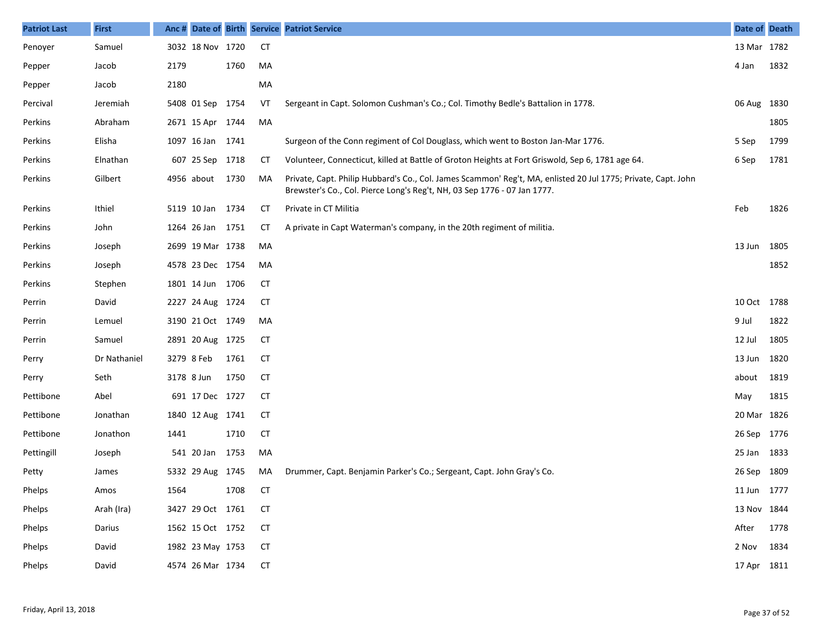| <b>Patriot Last</b> | <b>First</b> | Anc # |                  |      |           | Date of Birth Service Patriot Service                                                                                                                                                     | Date of Death |      |
|---------------------|--------------|-------|------------------|------|-----------|-------------------------------------------------------------------------------------------------------------------------------------------------------------------------------------------|---------------|------|
| Penoyer             | Samuel       |       | 3032 18 Nov 1720 |      | <b>CT</b> |                                                                                                                                                                                           | 13 Mar 1782   |      |
| Pepper              | Jacob        | 2179  |                  | 1760 | MA        |                                                                                                                                                                                           | 4 Jan         | 1832 |
| Pepper              | Jacob        | 2180  |                  |      | MA        |                                                                                                                                                                                           |               |      |
| Percival            | Jeremiah     |       | 5408 01 Sep 1754 |      | VT        | Sergeant in Capt. Solomon Cushman's Co.; Col. Timothy Bedle's Battalion in 1778.                                                                                                          | 06 Aug 1830   |      |
| Perkins             | Abraham      |       | 2671 15 Apr 1744 |      | MA        |                                                                                                                                                                                           |               | 1805 |
| Perkins             | Elisha       |       | 1097 16 Jan 1741 |      |           | Surgeon of the Conn regiment of Col Douglass, which went to Boston Jan-Mar 1776.                                                                                                          | 5 Sep         | 1799 |
| Perkins             | Elnathan     |       | 607 25 Sep 1718  |      | CТ        | Volunteer, Connecticut, killed at Battle of Groton Heights at Fort Griswold, Sep 6, 1781 age 64.                                                                                          | 6 Sep         | 1781 |
| Perkins             | Gilbert      |       | 4956 about 1730  |      | MA        | Private, Capt. Philip Hubbard's Co., Col. James Scammon' Reg't, MA, enlisted 20 Jul 1775; Private, Capt. John<br>Brewster's Co., Col. Pierce Long's Reg't, NH, 03 Sep 1776 - 07 Jan 1777. |               |      |
| Perkins             | Ithiel       |       | 5119 10 Jan 1734 |      | СT        | Private in CT Militia                                                                                                                                                                     | Feb           | 1826 |
| Perkins             | John         |       | 1264 26 Jan 1751 |      | CТ        | A private in Capt Waterman's company, in the 20th regiment of militia.                                                                                                                    |               |      |
| Perkins             | Joseph       |       | 2699 19 Mar 1738 |      | MA        |                                                                                                                                                                                           | 13 Jun        | 1805 |
| Perkins             | Joseph       |       | 4578 23 Dec 1754 |      | MA        |                                                                                                                                                                                           |               | 1852 |
| Perkins             | Stephen      |       | 1801 14 Jun 1706 |      | <b>CT</b> |                                                                                                                                                                                           |               |      |
| Perrin              | David        |       | 2227 24 Aug 1724 |      | CТ        |                                                                                                                                                                                           | 10 Oct 1788   |      |
| Perrin              | Lemuel       |       | 3190 21 Oct 1749 |      | MA        |                                                                                                                                                                                           | 9 Jul         | 1822 |
| Perrin              | Samuel       |       | 2891 20 Aug 1725 |      | СT        |                                                                                                                                                                                           | 12 Jul        | 1805 |
| Perry               | Dr Nathaniel |       | 3279 8 Feb       | 1761 | <b>CT</b> |                                                                                                                                                                                           | 13 Jun        | 1820 |
| Perry               | Seth         |       | 3178 8 Jun       | 1750 | <b>CT</b> |                                                                                                                                                                                           | about         | 1819 |
| Pettibone           | Abel         |       | 691 17 Dec 1727  |      | <b>CT</b> |                                                                                                                                                                                           | May           | 1815 |
| Pettibone           | Jonathan     |       | 1840 12 Aug 1741 |      | СT        |                                                                                                                                                                                           | 20 Mar 1826   |      |
| Pettibone           | Jonathon     | 1441  |                  | 1710 | <b>CT</b> |                                                                                                                                                                                           | 26 Sep 1776   |      |
| Pettingill          | Joseph       |       | 541 20 Jan 1753  |      | MA        |                                                                                                                                                                                           | 25 Jan 1833   |      |
| Petty               | James        |       | 5332 29 Aug 1745 |      | MA        | Drummer, Capt. Benjamin Parker's Co.; Sergeant, Capt. John Gray's Co.                                                                                                                     | 26 Sep 1809   |      |
| Phelps              | Amos         | 1564  |                  | 1708 | <b>CT</b> |                                                                                                                                                                                           | 11 Jun 1777   |      |
| Phelps              | Arah (Ira)   |       | 3427 29 Oct 1761 |      | CТ        |                                                                                                                                                                                           | 13 Nov 1844   |      |
| Phelps              | Darius       |       | 1562 15 Oct 1752 |      | <b>CT</b> |                                                                                                                                                                                           | After 1778    |      |
| Phelps              | David        |       | 1982 23 May 1753 |      | <b>CT</b> |                                                                                                                                                                                           | 2 Nov 1834    |      |
| Phelps              | David        |       | 4574 26 Mar 1734 |      | <b>CT</b> |                                                                                                                                                                                           | 17 Apr 1811   |      |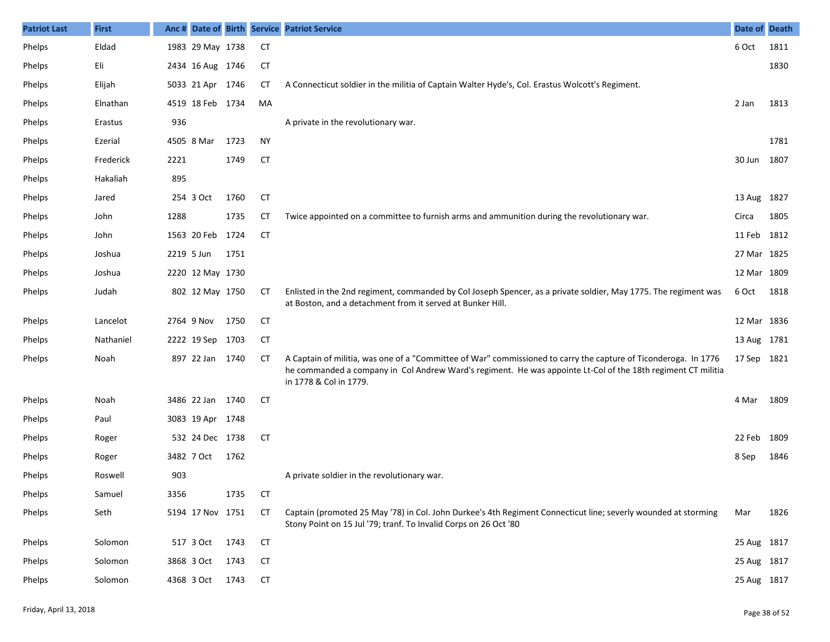| <b>Patriot Last</b> | <b>First</b> |            |                  |      |           | Anc # Date of Birth Service Patriot Service                                                                                                                                                                                                               | Date of Death |      |
|---------------------|--------------|------------|------------------|------|-----------|-----------------------------------------------------------------------------------------------------------------------------------------------------------------------------------------------------------------------------------------------------------|---------------|------|
| Phelps              | Eldad        |            | 1983 29 May 1738 |      | <b>CT</b> |                                                                                                                                                                                                                                                           | 6 Oct         | 1811 |
| Phelps              | Eli          |            | 2434 16 Aug 1746 |      | CT        |                                                                                                                                                                                                                                                           |               | 1830 |
| Phelps              | Elijah       |            | 5033 21 Apr 1746 |      | CТ        | A Connecticut soldier in the militia of Captain Walter Hyde's, Col. Erastus Wolcott's Regiment.                                                                                                                                                           |               |      |
| Phelps              | Elnathan     |            | 4519 18 Feb 1734 |      | MA        |                                                                                                                                                                                                                                                           | 2 Jan         | 1813 |
| Phelps              | Erastus      | 936        |                  |      |           | A private in the revolutionary war.                                                                                                                                                                                                                       |               |      |
| Phelps              | Ezerial      |            | 4505 8 Mar       | 1723 | <b>NY</b> |                                                                                                                                                                                                                                                           |               | 1781 |
| Phelps              | Frederick    | 2221       |                  | 1749 | <b>CT</b> |                                                                                                                                                                                                                                                           | 30 Jun        | 1807 |
| Phelps              | Hakaliah     | 895        |                  |      |           |                                                                                                                                                                                                                                                           |               |      |
| Phelps              | Jared        |            | 254 3 Oct        | 1760 | <b>CT</b> |                                                                                                                                                                                                                                                           | 13 Aug        | 1827 |
| Phelps              | John         | 1288       |                  | 1735 | СT        | Twice appointed on a committee to furnish arms and ammunition during the revolutionary war.                                                                                                                                                               | Circa         | 1805 |
| Phelps              | John         |            | 1563 20 Feb 1724 |      | <b>CT</b> |                                                                                                                                                                                                                                                           | 11 Feb        | 1812 |
| Phelps              | Joshua       | 2219 5 Jun |                  | 1751 |           |                                                                                                                                                                                                                                                           | 27 Mar 1825   |      |
| Phelps              | Joshua       |            | 2220 12 May 1730 |      |           |                                                                                                                                                                                                                                                           | 12 Mar 1809   |      |
| Phelps              | Judah        |            | 802 12 May 1750  |      | CТ        | Enlisted in the 2nd regiment, commanded by Col Joseph Spencer, as a private soldier, May 1775. The regiment was<br>at Boston, and a detachment from it served at Bunker Hill.                                                                             | 6 Oct         | 1818 |
| Phelps              | Lancelot     |            | 2764 9 Nov       | 1750 | <b>CT</b> |                                                                                                                                                                                                                                                           | 12 Mar 1836   |      |
| Phelps              | Nathaniel    |            | 2222 19 Sep 1703 |      | CT        |                                                                                                                                                                                                                                                           | 13 Aug 1781   |      |
| Phelps              | Noah         |            | 897 22 Jan 1740  |      | СT        | A Captain of militia, was one of a "Committee of War" commissioned to carry the capture of Ticonderoga. In 1776<br>he commanded a company in Col Andrew Ward's regiment. He was appointe Lt-Col of the 18th regiment CT militia<br>in 1778 & Col in 1779. | 17 Sep 1821   |      |
| Phelps              | Noah         |            | 3486 22 Jan      | 1740 | <b>CT</b> |                                                                                                                                                                                                                                                           | 4 Mar         | 1809 |
| Phelps              | Paul         |            | 3083 19 Apr 1748 |      |           |                                                                                                                                                                                                                                                           |               |      |
| Phelps              | Roger        |            | 532 24 Dec 1738  |      | <b>CT</b> |                                                                                                                                                                                                                                                           | 22 Feb        | 1809 |
| Phelps              | Roger        |            | 3482 7 Oct       | 1762 |           |                                                                                                                                                                                                                                                           | 8 Sep         | 1846 |
| Phelps              | Roswell      | 903        |                  |      |           | A private soldier in the revolutionary war.                                                                                                                                                                                                               |               |      |
| Phelps              | Samuel       | 3356       |                  | 1735 | <b>CT</b> |                                                                                                                                                                                                                                                           |               |      |
| Phelps              | Seth         |            | 5194 17 Nov 1751 |      | <b>CT</b> | Captain (promoted 25 May '78) in Col. John Durkee's 4th Regiment Connecticut line; severly wounded at storming<br>Stony Point on 15 Jul '79; tranf. To Invalid Corps on 26 Oct '80                                                                        | Mar           | 1826 |
| Phelps              | Solomon      |            | 517 3 Oct        | 1743 | <b>CT</b> |                                                                                                                                                                                                                                                           | 25 Aug 1817   |      |
| Phelps              | Solomon      |            | 3868 3 Oct       | 1743 | СT        |                                                                                                                                                                                                                                                           | 25 Aug 1817   |      |
| Phelps              | Solomon      |            | 4368 3 Oct       | 1743 | CT        |                                                                                                                                                                                                                                                           | 25 Aug 1817   |      |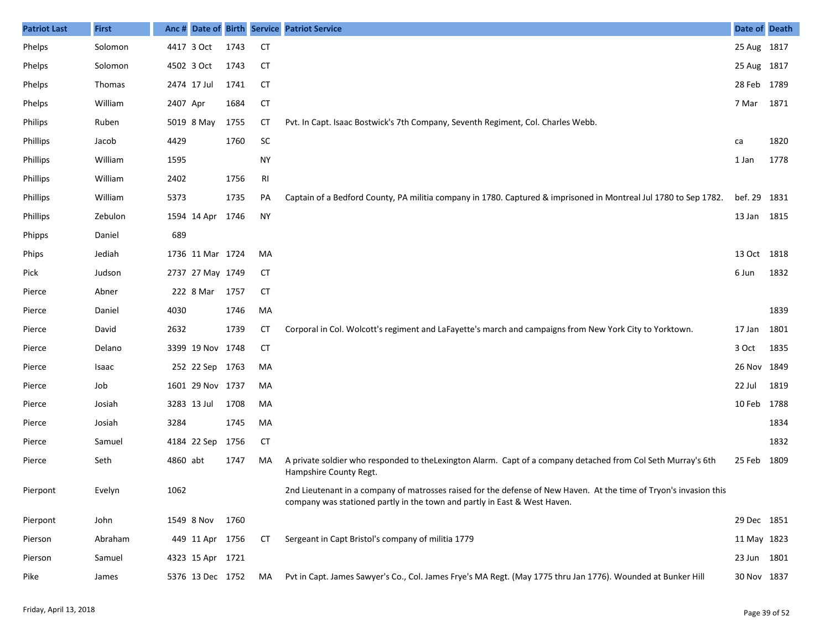| <b>Patriot Last</b> | <b>First</b> |          |                  |      |                | Anc # Date of Birth Service Patriot Service                                                                                                                                                     | Date of Death |      |
|---------------------|--------------|----------|------------------|------|----------------|-------------------------------------------------------------------------------------------------------------------------------------------------------------------------------------------------|---------------|------|
| Phelps              | Solomon      |          | 4417 3 Oct       | 1743 | <b>CT</b>      |                                                                                                                                                                                                 | 25 Aug 1817   |      |
| Phelps              | Solomon      |          | 4502 3 Oct       | 1743 | <b>CT</b>      |                                                                                                                                                                                                 | 25 Aug 1817   |      |
| Phelps              | Thomas       |          | 2474 17 Jul      | 1741 | <b>CT</b>      |                                                                                                                                                                                                 | 28 Feb 1789   |      |
| Phelps              | William      | 2407 Apr |                  | 1684 | <b>CT</b>      |                                                                                                                                                                                                 | 7 Mar         | 1871 |
| Philips             | Ruben        |          | 5019 8 May       | 1755 | <b>CT</b>      | Pvt. In Capt. Isaac Bostwick's 7th Company, Seventh Regiment, Col. Charles Webb.                                                                                                                |               |      |
| Phillips            | Jacob        | 4429     |                  | 1760 | <b>SC</b>      |                                                                                                                                                                                                 | ca            | 1820 |
| Phillips            | William      | 1595     |                  |      | <b>NY</b>      |                                                                                                                                                                                                 | 1 Jan         | 1778 |
| Phillips            | William      | 2402     |                  | 1756 | R <sub>l</sub> |                                                                                                                                                                                                 |               |      |
| Phillips            | William      | 5373     |                  | 1735 | PA             | Captain of a Bedford County, PA militia company in 1780. Captured & imprisoned in Montreal Jul 1780 to Sep 1782.                                                                                | bef. 29       | 1831 |
| Phillips            | Zebulon      |          | 1594 14 Apr      | 1746 | <b>NY</b>      |                                                                                                                                                                                                 | 13 Jan 1815   |      |
| Phipps              | Daniel       | 689      |                  |      |                |                                                                                                                                                                                                 |               |      |
| Phips               | Jediah       |          | 1736 11 Mar 1724 |      | MA             |                                                                                                                                                                                                 | 13 Oct 1818   |      |
| Pick                | Judson       |          | 2737 27 May 1749 |      | <b>CT</b>      |                                                                                                                                                                                                 | 6 Jun         | 1832 |
| Pierce              | Abner        |          | 222 8 Mar 1757   |      | <b>CT</b>      |                                                                                                                                                                                                 |               |      |
| Pierce              | Daniel       | 4030     |                  | 1746 | MA             |                                                                                                                                                                                                 |               | 1839 |
| Pierce              | David        | 2632     |                  | 1739 | СT             | Corporal in Col. Wolcott's regiment and LaFayette's march and campaigns from New York City to Yorktown.                                                                                         | 17 Jan        | 1801 |
| Pierce              | Delano       |          | 3399 19 Nov 1748 |      | <b>CT</b>      |                                                                                                                                                                                                 | 3 Oct         | 1835 |
| Pierce              | Isaac        |          | 252 22 Sep 1763  |      | MA             |                                                                                                                                                                                                 | 26 Nov 1849   |      |
| Pierce              | Job          |          | 1601 29 Nov 1737 |      | MA             |                                                                                                                                                                                                 | 22 Jul        | 1819 |
| Pierce              | Josiah       |          | 3283 13 Jul      | 1708 | MA             |                                                                                                                                                                                                 | 10 Feb 1788   |      |
| Pierce              | Josiah       | 3284     |                  | 1745 | MA             |                                                                                                                                                                                                 |               | 1834 |
| Pierce              | Samuel       |          | 4184 22 Sep 1756 |      | <b>CT</b>      |                                                                                                                                                                                                 |               | 1832 |
| Pierce              | Seth         | 4860 abt |                  | 1747 | MA             | A private soldier who responded to the Lexington Alarm. Capt of a company detached from Col Seth Murray's 6th<br>Hampshire County Regt.                                                         | 25 Feb        | 1809 |
| Pierpont            | Evelyn       | 1062     |                  |      |                | 2nd Lieutenant in a company of matrosses raised for the defense of New Haven. At the time of Tryon's invasion this<br>company was stationed partly in the town and partly in East & West Haven. |               |      |
| Pierpont            | John         |          | 1549 8 Nov       | 1760 |                |                                                                                                                                                                                                 | 29 Dec 1851   |      |
| Pierson             | Abraham      |          | 449 11 Apr 1756  |      | СT             | Sergeant in Capt Bristol's company of militia 1779                                                                                                                                              | 11 May 1823   |      |
| Pierson             | Samuel       |          | 4323 15 Apr 1721 |      |                |                                                                                                                                                                                                 | 23 Jun 1801   |      |
| Pike                | James        |          | 5376 13 Dec 1752 |      | MA             | Pvt in Capt. James Sawyer's Co., Col. James Frye's MA Regt. (May 1775 thru Jan 1776). Wounded at Bunker Hill                                                                                    | 30 Nov 1837   |      |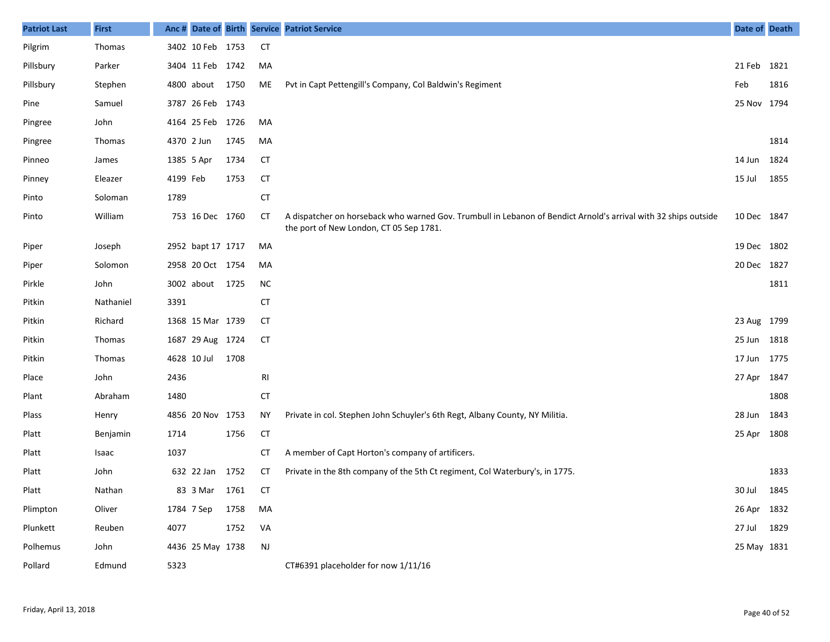| <b>Patriot Last</b> | <b>First</b>  |          |                   |      |           | Anc # Date of Birth Service Patriot Service                                                                                                                | Date of Death |      |
|---------------------|---------------|----------|-------------------|------|-----------|------------------------------------------------------------------------------------------------------------------------------------------------------------|---------------|------|
| Pilgrim             | Thomas        |          | 3402 10 Feb 1753  |      | CT        |                                                                                                                                                            |               |      |
| Pillsbury           | Parker        |          | 3404 11 Feb 1742  |      | MA        |                                                                                                                                                            | 21 Feb        | 1821 |
| Pillsbury           | Stephen       |          | 4800 about 1750   |      | ME        | Pvt in Capt Pettengill's Company, Col Baldwin's Regiment                                                                                                   | Feb           | 1816 |
| Pine                | Samuel        |          | 3787 26 Feb 1743  |      |           |                                                                                                                                                            | 25 Nov 1794   |      |
| Pingree             | John          |          | 4164 25 Feb 1726  |      | MA        |                                                                                                                                                            |               |      |
| Pingree             | <b>Thomas</b> |          | 4370 2 Jun        | 1745 | MA        |                                                                                                                                                            |               | 1814 |
| Pinneo              | James         |          | 1385 5 Apr        | 1734 | <b>CT</b> |                                                                                                                                                            | 14 Jun        | 1824 |
| Pinney              | Eleazer       | 4199 Feb |                   | 1753 | <b>CT</b> |                                                                                                                                                            | 15 Jul        | 1855 |
| Pinto               | Soloman       | 1789     |                   |      | <b>CT</b> |                                                                                                                                                            |               |      |
| Pinto               | William       |          | 753 16 Dec 1760   |      | <b>CT</b> | A dispatcher on horseback who warned Gov. Trumbull in Lebanon of Bendict Arnold's arrival with 32 ships outside<br>the port of New London, CT 05 Sep 1781. | 10 Dec 1847   |      |
| Piper               | Joseph        |          | 2952 bapt 17 1717 |      | MA        |                                                                                                                                                            | 19 Dec 1802   |      |
| Piper               | Solomon       |          | 2958 20 Oct 1754  |      | MA        |                                                                                                                                                            | 20 Dec 1827   |      |
| Pirkle              | John          |          | 3002 about 1725   |      | <b>NC</b> |                                                                                                                                                            |               | 1811 |
| Pitkin              | Nathaniel     | 3391     |                   |      | <b>CT</b> |                                                                                                                                                            |               |      |
| Pitkin              | Richard       |          | 1368 15 Mar 1739  |      | CT        |                                                                                                                                                            | 23 Aug 1799   |      |
| Pitkin              | <b>Thomas</b> |          | 1687 29 Aug 1724  |      | <b>CT</b> |                                                                                                                                                            | 25 Jun        | 1818 |
| Pitkin              | Thomas        |          | 4628 10 Jul       | 1708 |           |                                                                                                                                                            | 17 Jun        | 1775 |
| Place               | John          | 2436     |                   |      | RI        |                                                                                                                                                            | 27 Apr        | 1847 |
| Plant               | Abraham       | 1480     |                   |      | <b>CT</b> |                                                                                                                                                            |               | 1808 |
| Plass               | Henry         |          | 4856 20 Nov 1753  |      | <b>NY</b> | Private in col. Stephen John Schuyler's 6th Regt, Albany County, NY Militia.                                                                               | 28 Jun        | 1843 |
| Platt               | Benjamin      | 1714     |                   | 1756 | <b>CT</b> |                                                                                                                                                            | 25 Apr        | 1808 |
| Platt               | Isaac         | 1037     |                   |      | СT        | A member of Capt Horton's company of artificers.                                                                                                           |               |      |
| Platt               | John          |          | 632 22 Jan 1752   |      | CT        | Private in the 8th company of the 5th Ct regiment, Col Waterbury's, in 1775.                                                                               |               | 1833 |
| Platt               | Nathan        |          | 83 3 Mar 1761     |      | <b>CT</b> |                                                                                                                                                            | 30 Jul        | 1845 |
| Plimpton            | Oliver        |          | 1784 7 Sep        | 1758 | МA        |                                                                                                                                                            | 26 Apr 1832   |      |
| Plunkett            | Reuben        | 4077     |                   | 1752 | VA        |                                                                                                                                                            | 27 Jul        | 1829 |
| Polhemus            | John          |          | 4436 25 May 1738  |      | NJ        |                                                                                                                                                            | 25 May 1831   |      |
| Pollard             | Edmund        | 5323     |                   |      |           | CT#6391 placeholder for now 1/11/16                                                                                                                        |               |      |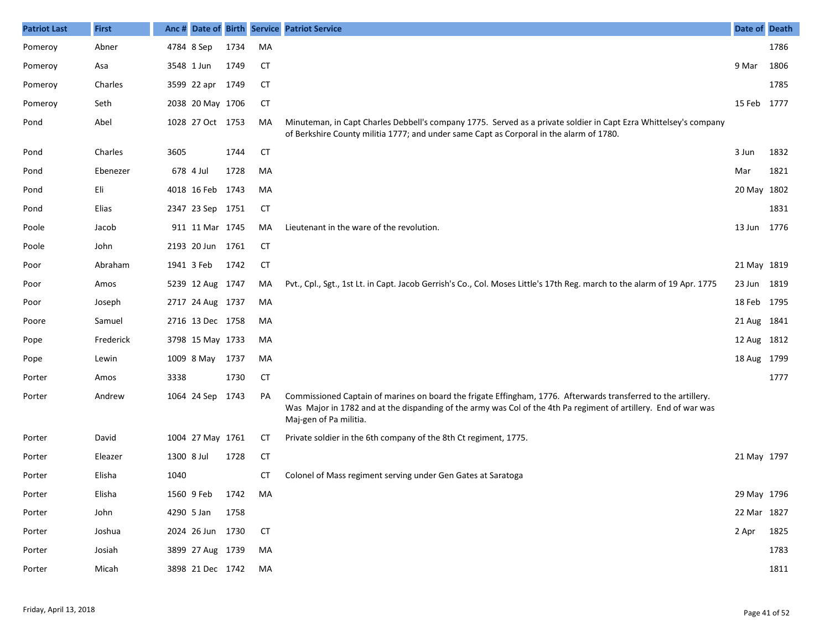| <b>Patriot Last</b> | <b>First</b> |            |                  |      |           | Anc # Date of Birth Service Patriot Service                                                                                                                                                                                                                 | Date of Death |      |
|---------------------|--------------|------------|------------------|------|-----------|-------------------------------------------------------------------------------------------------------------------------------------------------------------------------------------------------------------------------------------------------------------|---------------|------|
| Pomeroy             | Abner        |            | 4784 8 Sep       | 1734 | MA        |                                                                                                                                                                                                                                                             |               | 1786 |
| Pomeroy             | Asa          |            | 3548 1 Jun       | 1749 | <b>CT</b> |                                                                                                                                                                                                                                                             | 9 Mar         | 1806 |
| Pomeroy             | Charles      |            | 3599 22 apr 1749 |      | СT        |                                                                                                                                                                                                                                                             |               | 1785 |
| Pomeroy             | Seth         |            | 2038 20 May 1706 |      | <b>CT</b> |                                                                                                                                                                                                                                                             | 15 Feb 1777   |      |
| Pond                | Abel         |            | 1028 27 Oct 1753 |      | MA        | Minuteman, in Capt Charles Debbell's company 1775. Served as a private soldier in Capt Ezra Whittelsey's company<br>of Berkshire County militia 1777; and under same Capt as Corporal in the alarm of 1780.                                                 |               |      |
| Pond                | Charles      | 3605       |                  | 1744 | <b>CT</b> |                                                                                                                                                                                                                                                             | 3 Jun         | 1832 |
| Pond                | Ebenezer     |            | 678 4 Jul        | 1728 | MA        |                                                                                                                                                                                                                                                             | Mar           | 1821 |
| Pond                | Eli          |            | 4018 16 Feb 1743 |      | MA        |                                                                                                                                                                                                                                                             | 20 May 1802   |      |
| Pond                | Elias        |            | 2347 23 Sep 1751 |      | <b>CT</b> |                                                                                                                                                                                                                                                             |               | 1831 |
| Poole               | Jacob        |            | 911 11 Mar 1745  |      | MA        | Lieutenant in the ware of the revolution.                                                                                                                                                                                                                   | 13 Jun        | 1776 |
| Poole               | John         |            | 2193 20 Jun 1761 |      | <b>CT</b> |                                                                                                                                                                                                                                                             |               |      |
| Poor                | Abraham      |            | 1941 3 Feb       | 1742 | <b>CT</b> |                                                                                                                                                                                                                                                             | 21 May 1819   |      |
| Poor                | Amos         |            | 5239 12 Aug 1747 |      | MA        | Pvt., Cpl., Sgt., 1st Lt. in Capt. Jacob Gerrish's Co., Col. Moses Little's 17th Reg. march to the alarm of 19 Apr. 1775                                                                                                                                    | 23 Jun 1819   |      |
| Poor                | Joseph       |            | 2717 24 Aug 1737 |      | MA        |                                                                                                                                                                                                                                                             | 18 Feb 1795   |      |
| Poore               | Samuel       |            | 2716 13 Dec 1758 |      | MA        |                                                                                                                                                                                                                                                             | 21 Aug 1841   |      |
| Pope                | Frederick    |            | 3798 15 May 1733 |      | MA        |                                                                                                                                                                                                                                                             | 12 Aug 1812   |      |
| Pope                | Lewin        |            | 1009 8 May       | 1737 | MA        |                                                                                                                                                                                                                                                             | 18 Aug 1799   |      |
| Porter              | Amos         | 3338       |                  | 1730 | <b>CT</b> |                                                                                                                                                                                                                                                             |               | 1777 |
| Porter              | Andrew       |            | 1064 24 Sep      | 1743 | PA        | Commissioned Captain of marines on board the frigate Effingham, 1776. Afterwards transferred to the artillery.<br>Was Major in 1782 and at the dispanding of the army was Col of the 4th Pa regiment of artillery. End of war was<br>Maj-gen of Pa militia. |               |      |
| Porter              | David        |            | 1004 27 May 1761 |      | СT        | Private soldier in the 6th company of the 8th Ct regiment, 1775.                                                                                                                                                                                            |               |      |
| Porter              | Eleazer      | 1300 8 Jul |                  | 1728 | <b>CT</b> |                                                                                                                                                                                                                                                             | 21 May 1797   |      |
| Porter              | Elisha       | 1040       |                  |      | CТ        | Colonel of Mass regiment serving under Gen Gates at Saratoga                                                                                                                                                                                                |               |      |
| Porter              | Elisha       |            | 1560 9 Feb       | 1742 | MA        |                                                                                                                                                                                                                                                             | 29 May 1796   |      |
| Porter              | John         |            | 4290 5 Jan       | 1758 |           |                                                                                                                                                                                                                                                             | 22 Mar 1827   |      |
| Porter              | Joshua       |            | 2024 26 Jun 1730 |      | <b>CT</b> |                                                                                                                                                                                                                                                             | 2 Apr 1825    |      |
| Porter              | Josiah       |            | 3899 27 Aug 1739 |      | MA        |                                                                                                                                                                                                                                                             |               | 1783 |
| Porter              | Micah        |            | 3898 21 Dec 1742 |      | MA        |                                                                                                                                                                                                                                                             |               | 1811 |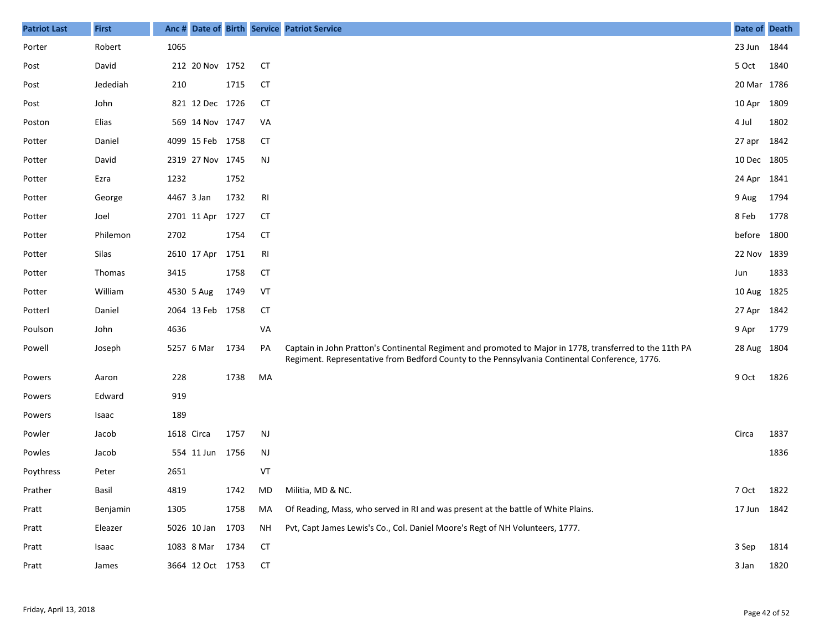| <b>Patriot Last</b> | <b>First</b> | Anc #      |                  |      |           | Date of Birth Service Patriot Service                                                                                                                                                                      | Date of Death |      |
|---------------------|--------------|------------|------------------|------|-----------|------------------------------------------------------------------------------------------------------------------------------------------------------------------------------------------------------------|---------------|------|
| Porter              | Robert       | 1065       |                  |      |           |                                                                                                                                                                                                            | 23 Jun 1844   |      |
| Post                | David        |            | 212 20 Nov 1752  |      | <b>CT</b> |                                                                                                                                                                                                            | 5 Oct         | 1840 |
| Post                | Jedediah     | 210        |                  | 1715 | <b>CT</b> |                                                                                                                                                                                                            | 20 Mar 1786   |      |
| Post                | John         |            | 821 12 Dec 1726  |      | CТ        |                                                                                                                                                                                                            | 10 Apr 1809   |      |
| Poston              | Elias        |            | 569 14 Nov 1747  |      | VA        |                                                                                                                                                                                                            | 4 Jul         | 1802 |
| Potter              | Daniel       |            | 4099 15 Feb 1758 |      | CТ        |                                                                                                                                                                                                            | 27 apr 1842   |      |
| Potter              | David        |            | 2319 27 Nov 1745 |      | <b>NJ</b> |                                                                                                                                                                                                            | 10 Dec 1805   |      |
| Potter              | Ezra         | 1232       |                  | 1752 |           |                                                                                                                                                                                                            | 24 Apr 1841   |      |
| Potter              | George       | 4467 3 Jan |                  | 1732 | RI        |                                                                                                                                                                                                            | 9 Aug         | 1794 |
| Potter              | Joel         |            | 2701 11 Apr 1727 |      | СT        |                                                                                                                                                                                                            | 8 Feb         | 1778 |
| Potter              | Philemon     | 2702       |                  | 1754 | <b>CT</b> |                                                                                                                                                                                                            | before 1800   |      |
| Potter              | Silas        |            | 2610 17 Apr      | 1751 | RI        |                                                                                                                                                                                                            | 22 Nov 1839   |      |
| Potter              | Thomas       | 3415       |                  | 1758 | <b>CT</b> |                                                                                                                                                                                                            | Jun           | 1833 |
| Potter              | William      |            | 4530 5 Aug       | 1749 | VT        |                                                                                                                                                                                                            | 10 Aug 1825   |      |
| Potterl             | Daniel       |            | 2064 13 Feb 1758 |      | <b>CT</b> |                                                                                                                                                                                                            | 27 Apr 1842   |      |
| Poulson             | John         | 4636       |                  |      | VA        |                                                                                                                                                                                                            | 9 Apr         | 1779 |
| Powell              | Joseph       |            | 5257 6 Mar       | 1734 | PA        | Captain in John Pratton's Continental Regiment and promoted to Major in 1778, transferred to the 11th PA<br>Regiment. Representative from Bedford County to the Pennsylvania Continental Conference, 1776. | 28 Aug 1804   |      |
| Powers              | Aaron        | 228        |                  | 1738 | MA        |                                                                                                                                                                                                            | 9 Oct         | 1826 |
| Powers              | Edward       | 919        |                  |      |           |                                                                                                                                                                                                            |               |      |
| Powers              | Isaac        | 189        |                  |      |           |                                                                                                                                                                                                            |               |      |
| Powler              | Jacob        | 1618 Circa |                  | 1757 | <b>NJ</b> |                                                                                                                                                                                                            | Circa         | 1837 |
| Powles              | Jacob        |            | 554 11 Jun 1756  |      | <b>NJ</b> |                                                                                                                                                                                                            |               | 1836 |
| Poythress           | Peter        | 2651       |                  |      | VT        |                                                                                                                                                                                                            |               |      |
| Prather             | Basil        | 4819       |                  | 1742 |           | MD Militia, MD & NC.                                                                                                                                                                                       | 7 Oct 1822    |      |
| Pratt               | Benjamin     | 1305       |                  | 1758 | MA        | Of Reading, Mass, who served in RI and was present at the battle of White Plains.                                                                                                                          | 17 Jun 1842   |      |
| Pratt               | Eleazer      |            | 5026 10 Jan 1703 |      | NH        | Pvt, Capt James Lewis's Co., Col. Daniel Moore's Regt of NH Volunteers, 1777.                                                                                                                              |               |      |
| Pratt               | Isaac        |            | 1083 8 Mar 1734  |      | <b>CT</b> |                                                                                                                                                                                                            | 3 Sep         | 1814 |
| Pratt               | James        |            | 3664 12 Oct 1753 |      | <b>CT</b> |                                                                                                                                                                                                            | 3 Jan         | 1820 |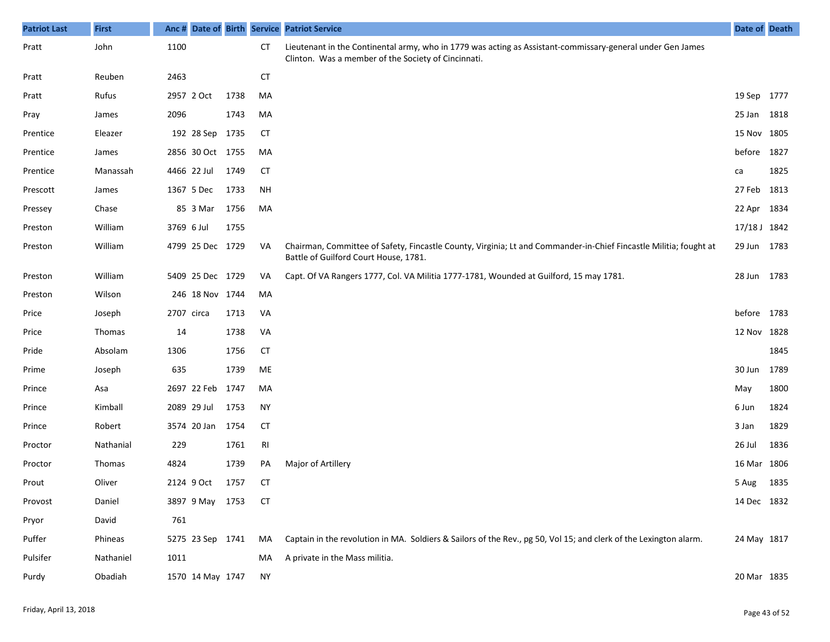| <b>Patriot Last</b> | <b>First</b> | Anc#       |                  |      |           | Date of Birth Service Patriot Service                                                                                                                             | <b>Date of Death</b> |      |
|---------------------|--------------|------------|------------------|------|-----------|-------------------------------------------------------------------------------------------------------------------------------------------------------------------|----------------------|------|
| Pratt               | John         | 1100       |                  |      | CT        | Lieutenant in the Continental army, who in 1779 was acting as Assistant-commissary-general under Gen James<br>Clinton. Was a member of the Society of Cincinnati. |                      |      |
| Pratt               | Reuben       | 2463       |                  |      | <b>CT</b> |                                                                                                                                                                   |                      |      |
| Pratt               | Rufus        |            | 2957 2 Oct       | 1738 | MA        |                                                                                                                                                                   | 19 Sep 1777          |      |
| Pray                | James        | 2096       |                  | 1743 | MA        |                                                                                                                                                                   | 25 Jan               | 1818 |
| Prentice            | Eleazer      |            | 192 28 Sep       | 1735 | <b>CT</b> |                                                                                                                                                                   | 15 Nov               | 1805 |
| Prentice            | James        |            | 2856 30 Oct 1755 |      | MA        |                                                                                                                                                                   | before 1827          |      |
| Prentice            | Manassah     |            | 4466 22 Jul      | 1749 | <b>CT</b> |                                                                                                                                                                   | ca                   | 1825 |
| Prescott            | James        |            | 1367 5 Dec       | 1733 | NH        |                                                                                                                                                                   | 27 Feb               | 1813 |
| Pressey             | Chase        |            | 85 3 Mar         | 1756 | MA        |                                                                                                                                                                   | 22 Apr               | 1834 |
| Preston             | William      | 3769 6 Jul |                  | 1755 |           |                                                                                                                                                                   | 17/18 J 1842         |      |
| Preston             | William      |            | 4799 25 Dec 1729 |      | VA        | Chairman, Committee of Safety, Fincastle County, Virginia; Lt and Commander-in-Chief Fincastle Militia; fought at<br>Battle of Guilford Court House, 1781.        | 29 Jun               | 1783 |
| Preston             | William      |            | 5409 25 Dec 1729 |      | VA        | Capt. Of VA Rangers 1777, Col. VA Militia 1777-1781, Wounded at Guilford, 15 may 1781.                                                                            | 28 Jun               | 1783 |
| Preston             | Wilson       |            | 246 18 Nov 1744  |      | MA        |                                                                                                                                                                   |                      |      |
| Price               | Joseph       | 2707 circa |                  | 1713 | VA        |                                                                                                                                                                   | before               | 1783 |
| Price               | Thomas       | 14         |                  | 1738 | VA        |                                                                                                                                                                   | 12 Nov 1828          |      |
| Pride               | Absolam      | 1306       |                  | 1756 | <b>CT</b> |                                                                                                                                                                   |                      | 1845 |
| Prime               | Joseph       | 635        |                  | 1739 | ME        |                                                                                                                                                                   | 30 Jun               | 1789 |
| Prince              | Asa          |            | 2697 22 Feb      | 1747 | MA        |                                                                                                                                                                   | May                  | 1800 |
| Prince              | Kimball      |            | 2089 29 Jul      | 1753 | <b>NY</b> |                                                                                                                                                                   | 6 Jun                | 1824 |
| Prince              | Robert       |            | 3574 20 Jan      | 1754 | <b>CT</b> |                                                                                                                                                                   | 3 Jan                | 1829 |
| Proctor             | Nathanial    | 229        |                  | 1761 | RI        |                                                                                                                                                                   | 26 Jul               | 1836 |
| Proctor             | Thomas       | 4824       |                  | 1739 | PA        | Major of Artillery                                                                                                                                                | 16 Mar 1806          |      |
| Prout               | Oliver       |            | 2124 9 Oct       | 1757 | <b>CT</b> |                                                                                                                                                                   | 5 Aug                | 1835 |
| Provost             | Daniel       |            | 3897 9 May 1753  |      | CT        |                                                                                                                                                                   | 14 Dec 1832          |      |
| Pryor               | David        | 761        |                  |      |           |                                                                                                                                                                   |                      |      |
| Puffer              | Phineas      |            | 5275 23 Sep 1741 |      | MA        | Captain in the revolution in MA. Soldiers & Sailors of the Rev., pg 50, Vol 15; and clerk of the Lexington alarm.                                                 | 24 May 1817          |      |
| Pulsifer            | Nathaniel    | 1011       |                  |      | MA        | A private in the Mass militia.                                                                                                                                    |                      |      |
| Purdy               | Obadiah      |            | 1570 14 May 1747 |      | NY        |                                                                                                                                                                   | 20 Mar 1835          |      |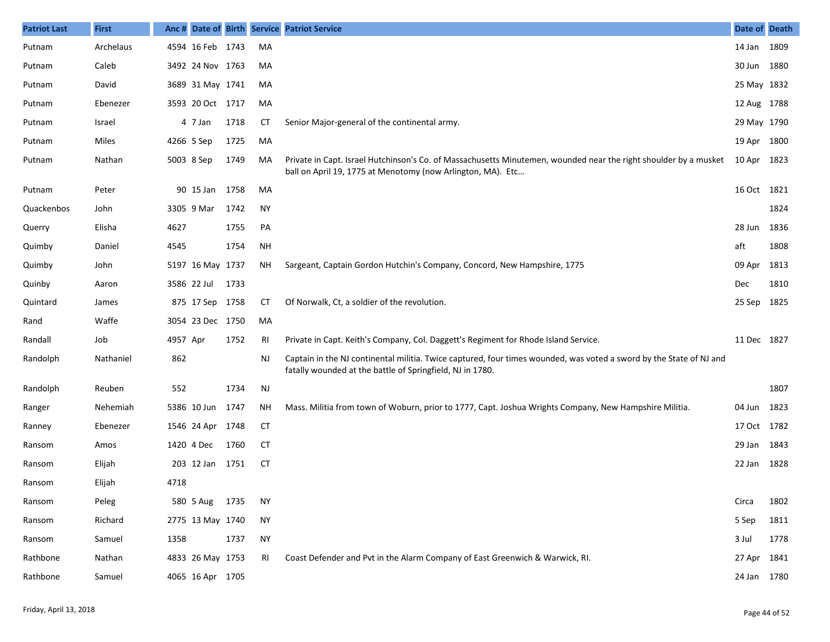| <b>Patriot Last</b> | <b>First</b> |          |                  |      |           | Anc # Date of Birth Service Patriot Service                                                                                                                                      | Date of Death |      |
|---------------------|--------------|----------|------------------|------|-----------|----------------------------------------------------------------------------------------------------------------------------------------------------------------------------------|---------------|------|
| Putnam              | Archelaus    |          | 4594 16 Feb 1743 |      | MA        |                                                                                                                                                                                  | 14 Jan 1809   |      |
| Putnam              | Caleb        |          | 3492 24 Nov 1763 |      | MA        |                                                                                                                                                                                  | 30 Jun 1880   |      |
| Putnam              | David        |          | 3689 31 May 1741 |      | MA        |                                                                                                                                                                                  | 25 May 1832   |      |
| Putnam              | Ebenezer     |          | 3593 20 Oct 1717 |      | MA        |                                                                                                                                                                                  | 12 Aug 1788   |      |
| Putnam              | Israel       |          | 4 7 Jan          | 1718 | <b>CT</b> | Senior Major-general of the continental army.                                                                                                                                    | 29 May 1790   |      |
| Putnam              | Miles        |          | 4266 5 Sep       | 1725 | MA        |                                                                                                                                                                                  | 19 Apr 1800   |      |
| Putnam              | Nathan       |          | 5003 8 Sep       | 1749 | MA        | Private in Capt. Israel Hutchinson's Co. of Massachusetts Minutemen, wounded near the right shoulder by a musket<br>ball on April 19, 1775 at Menotomy (now Arlington, MA). Etc  | 10 Apr 1823   |      |
| Putnam              | Peter        |          | 90 15 Jan        | 1758 | MA        |                                                                                                                                                                                  | 16 Oct 1821   |      |
| Quackenbos          | John         |          | 3305 9 Mar       | 1742 | <b>NY</b> |                                                                                                                                                                                  |               | 1824 |
| Querry              | Elisha       | 4627     |                  | 1755 | PA        |                                                                                                                                                                                  | 28 Jun        | 1836 |
| Quimby              | Daniel       | 4545     |                  | 1754 | <b>NH</b> |                                                                                                                                                                                  | aft           | 1808 |
| Quimby              | John         |          | 5197 16 May 1737 |      | NΗ        | Sargeant, Captain Gordon Hutchin's Company, Concord, New Hampshire, 1775                                                                                                         | 09 Apr        | 1813 |
| Quinby              | Aaron        |          | 3586 22 Jul      | 1733 |           |                                                                                                                                                                                  | Dec           | 1810 |
| Quintard            | James        |          | 875 17 Sep 1758  |      | СT        | Of Norwalk, Ct, a soldier of the revolution.                                                                                                                                     | 25 Sep 1825   |      |
| Rand                | Waffe        |          | 3054 23 Dec 1750 |      | MA        |                                                                                                                                                                                  |               |      |
| Randall             | Job          | 4957 Apr |                  | 1752 | RI        | Private in Capt. Keith's Company, Col. Daggett's Regiment for Rhode Island Service.                                                                                              | 11 Dec 1827   |      |
| Randolph            | Nathaniel    | 862      |                  |      | <b>NJ</b> | Captain in the NJ continental militia. Twice captured, four times wounded, was voted a sword by the State of NJ and<br>fatally wounded at the battle of Springfield, NJ in 1780. |               |      |
| Randolph            | Reuben       | 552      |                  | 1734 | <b>NJ</b> |                                                                                                                                                                                  |               | 1807 |
| Ranger              | Nehemiah     |          | 5386 10 Jun      | 1747 | NΗ        | Mass. Militia from town of Woburn, prior to 1777, Capt. Joshua Wrights Company, New Hampshire Militia.                                                                           | 04 Jun        | 1823 |
| Ranney              | Ebenezer     |          | 1546 24 Apr      | 1748 | <b>CT</b> |                                                                                                                                                                                  | 17 Oct 1782   |      |
| Ransom              | Amos         |          | 1420 4 Dec       | 1760 | <b>CT</b> |                                                                                                                                                                                  | 29 Jan 1843   |      |
| Ransom              | Elijah       |          | 203 12 Jan       | 1751 | <b>CT</b> |                                                                                                                                                                                  | 22 Jan        | 1828 |
| Ransom              | Elijah       | 4718     |                  |      |           |                                                                                                                                                                                  |               |      |
| Ransom              | Peleg        |          | 580 5 Aug 1735   |      | <b>NY</b> |                                                                                                                                                                                  | Circa         | 1802 |
| Ransom              | Richard      |          | 2775 13 May 1740 |      | <b>NY</b> |                                                                                                                                                                                  | 5 Sep         | 1811 |
| Ransom              | Samuel       | 1358     |                  | 1737 | <b>NY</b> |                                                                                                                                                                                  | 3 Jul         | 1778 |
| Rathbone            | Nathan       |          | 4833 26 May 1753 |      | RI        | Coast Defender and Pvt in the Alarm Company of East Greenwich & Warwick, RI.                                                                                                     | 27 Apr 1841   |      |
| Rathbone            | Samuel       |          | 4065 16 Apr 1705 |      |           |                                                                                                                                                                                  | 24 Jan 1780   |      |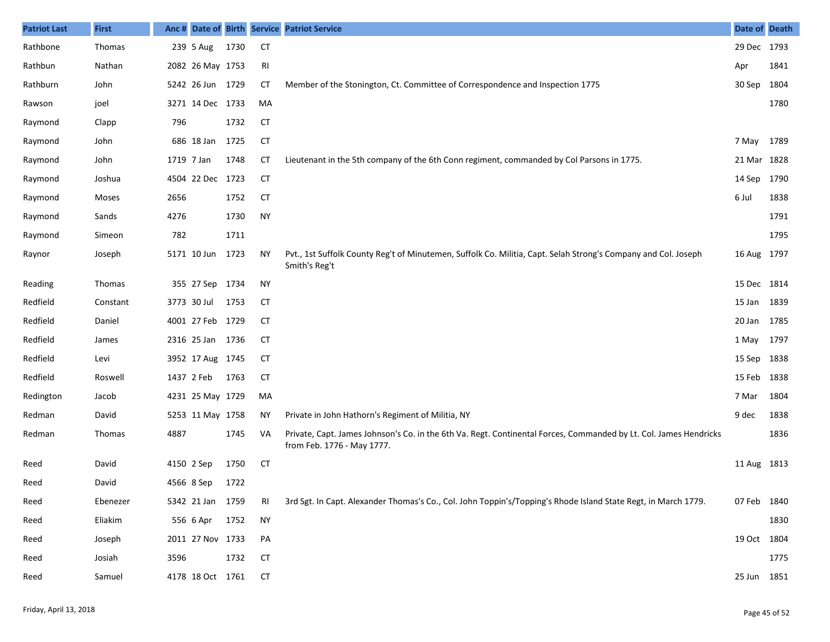| <b>Patriot Last</b> | <b>First</b>  |            |                  |      |           | Anc # Date of Birth Service Patriot Service                                                                                                     | Date of Death |      |
|---------------------|---------------|------------|------------------|------|-----------|-------------------------------------------------------------------------------------------------------------------------------------------------|---------------|------|
| Rathbone            | Thomas        |            | 239 5 Aug        | 1730 | <b>CT</b> |                                                                                                                                                 | 29 Dec 1793   |      |
| Rathbun             | Nathan        |            | 2082 26 May 1753 |      | RI        |                                                                                                                                                 | Apr           | 1841 |
| Rathburn            | John          |            | 5242 26 Jun 1729 |      | <b>CT</b> | Member of the Stonington, Ct. Committee of Correspondence and Inspection 1775                                                                   | 30 Sep        | 1804 |
| Rawson              | joel          |            | 3271 14 Dec 1733 |      | MA        |                                                                                                                                                 |               | 1780 |
| Raymond             | Clapp         | 796        |                  | 1732 | <b>CT</b> |                                                                                                                                                 |               |      |
| Raymond             | John          |            | 686 18 Jan       | 1725 | <b>CT</b> |                                                                                                                                                 | 7 May 1789    |      |
| Raymond             | John          | 1719 7 Jan |                  | 1748 | <b>CT</b> | Lieutenant in the 5th company of the 6th Conn regiment, commanded by Col Parsons in 1775.                                                       | 21 Mar 1828   |      |
| Raymond             | Joshua        |            | 4504 22 Dec 1723 |      | <b>CT</b> |                                                                                                                                                 | 14 Sep 1790   |      |
| Raymond             | Moses         | 2656       |                  | 1752 | <b>CT</b> |                                                                                                                                                 | 6 Jul         | 1838 |
| Raymond             | Sands         | 4276       |                  | 1730 | <b>NY</b> |                                                                                                                                                 |               | 1791 |
| Raymond             | Simeon        | 782        |                  | 1711 |           |                                                                                                                                                 |               | 1795 |
| Raynor              | Joseph        |            | 5171 10 Jun 1723 |      | ΝY        | Pvt., 1st Suffolk County Reg't of Minutemen, Suffolk Co. Militia, Capt. Selah Strong's Company and Col. Joseph<br>Smith's Reg't                 | 16 Aug 1797   |      |
| Reading             | Thomas        |            | 355 27 Sep 1734  |      | <b>NY</b> |                                                                                                                                                 | 15 Dec 1814   |      |
| Redfield            | Constant      |            | 3773 30 Jul      | 1753 | <b>CT</b> |                                                                                                                                                 | 15 Jan 1839   |      |
| Redfield            | Daniel        |            | 4001 27 Feb 1729 |      | <b>CT</b> |                                                                                                                                                 | 20 Jan        | 1785 |
| Redfield            | James         |            | 2316 25 Jan 1736 |      | <b>CT</b> |                                                                                                                                                 | 1 May 1797    |      |
| Redfield            | Levi          |            | 3952 17 Aug 1745 |      | <b>CT</b> |                                                                                                                                                 | 15 Sep 1838   |      |
| Redfield            | Roswell       |            | 1437 2 Feb       | 1763 | <b>CT</b> |                                                                                                                                                 | 15 Feb 1838   |      |
| Redington           | Jacob         |            | 4231 25 May 1729 |      | MA        |                                                                                                                                                 | 7 Mar         | 1804 |
| Redman              | David         |            | 5253 11 May 1758 |      | ΝY        | Private in John Hathorn's Regiment of Militia, NY                                                                                               | 9 dec         | 1838 |
| Redman              | <b>Thomas</b> | 4887       |                  | 1745 | VA        | Private, Capt. James Johnson's Co. in the 6th Va. Regt. Continental Forces, Commanded by Lt. Col. James Hendricks<br>from Feb. 1776 - May 1777. |               | 1836 |
| Reed                | David         |            | 4150 2 Sep       | 1750 | <b>CT</b> |                                                                                                                                                 | 11 Aug 1813   |      |
| Reed                | David         |            | 4566 8 Sep       | 1722 |           |                                                                                                                                                 |               |      |
| Reed                | Ebenezer      |            | 5342 21 Jan 1759 |      | RI        | 3rd Sgt. In Capt. Alexander Thomas's Co., Col. John Toppin's/Topping's Rhode Island State Regt, in March 1779.                                  | 07 Feb 1840   |      |
| Reed                | Eliakim       |            | 556 6 Apr        | 1752 | <b>NY</b> |                                                                                                                                                 |               | 1830 |
| Reed                | Joseph        |            | 2011 27 Nov 1733 |      | PA        |                                                                                                                                                 | 19 Oct 1804   |      |
| Reed                | Josiah        | 3596       |                  | 1732 | <b>CT</b> |                                                                                                                                                 |               | 1775 |
| Reed                | Samuel        |            | 4178 18 Oct 1761 |      | <b>CT</b> |                                                                                                                                                 | 25 Jun 1851   |      |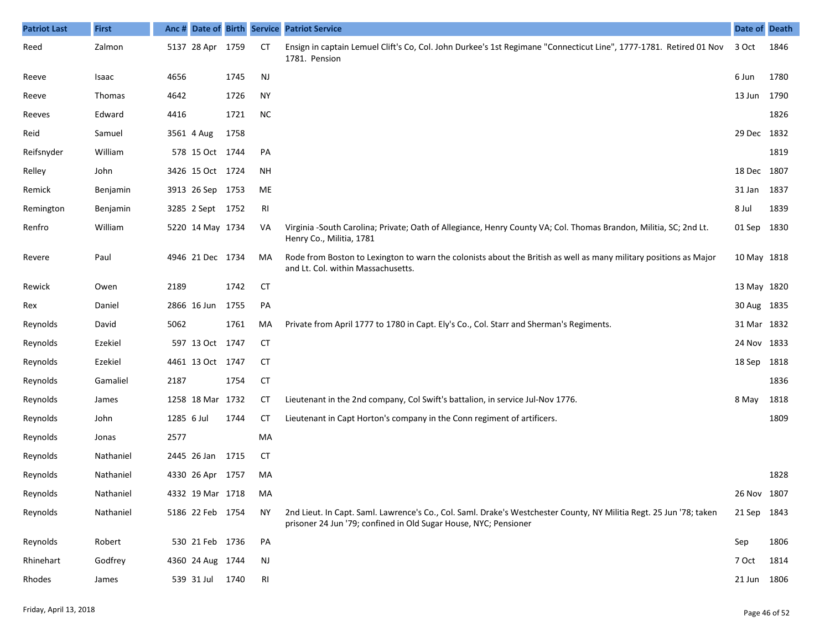| <b>Patriot Last</b> | <b>First</b> | Anc#       | Date of Birth Service |      |               | <b>Patriot Service</b>                                                                                                                                                                  | Date of Death |      |
|---------------------|--------------|------------|-----------------------|------|---------------|-----------------------------------------------------------------------------------------------------------------------------------------------------------------------------------------|---------------|------|
| Reed                | Zalmon       |            | 5137 28 Apr           | 1759 | CT            | Ensign in captain Lemuel Clift's Co, Col. John Durkee's 1st Regimane "Connecticut Line", 1777-1781. Retired 01 Nov<br>1781. Pension                                                     | 3 Oct         | 1846 |
| Reeve               | Isaac        | 4656       |                       | 1745 | $\mathsf{NJ}$ |                                                                                                                                                                                         | 6 Jun         | 1780 |
| Reeve               | Thomas       | 4642       |                       | 1726 | <b>NY</b>     |                                                                                                                                                                                         | 13 Jun        | 1790 |
| Reeves              | Edward       | 4416       |                       | 1721 | <b>NC</b>     |                                                                                                                                                                                         |               | 1826 |
| Reid                | Samuel       |            | 3561 4 Aug            | 1758 |               |                                                                                                                                                                                         | 29 Dec 1832   |      |
| Reifsnyder          | William      |            | 578 15 Oct 1744       |      | PA            |                                                                                                                                                                                         |               | 1819 |
| Relley              | John         |            | 3426 15 Oct 1724      |      | <b>NH</b>     |                                                                                                                                                                                         | 18 Dec 1807   |      |
| Remick              | Benjamin     |            | 3913 26 Sep 1753      |      | ME            |                                                                                                                                                                                         | 31 Jan        | 1837 |
| Remington           | Benjamin     |            | 3285 2 Sept 1752      |      | RI            |                                                                                                                                                                                         | 8 Jul         | 1839 |
| Renfro              | William      |            | 5220 14 May 1734      |      | VA            | Virginia -South Carolina; Private; Oath of Allegiance, Henry County VA; Col. Thomas Brandon, Militia, SC; 2nd Lt.<br>Henry Co., Militia, 1781                                           | 01 Sep        | 1830 |
| Revere              | Paul         |            | 4946 21 Dec 1734      |      | MA            | Rode from Boston to Lexington to warn the colonists about the British as well as many military positions as Major<br>and Lt. Col. within Massachusetts.                                 | 10 May 1818   |      |
| Rewick              | Owen         | 2189       |                       | 1742 | <b>CT</b>     |                                                                                                                                                                                         | 13 May 1820   |      |
| Rex                 | Daniel       |            | 2866 16 Jun           | 1755 | PA            |                                                                                                                                                                                         | 30 Aug 1835   |      |
| Reynolds            | David        | 5062       |                       | 1761 | MA            | Private from April 1777 to 1780 in Capt. Ely's Co., Col. Starr and Sherman's Regiments.                                                                                                 | 31 Mar 1832   |      |
| Reynolds            | Ezekiel      |            | 597 13 Oct 1747       |      | СT            |                                                                                                                                                                                         | 24 Nov 1833   |      |
| Reynolds            | Ezekiel      |            | 4461 13 Oct 1747      |      | <b>CT</b>     |                                                                                                                                                                                         | 18 Sep        | 1818 |
| Reynolds            | Gamaliel     | 2187       |                       | 1754 | <b>CT</b>     |                                                                                                                                                                                         |               | 1836 |
| Reynolds            | James        |            | 1258 18 Mar 1732      |      | <b>CT</b>     | Lieutenant in the 2nd company, Col Swift's battalion, in service Jul-Nov 1776.                                                                                                          | 8 May         | 1818 |
| Reynolds            | John         | 1285 6 Jul |                       | 1744 | <b>CT</b>     | Lieutenant in Capt Horton's company in the Conn regiment of artificers.                                                                                                                 |               | 1809 |
| Reynolds            | Jonas        | 2577       |                       |      | MA            |                                                                                                                                                                                         |               |      |
| Reynolds            | Nathaniel    |            | 2445 26 Jan 1715      |      | <b>CT</b>     |                                                                                                                                                                                         |               |      |
| Reynolds            | Nathaniel    |            | 4330 26 Apr           | 1757 | MA            |                                                                                                                                                                                         |               | 1828 |
| Reynolds            | Nathaniel    |            | 4332 19 Mar 1718      |      | MA            |                                                                                                                                                                                         | 26 Nov 1807   |      |
| Reynolds            | Nathaniel    |            | 5186 22 Feb 1754      |      | <b>NY</b>     | 2nd Lieut. In Capt. Saml. Lawrence's Co., Col. Saml. Drake's Westchester County, NY Militia Regt. 25 Jun '78; taken<br>prisoner 24 Jun '79; confined in Old Sugar House, NYC; Pensioner | 21 Sep        | 1843 |
| Reynolds            | Robert       |            | 530 21 Feb 1736       |      | PA            |                                                                                                                                                                                         | Sep           | 1806 |
| Rhinehart           | Godfrey      |            | 4360 24 Aug 1744      |      | NJ            |                                                                                                                                                                                         | 7 Oct         | 1814 |
| Rhodes              | James        |            | 539 31 Jul 1740       |      | RI            |                                                                                                                                                                                         | 21 Jun 1806   |      |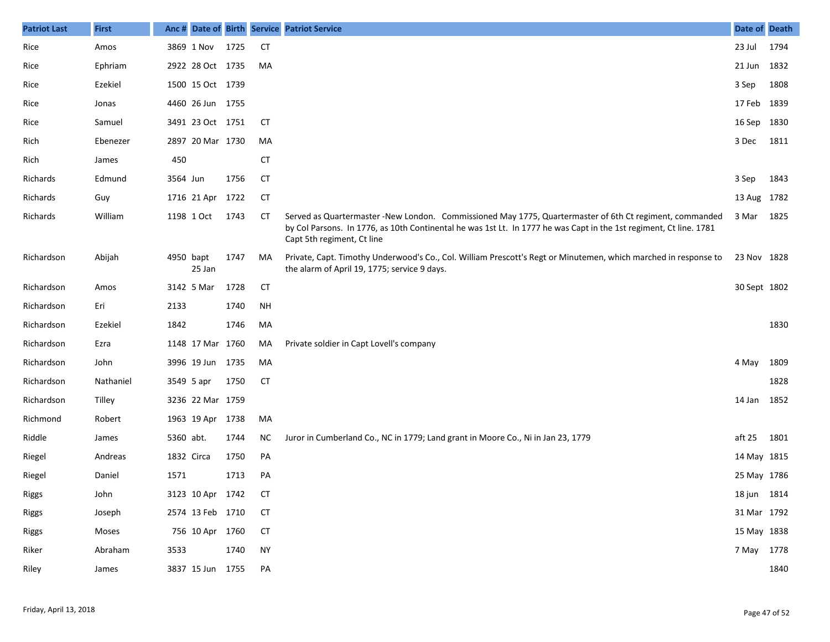| <b>Patriot Last</b> | <b>First</b> | Anc #      |                  |      |           | Date of Birth Service Patriot Service                                                                                                                                                                                                                       | Date of Death |      |
|---------------------|--------------|------------|------------------|------|-----------|-------------------------------------------------------------------------------------------------------------------------------------------------------------------------------------------------------------------------------------------------------------|---------------|------|
| Rice                | Amos         |            | 3869 1 Nov       | 1725 | <b>CT</b> |                                                                                                                                                                                                                                                             | 23 Jul        | 1794 |
| Rice                | Ephriam      |            | 2922 28 Oct 1735 |      | MA        |                                                                                                                                                                                                                                                             | 21 Jun        | 1832 |
| Rice                | Ezekiel      |            | 1500 15 Oct 1739 |      |           |                                                                                                                                                                                                                                                             | 3 Sep         | 1808 |
| Rice                | Jonas        |            | 4460 26 Jun 1755 |      |           |                                                                                                                                                                                                                                                             | 17 Feb 1839   |      |
| Rice                | Samuel       |            | 3491 23 Oct 1751 |      | <b>CT</b> |                                                                                                                                                                                                                                                             | 16 Sep        | 1830 |
| Rich                | Ebenezer     |            | 2897 20 Mar 1730 |      | MA        |                                                                                                                                                                                                                                                             | 3 Dec         | 1811 |
| Rich                | James        | 450        |                  |      | <b>CT</b> |                                                                                                                                                                                                                                                             |               |      |
| Richards            | Edmund       | 3564 Jun   |                  | 1756 | <b>CT</b> |                                                                                                                                                                                                                                                             | 3 Sep         | 1843 |
| Richards            | Guy          |            | 1716 21 Apr      | 1722 | <b>CT</b> |                                                                                                                                                                                                                                                             | 13 Aug 1782   |      |
| Richards            | William      |            | 1198 1 Oct       | 1743 | СT        | Served as Quartermaster -New London. Commissioned May 1775, Quartermaster of 6th Ct regiment, commanded<br>by Col Parsons. In 1776, as 10th Continental he was 1st Lt. In 1777 he was Capt in the 1st regiment, Ct line. 1781<br>Capt 5th regiment, Ct line | 3 Mar         | 1825 |
| Richardson          | Abijah       | 4950 bapt  | 25 Jan           | 1747 | MA        | Private, Capt. Timothy Underwood's Co., Col. William Prescott's Regt or Minutemen, which marched in response to<br>the alarm of April 19, 1775; service 9 days.                                                                                             | 23 Nov 1828   |      |
| Richardson          | Amos         |            | 3142 5 Mar       | 1728 | <b>CT</b> |                                                                                                                                                                                                                                                             | 30 Sept 1802  |      |
| Richardson          | Eri          | 2133       |                  | 1740 | <b>NH</b> |                                                                                                                                                                                                                                                             |               |      |
| Richardson          | Ezekiel      | 1842       |                  | 1746 | MA        |                                                                                                                                                                                                                                                             |               | 1830 |
| Richardson          | Ezra         |            | 1148 17 Mar 1760 |      | MA        | Private soldier in Capt Lovell's company                                                                                                                                                                                                                    |               |      |
| Richardson          | John         |            | 3996 19 Jun 1735 |      | MA        |                                                                                                                                                                                                                                                             | 4 May         | 1809 |
| Richardson          | Nathaniel    |            | 3549 5 apr       | 1750 | <b>CT</b> |                                                                                                                                                                                                                                                             |               | 1828 |
| Richardson          | Tilley       |            | 3236 22 Mar 1759 |      |           |                                                                                                                                                                                                                                                             | 14 Jan        | 1852 |
| Richmond            | Robert       |            | 1963 19 Apr 1738 |      | MA        |                                                                                                                                                                                                                                                             |               |      |
| Riddle              | James        | 5360 abt.  |                  | 1744 | NC        | Juror in Cumberland Co., NC in 1779; Land grant in Moore Co., Ni in Jan 23, 1779                                                                                                                                                                            | aft 25        | 1801 |
| Riegel              | Andreas      | 1832 Circa |                  | 1750 | PA        |                                                                                                                                                                                                                                                             | 14 May 1815   |      |
| Riegel              | Daniel       | 1571       |                  | 1713 | PA        |                                                                                                                                                                                                                                                             | 25 May 1786   |      |
| Riggs               | John         |            | 3123 10 Apr 1742 |      | <b>CT</b> |                                                                                                                                                                                                                                                             | 18 jun 1814   |      |
| <b>Riggs</b>        | Joseph       |            | 2574 13 Feb 1710 |      | <b>CT</b> |                                                                                                                                                                                                                                                             | 31 Mar 1792   |      |
| Riggs               | Moses        |            | 756 10 Apr 1760  |      | <b>CT</b> |                                                                                                                                                                                                                                                             | 15 May 1838   |      |
| Riker               | Abraham      | 3533       |                  | 1740 | <b>NY</b> |                                                                                                                                                                                                                                                             | 7 May 1778    |      |
| Riley               | James        |            | 3837 15 Jun 1755 |      | PA        |                                                                                                                                                                                                                                                             |               | 1840 |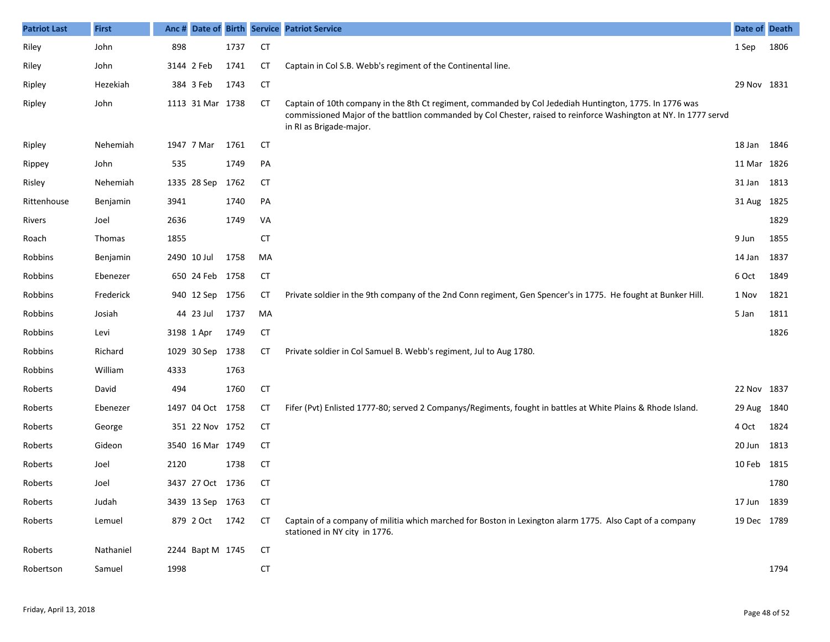| <b>Patriot Last</b> | <b>First</b>  |      |                  |      |           | Anc # Date of Birth Service Patriot Service                                                                                                                                                                                                            | Date of Death |      |
|---------------------|---------------|------|------------------|------|-----------|--------------------------------------------------------------------------------------------------------------------------------------------------------------------------------------------------------------------------------------------------------|---------------|------|
| Riley               | John          | 898  |                  | 1737 | <b>CT</b> |                                                                                                                                                                                                                                                        | 1 Sep         | 1806 |
| Riley               | John          |      | 3144 2 Feb       | 1741 | <b>CT</b> | Captain in Col S.B. Webb's regiment of the Continental line.                                                                                                                                                                                           |               |      |
| Ripley              | Hezekiah      |      | 384 3 Feb        | 1743 | <b>CT</b> |                                                                                                                                                                                                                                                        | 29 Nov 1831   |      |
| Ripley              | John          |      | 1113 31 Mar 1738 |      | СT        | Captain of 10th company in the 8th Ct regiment, commanded by Col Jedediah Huntington, 1775. In 1776 was<br>commissioned Major of the battlion commanded by Col Chester, raised to reinforce Washington at NY. In 1777 servd<br>in RI as Brigade-major. |               |      |
| Ripley              | Nehemiah      |      | 1947 7 Mar       | 1761 | CT        |                                                                                                                                                                                                                                                        | 18 Jan        | 1846 |
| Rippey              | John          | 535  |                  | 1749 | PA        |                                                                                                                                                                                                                                                        | 11 Mar 1826   |      |
| Risley              | Nehemiah      |      | 1335 28 Sep      | 1762 | CT        |                                                                                                                                                                                                                                                        | 31 Jan        | 1813 |
| Rittenhouse         | Benjamin      | 3941 |                  | 1740 | PA        |                                                                                                                                                                                                                                                        | 31 Aug 1825   |      |
| Rivers              | Joel          | 2636 |                  | 1749 | VA        |                                                                                                                                                                                                                                                        |               | 1829 |
| Roach               | <b>Thomas</b> | 1855 |                  |      | <b>CT</b> |                                                                                                                                                                                                                                                        | 9 Jun         | 1855 |
| Robbins             | Benjamin      |      | 2490 10 Jul      | 1758 | MA        |                                                                                                                                                                                                                                                        | 14 Jan        | 1837 |
| Robbins             | Ebenezer      |      | 650 24 Feb 1758  |      | CT        |                                                                                                                                                                                                                                                        | 6 Oct         | 1849 |
| Robbins             | Frederick     |      | 940 12 Sep       | 1756 | СT        | Private soldier in the 9th company of the 2nd Conn regiment, Gen Spencer's in 1775. He fought at Bunker Hill.                                                                                                                                          | 1 Nov         | 1821 |
| Robbins             | Josiah        |      | 44 23 Jul        | 1737 | MA        |                                                                                                                                                                                                                                                        | 5 Jan         | 1811 |
| Robbins             | Levi          |      | 3198 1 Apr       | 1749 | <b>CT</b> |                                                                                                                                                                                                                                                        |               | 1826 |
| Robbins             | Richard       |      | 1029 30 Sep      | 1738 | СT        | Private soldier in Col Samuel B. Webb's regiment, Jul to Aug 1780.                                                                                                                                                                                     |               |      |
| Robbins             | William       | 4333 |                  | 1763 |           |                                                                                                                                                                                                                                                        |               |      |
| Roberts             | David         | 494  |                  | 1760 | <b>CT</b> |                                                                                                                                                                                                                                                        | 22 Nov 1837   |      |
| Roberts             | Ebenezer      |      | 1497 04 Oct      | 1758 | CT        | Fifer (Pvt) Enlisted 1777-80; served 2 Companys/Regiments, fought in battles at White Plains & Rhode Island.                                                                                                                                           | 29 Aug        | 1840 |
| Roberts             | George        |      | 351 22 Nov 1752  |      | <b>CT</b> |                                                                                                                                                                                                                                                        | 4 Oct         | 1824 |
| Roberts             | Gideon        |      | 3540 16 Mar 1749 |      | <b>CT</b> |                                                                                                                                                                                                                                                        | 20 Jun        | 1813 |
| Roberts             | Joel          | 2120 |                  | 1738 | <b>CT</b> |                                                                                                                                                                                                                                                        | 10 Feb        | 1815 |
| Roberts             | Joel          |      | 3437 27 Oct 1736 |      | <b>CT</b> |                                                                                                                                                                                                                                                        |               | 1780 |
| Roberts             | Judah         |      | 3439 13 Sep 1763 |      | CT        |                                                                                                                                                                                                                                                        | 17 Jun 1839   |      |
| Roberts             | Lemuel        |      | 879 2 Oct        | 1742 | CT        | Captain of a company of militia which marched for Boston in Lexington alarm 1775. Also Capt of a company<br>stationed in NY city in 1776.                                                                                                              | 19 Dec 1789   |      |
| Roberts             | Nathaniel     |      | 2244 Bapt M 1745 |      | CT        |                                                                                                                                                                                                                                                        |               |      |
| Robertson           | Samuel        | 1998 |                  |      | <b>CT</b> |                                                                                                                                                                                                                                                        |               | 1794 |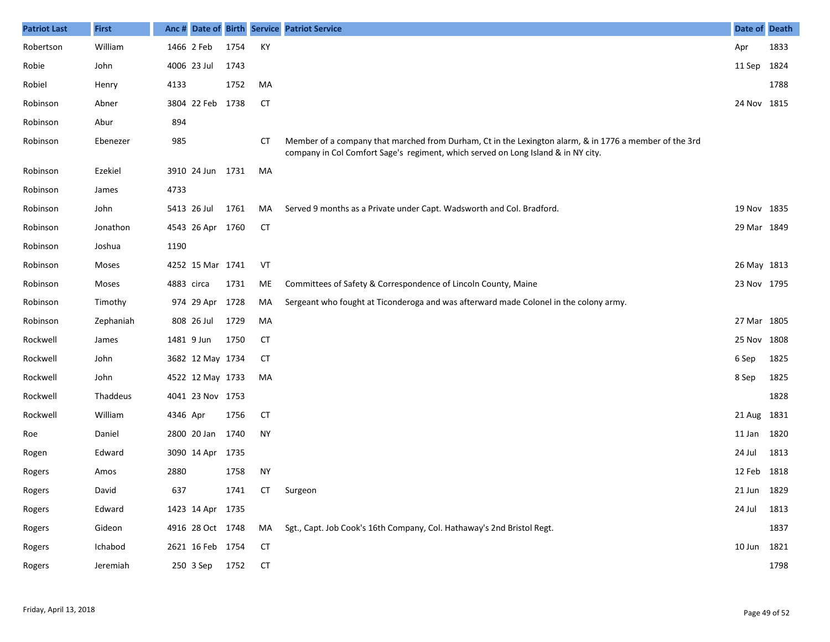| <b>Patriot Last</b> | <b>First</b> |            |                  |      |           | Anc # Date of Birth Service Patriot Service                                                                                                                                                 | Date of Death |      |
|---------------------|--------------|------------|------------------|------|-----------|---------------------------------------------------------------------------------------------------------------------------------------------------------------------------------------------|---------------|------|
| Robertson           | William      |            | 1466 2 Feb       | 1754 | KY        |                                                                                                                                                                                             | Apr           | 1833 |
| Robie               | John         |            | 4006 23 Jul      | 1743 |           |                                                                                                                                                                                             | 11 Sep        | 1824 |
| Robiel              | Henry        | 4133       |                  | 1752 | MA        |                                                                                                                                                                                             |               | 1788 |
| Robinson            | Abner        |            | 3804 22 Feb 1738 |      | <b>CT</b> |                                                                                                                                                                                             | 24 Nov 1815   |      |
| Robinson            | Abur         | 894        |                  |      |           |                                                                                                                                                                                             |               |      |
| Robinson            | Ebenezer     | 985        |                  |      | CT        | Member of a company that marched from Durham, Ct in the Lexington alarm, & in 1776 a member of the 3rd<br>company in Col Comfort Sage's regiment, which served on Long Island & in NY city. |               |      |
| Robinson            | Ezekiel      |            | 3910 24 Jun 1731 |      | MA        |                                                                                                                                                                                             |               |      |
| Robinson            | James        | 4733       |                  |      |           |                                                                                                                                                                                             |               |      |
| Robinson            | John         |            | 5413 26 Jul      | 1761 | MA        | Served 9 months as a Private under Capt. Wadsworth and Col. Bradford.                                                                                                                       | 19 Nov 1835   |      |
| Robinson            | Jonathon     |            | 4543 26 Apr 1760 |      | <b>CT</b> |                                                                                                                                                                                             | 29 Mar 1849   |      |
| Robinson            | Joshua       | 1190       |                  |      |           |                                                                                                                                                                                             |               |      |
| Robinson            | Moses        |            | 4252 15 Mar 1741 |      | VT        |                                                                                                                                                                                             | 26 May 1813   |      |
| Robinson            | Moses        | 4883 circa |                  | 1731 | ME        | Committees of Safety & Correspondence of Lincoln County, Maine                                                                                                                              | 23 Nov 1795   |      |
| Robinson            | Timothy      |            | 974 29 Apr 1728  |      | MA        | Sergeant who fought at Ticonderoga and was afterward made Colonel in the colony army.                                                                                                       |               |      |
| Robinson            | Zephaniah    |            | 808 26 Jul       | 1729 | MA        |                                                                                                                                                                                             | 27 Mar 1805   |      |
| Rockwell            | James        |            | 1481 9 Jun       | 1750 | <b>CT</b> |                                                                                                                                                                                             | 25 Nov 1808   |      |
| Rockwell            | John         |            | 3682 12 May 1734 |      | <b>CT</b> |                                                                                                                                                                                             | 6 Sep         | 1825 |
| Rockwell            | John         |            | 4522 12 May 1733 |      | MA        |                                                                                                                                                                                             | 8 Sep         | 1825 |
| Rockwell            | Thaddeus     |            | 4041 23 Nov 1753 |      |           |                                                                                                                                                                                             |               | 1828 |
| Rockwell            | William      | 4346 Apr   |                  | 1756 | <b>CT</b> |                                                                                                                                                                                             | 21 Aug 1831   |      |
| Roe                 | Daniel       |            | 2800 20 Jan      | 1740 | <b>NY</b> |                                                                                                                                                                                             | 11 Jan        | 1820 |
| Rogen               | Edward       |            | 3090 14 Apr 1735 |      |           |                                                                                                                                                                                             | 24 Jul        | 1813 |
| Rogers              | Amos         | 2880       |                  | 1758 | <b>NY</b> |                                                                                                                                                                                             | 12 Feb        | 1818 |
| Rogers              | David        | 637        |                  | 1741 |           | CT Surgeon                                                                                                                                                                                  | 21 Jun 1829   |      |
| Rogers              | Edward       |            | 1423 14 Apr 1735 |      |           |                                                                                                                                                                                             | 24 Jul        | 1813 |
| Rogers              | Gideon       |            | 4916 28 Oct 1748 |      | MA        | Sgt., Capt. Job Cook's 16th Company, Col. Hathaway's 2nd Bristol Regt.                                                                                                                      |               | 1837 |
| Rogers              | Ichabod      |            | 2621 16 Feb 1754 |      | <b>CT</b> |                                                                                                                                                                                             | 10 Jun 1821   |      |
| Rogers              | Jeremiah     |            | 250 3 Sep 1752   |      | <b>CT</b> |                                                                                                                                                                                             |               | 1798 |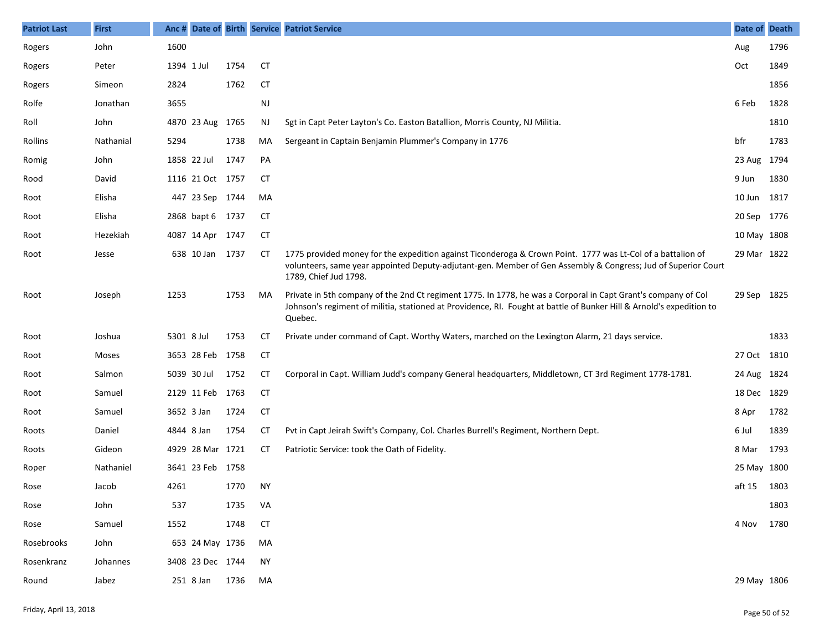| <b>Patriot Last</b> | <b>First</b> |            |                  |      |           | Anc # Date of Birth Service Patriot Service                                                                                                                                                                                                           | Date of     | <b>Death</b> |
|---------------------|--------------|------------|------------------|------|-----------|-------------------------------------------------------------------------------------------------------------------------------------------------------------------------------------------------------------------------------------------------------|-------------|--------------|
| Rogers              | John         | 1600       |                  |      |           |                                                                                                                                                                                                                                                       | Aug         | 1796         |
| Rogers              | Peter        | 1394 1 Jul |                  | 1754 | <b>CT</b> |                                                                                                                                                                                                                                                       | Oct         | 1849         |
| Rogers              | Simeon       | 2824       |                  | 1762 | <b>CT</b> |                                                                                                                                                                                                                                                       |             | 1856         |
| Rolfe               | Jonathan     | 3655       |                  |      | NJ        |                                                                                                                                                                                                                                                       | 6 Feb       | 1828         |
| Roll                | John         |            | 4870 23 Aug 1765 |      | NJ        | Sgt in Capt Peter Layton's Co. Easton Batallion, Morris County, NJ Militia.                                                                                                                                                                           |             | 1810         |
| Rollins             | Nathanial    | 5294       |                  | 1738 | MA        | Sergeant in Captain Benjamin Plummer's Company in 1776                                                                                                                                                                                                | bfr         | 1783         |
| Romig               | John         |            | 1858 22 Jul      | 1747 | PA        |                                                                                                                                                                                                                                                       | 23 Aug      | 1794         |
| Rood                | David        |            | 1116 21 Oct 1757 |      | CT        |                                                                                                                                                                                                                                                       | 9 Jun       | 1830         |
| Root                | Elisha       |            | 447 23 Sep 1744  |      | MA        |                                                                                                                                                                                                                                                       | 10 Jun      | 1817         |
| Root                | Elisha       |            | 2868 bapt 6 1737 |      | CT        |                                                                                                                                                                                                                                                       | 20 Sep      | 1776         |
| Root                | Hezekiah     |            | 4087 14 Apr 1747 |      | CT        |                                                                                                                                                                                                                                                       | 10 May 1808 |              |
| Root                | Jesse        |            | 638 10 Jan 1737  |      | СT        | 1775 provided money for the expedition against Ticonderoga & Crown Point. 1777 was Lt-Col of a battalion of<br>volunteers, same year appointed Deputy-adjutant-gen. Member of Gen Assembly & Congress; Jud of Superior Court<br>1789, Chief Jud 1798. | 29 Mar 1822 |              |
| Root                | Joseph       | 1253       |                  | 1753 | MA        | Private in 5th company of the 2nd Ct regiment 1775. In 1778, he was a Corporal in Capt Grant's company of Col<br>Johnson's regiment of militia, stationed at Providence, RI. Fought at battle of Bunker Hill & Arnold's expedition to<br>Quebec.      | 29 Sep      | 1825         |
| Root                | Joshua       | 5301 8 Jul |                  | 1753 | СT        | Private under command of Capt. Worthy Waters, marched on the Lexington Alarm, 21 days service.                                                                                                                                                        |             | 1833         |
| Root                | Moses        |            | 3653 28 Feb 1758 |      | CT        |                                                                                                                                                                                                                                                       | 27 Oct      | 1810         |
| Root                | Salmon       |            | 5039 30 Jul      | 1752 | СT        | Corporal in Capt. William Judd's company General headquarters, Middletown, CT 3rd Regiment 1778-1781.                                                                                                                                                 | 24 Aug      | 1824         |
| Root                | Samuel       |            | 2129 11 Feb 1763 |      | CT        |                                                                                                                                                                                                                                                       | 18 Dec 1829 |              |
| Root                | Samuel       |            | 3652 3 Jan       | 1724 | CT        |                                                                                                                                                                                                                                                       | 8 Apr       | 1782         |
| Roots               | Daniel       | 4844 8 Jan |                  | 1754 | СT        | Pvt in Capt Jeirah Swift's Company, Col. Charles Burrell's Regiment, Northern Dept.                                                                                                                                                                   | 6 Jul       | 1839         |
| Roots               | Gideon       |            | 4929 28 Mar 1721 |      | СT        | Patriotic Service: took the Oath of Fidelity.                                                                                                                                                                                                         | 8 Mar       | 1793         |
| Roper               | Nathaniel    |            | 3641 23 Feb 1758 |      |           |                                                                                                                                                                                                                                                       | 25 May 1800 |              |
| Rose                | Jacob        | 4261       |                  | 1770 | <b>NY</b> |                                                                                                                                                                                                                                                       | aft 15      | 1803         |
| Rose                | John         | 537        |                  | 1735 | VA        |                                                                                                                                                                                                                                                       |             | 1803         |
| Rose                | Samuel       | 1552       |                  | 1748 | <b>CT</b> |                                                                                                                                                                                                                                                       | 4 Nov       | 1780         |
| Rosebrooks          | John         |            | 653 24 May 1736  |      | MA        |                                                                                                                                                                                                                                                       |             |              |
| Rosenkranz          | Johannes     |            | 3408 23 Dec 1744 |      | NY        |                                                                                                                                                                                                                                                       |             |              |
| Round               | Jabez        |            | 251 8 Jan        | 1736 | MA        |                                                                                                                                                                                                                                                       | 29 May 1806 |              |
|                     |              |            |                  |      |           |                                                                                                                                                                                                                                                       |             |              |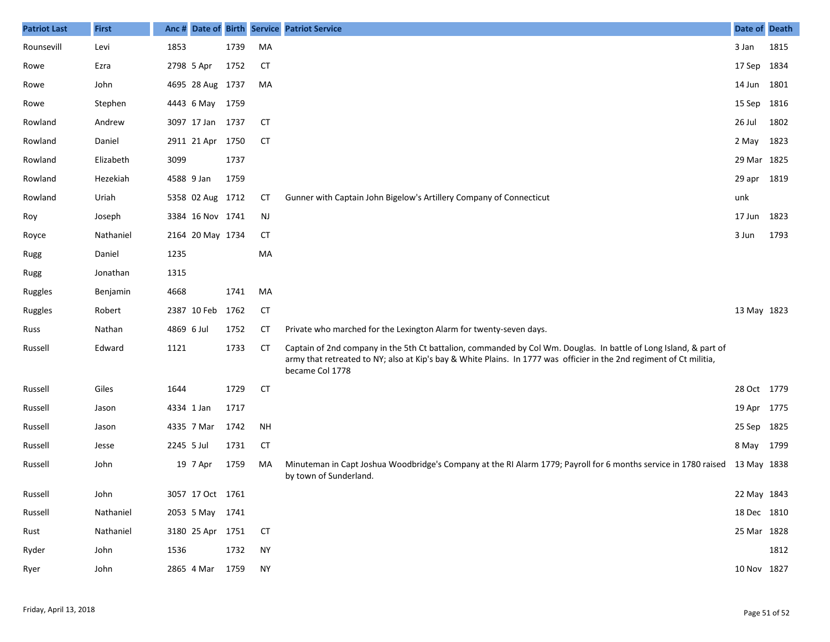| <b>Patriot Last</b> | <b>First</b> | Anc#       |                  |      |           | Date of Birth Service Patriot Service                                                                                                                                                                                                                        | Date of Death |      |
|---------------------|--------------|------------|------------------|------|-----------|--------------------------------------------------------------------------------------------------------------------------------------------------------------------------------------------------------------------------------------------------------------|---------------|------|
| Rounsevill          | Levi         | 1853       |                  | 1739 | MA        |                                                                                                                                                                                                                                                              | 3 Jan         | 1815 |
| Rowe                | Ezra         | 2798 5 Apr |                  | 1752 | <b>CT</b> |                                                                                                                                                                                                                                                              | 17 Sep 1834   |      |
| Rowe                | John         |            | 4695 28 Aug 1737 |      | MA        |                                                                                                                                                                                                                                                              | 14 Jun 1801   |      |
| Rowe                | Stephen      |            | 4443 6 May 1759  |      |           |                                                                                                                                                                                                                                                              | 15 Sep 1816   |      |
| Rowland             | Andrew       |            | 3097 17 Jan 1737 |      | <b>CT</b> |                                                                                                                                                                                                                                                              | 26 Jul        | 1802 |
| Rowland             | Daniel       |            | 2911 21 Apr 1750 |      | <b>CT</b> |                                                                                                                                                                                                                                                              | 2 May 1823    |      |
| Rowland             | Elizabeth    | 3099       |                  | 1737 |           |                                                                                                                                                                                                                                                              | 29 Mar 1825   |      |
| Rowland             | Hezekiah     | 4588 9 Jan |                  | 1759 |           |                                                                                                                                                                                                                                                              | 29 apr 1819   |      |
| Rowland             | Uriah        |            | 5358 02 Aug 1712 |      | СT        | Gunner with Captain John Bigelow's Artillery Company of Connecticut                                                                                                                                                                                          | unk           |      |
| Roy                 | Joseph       |            | 3384 16 Nov 1741 |      | <b>NJ</b> |                                                                                                                                                                                                                                                              | 17 Jun 1823   |      |
| Royce               | Nathaniel    |            | 2164 20 May 1734 |      | <b>CT</b> |                                                                                                                                                                                                                                                              | 3 Jun         | 1793 |
| Rugg                | Daniel       | 1235       |                  |      | MA        |                                                                                                                                                                                                                                                              |               |      |
| Rugg                | Jonathan     | 1315       |                  |      |           |                                                                                                                                                                                                                                                              |               |      |
| Ruggles             | Benjamin     | 4668       |                  | 1741 | MA        |                                                                                                                                                                                                                                                              |               |      |
| Ruggles             | Robert       |            | 2387 10 Feb      | 1762 | <b>CT</b> |                                                                                                                                                                                                                                                              | 13 May 1823   |      |
| Russ                | Nathan       | 4869 6 Jul |                  | 1752 | <b>CT</b> | Private who marched for the Lexington Alarm for twenty-seven days.                                                                                                                                                                                           |               |      |
| Russell             | Edward       | 1121       |                  | 1733 | <b>CT</b> | Captain of 2nd company in the 5th Ct battalion, commanded by Col Wm. Douglas. In battle of Long Island, & part of<br>army that retreated to NY; also at Kip's bay & White Plains. In 1777 was officier in the 2nd regiment of Ct militia,<br>became Col 1778 |               |      |
| Russell             | Giles        | 1644       |                  | 1729 | <b>CT</b> |                                                                                                                                                                                                                                                              | 28 Oct 1779   |      |
| Russell             | Jason        | 4334 1 Jan |                  | 1717 |           |                                                                                                                                                                                                                                                              | 19 Apr 1775   |      |
| Russell             | Jason        |            | 4335 7 Mar       | 1742 | <b>NH</b> |                                                                                                                                                                                                                                                              | 25 Sep 1825   |      |
| Russell             | Jesse        | 2245 5 Jul |                  | 1731 | <b>CT</b> |                                                                                                                                                                                                                                                              | 8 May         | 1799 |
| Russell             | John         |            | 19 7 Apr         | 1759 | MA        | Minuteman in Capt Joshua Woodbridge's Company at the RI Alarm 1779; Payroll for 6 months service in 1780 raised<br>by town of Sunderland.                                                                                                                    | 13 May 1838   |      |
| Russell             | John         |            | 3057 17 Oct 1761 |      |           |                                                                                                                                                                                                                                                              | 22 May 1843   |      |
| Russell             | Nathaniel    |            | 2053 5 May 1741  |      |           |                                                                                                                                                                                                                                                              | 18 Dec 1810   |      |
| Rust                | Nathaniel    |            | 3180 25 Apr 1751 |      | <b>CT</b> |                                                                                                                                                                                                                                                              | 25 Mar 1828   |      |
| Ryder               | John         | 1536       |                  | 1732 | <b>NY</b> |                                                                                                                                                                                                                                                              |               | 1812 |
| Ryer                | John         |            | 2865 4 Mar 1759  |      | <b>NY</b> |                                                                                                                                                                                                                                                              | 10 Nov 1827   |      |